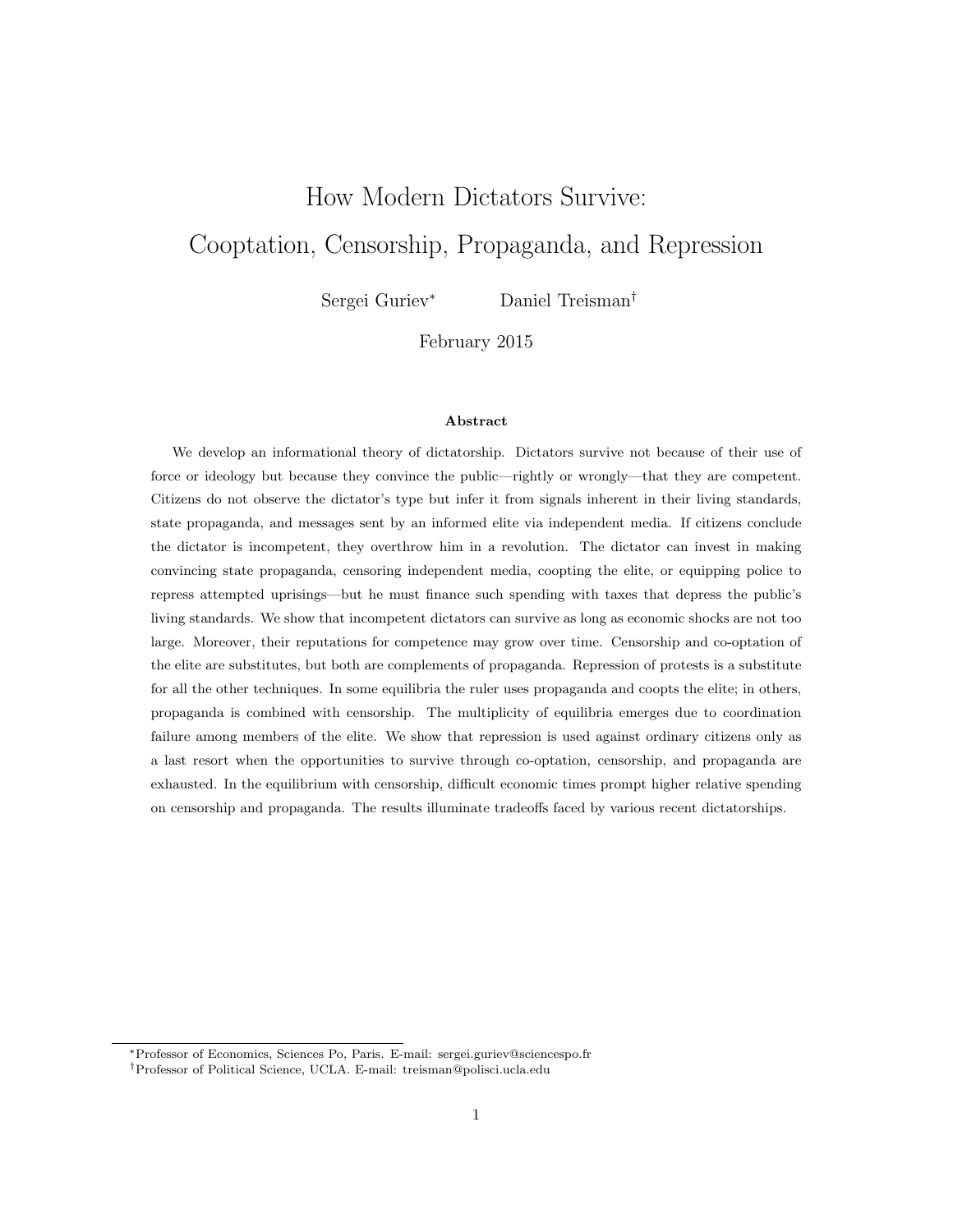# How Modern Dictators Survive: Cooptation, Censorship, Propaganda, and Repression

Sergei Guriev<sup>∗</sup> Daniel Treisman†

February 2015

#### Abstract

We develop an informational theory of dictatorship. Dictators survive not because of their use of force or ideology but because they convince the public—rightly or wrongly—that they are competent. Citizens do not observe the dictator's type but infer it from signals inherent in their living standards, state propaganda, and messages sent by an informed elite via independent media. If citizens conclude the dictator is incompetent, they overthrow him in a revolution. The dictator can invest in making convincing state propaganda, censoring independent media, coopting the elite, or equipping police to repress attempted uprisings—but he must finance such spending with taxes that depress the public's living standards. We show that incompetent dictators can survive as long as economic shocks are not too large. Moreover, their reputations for competence may grow over time. Censorship and co-optation of the elite are substitutes, but both are complements of propaganda. Repression of protests is a substitute for all the other techniques. In some equilibria the ruler uses propaganda and coopts the elite; in others, propaganda is combined with censorship. The multiplicity of equilibria emerges due to coordination failure among members of the elite. We show that repression is used against ordinary citizens only as a last resort when the opportunities to survive through co-optation, censorship, and propaganda are exhausted. In the equilibrium with censorship, difficult economic times prompt higher relative spending on censorship and propaganda. The results illuminate tradeoffs faced by various recent dictatorships.

<sup>∗</sup>Professor of Economics, Sciences Po, Paris. E-mail: sergei.guriev@sciencespo.fr

<sup>†</sup>Professor of Political Science, UCLA. E-mail: treisman@polisci.ucla.edu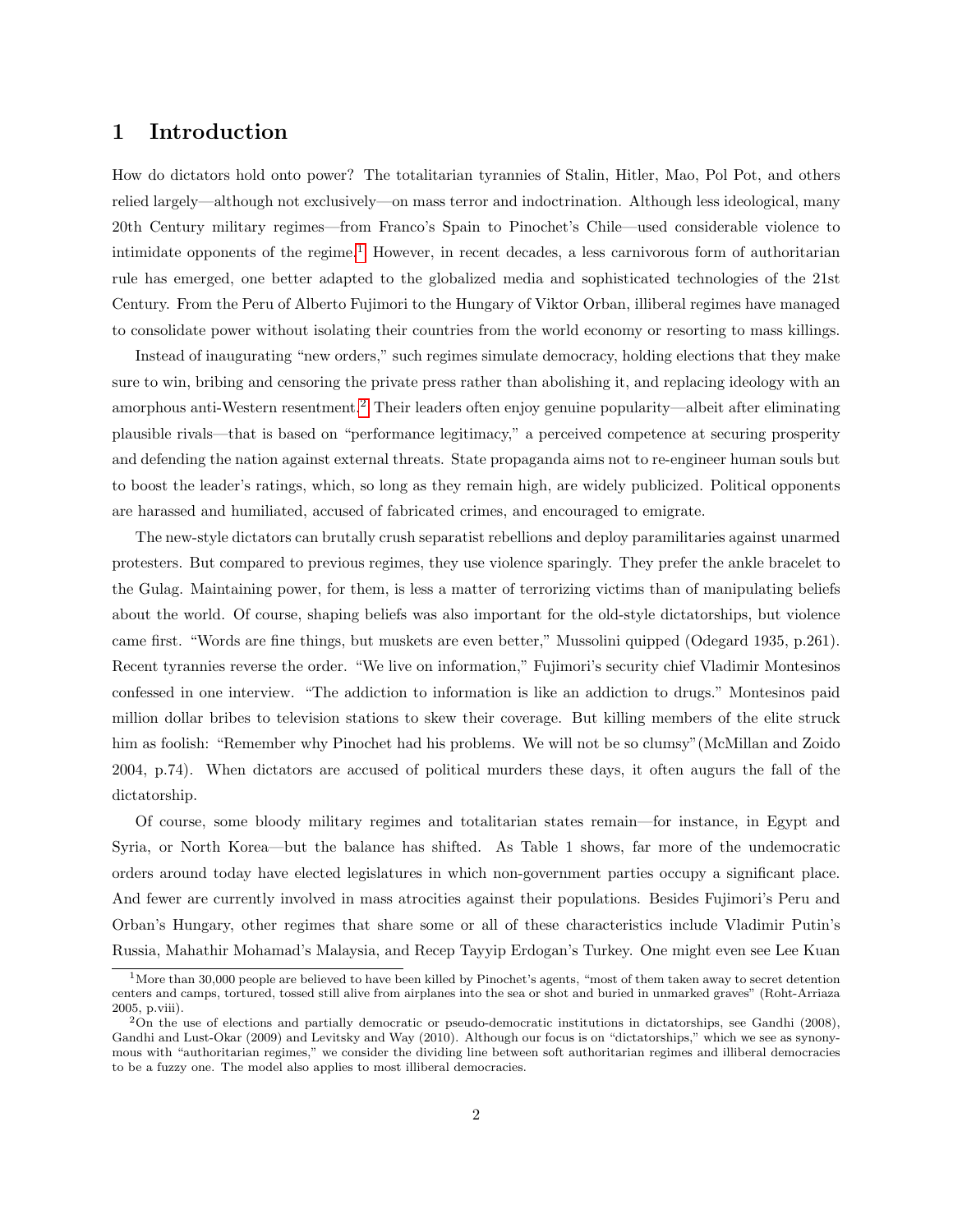# 1 Introduction

How do dictators hold onto power? The totalitarian tyrannies of Stalin, Hitler, Mao, Pol Pot, and others relied largely—although not exclusively—on mass terror and indoctrination. Although less ideological, many 20th Century military regimes—from Franco's Spain to Pinochet's Chile—used considerable violence to intimidate opponents of the regime.<sup>[1](#page-1-0)</sup> However, in recent decades, a less carnivorous form of authoritarian rule has emerged, one better adapted to the globalized media and sophisticated technologies of the 21st Century. From the Peru of Alberto Fujimori to the Hungary of Viktor Orban, illiberal regimes have managed to consolidate power without isolating their countries from the world economy or resorting to mass killings.

Instead of inaugurating "new orders," such regimes simulate democracy, holding elections that they make sure to win, bribing and censoring the private press rather than abolishing it, and replacing ideology with an amorphous anti-Western resentment.<sup>[2](#page-1-1)</sup> Their leaders often enjoy genuine popularity—albeit after eliminating plausible rivals—that is based on "performance legitimacy," a perceived competence at securing prosperity and defending the nation against external threats. State propaganda aims not to re-engineer human souls but to boost the leader's ratings, which, so long as they remain high, are widely publicized. Political opponents are harassed and humiliated, accused of fabricated crimes, and encouraged to emigrate.

The new-style dictators can brutally crush separatist rebellions and deploy paramilitaries against unarmed protesters. But compared to previous regimes, they use violence sparingly. They prefer the ankle bracelet to the Gulag. Maintaining power, for them, is less a matter of terrorizing victims than of manipulating beliefs about the world. Of course, shaping beliefs was also important for the old-style dictatorships, but violence came first. "Words are fine things, but muskets are even better," Mussolini quipped (Odegard 1935, p.261). Recent tyrannies reverse the order. "We live on information," Fujimori's security chief Vladimir Montesinos confessed in one interview. "The addiction to information is like an addiction to drugs." Montesinos paid million dollar bribes to television stations to skew their coverage. But killing members of the elite struck him as foolish: "Remember why Pinochet had his problems. We will not be so clumsy" (McMillan and Zoido 2004, p.74). When dictators are accused of political murders these days, it often augurs the fall of the dictatorship.

Of course, some bloody military regimes and totalitarian states remain—for instance, in Egypt and Syria, or North Korea—but the balance has shifted. As Table 1 shows, far more of the undemocratic orders around today have elected legislatures in which non-government parties occupy a significant place. And fewer are currently involved in mass atrocities against their populations. Besides Fujimori's Peru and Orban's Hungary, other regimes that share some or all of these characteristics include Vladimir Putin's Russia, Mahathir Mohamad's Malaysia, and Recep Tayyip Erdogan's Turkey. One might even see Lee Kuan

<span id="page-1-0"></span> $1$ More than 30,000 people are believed to have been killed by Pinochet's agents, "most of them taken away to secret detention centers and camps, tortured, tossed still alive from airplanes into the sea or shot and buried in unmarked graves" (Roht-Arriaza 2005, p.viii).

<span id="page-1-1"></span><sup>2</sup>On the use of elections and partially democratic or pseudo-democratic institutions in dictatorships, see Gandhi (2008), Gandhi and Lust-Okar (2009) and Levitsky and Way (2010). Although our focus is on "dictatorships," which we see as synonymous with "authoritarian regimes," we consider the dividing line between soft authoritarian regimes and illiberal democracies to be a fuzzy one. The model also applies to most illiberal democracies.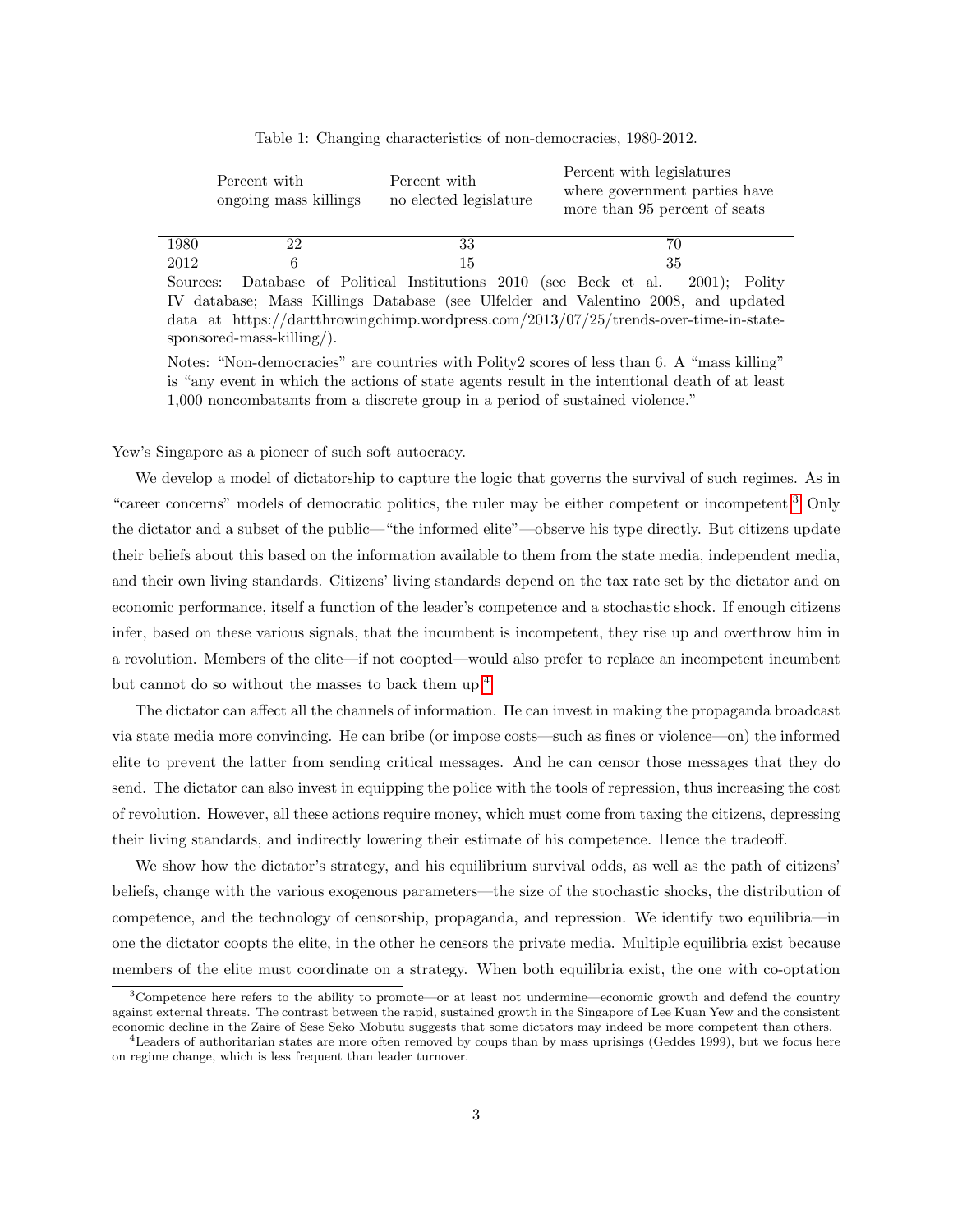|      | Percent with<br>ongoing mass killings | Percent with<br>no elected legislature | Percent with legislatures<br>where government parties have<br>more than 95 percent of seats |
|------|---------------------------------------|----------------------------------------|---------------------------------------------------------------------------------------------|
| 1980 | 22                                    | 33                                     | 70                                                                                          |
| 2012 |                                       | 15                                     | 35                                                                                          |

Table 1: Changing characteristics of non-democracies, 1980-2012.

Sources: Database of Political Institutions 2010 (see Beck et al. 2001); Polity IV database; Mass Killings Database (see Ulfelder and Valentino 2008, and updated data at https://dartthrowingchimp.wordpress.com/2013/07/25/trends-over-time-in-statesponsored-mass-killing/).

Notes: "Non-democracies" are countries with Polity2 scores of less than 6. A "mass killing" is "any event in which the actions of state agents result in the intentional death of at least 1,000 noncombatants from a discrete group in a period of sustained violence."

Yew's Singapore as a pioneer of such soft autocracy.

We develop a model of dictatorship to capture the logic that governs the survival of such regimes. As in "career concerns" models of democratic politics, the ruler may be either competent or incompetent.<sup>[3](#page-2-0)</sup> Only the dictator and a subset of the public—"the informed elite"—observe his type directly. But citizens update their beliefs about this based on the information available to them from the state media, independent media, and their own living standards. Citizens' living standards depend on the tax rate set by the dictator and on economic performance, itself a function of the leader's competence and a stochastic shock. If enough citizens infer, based on these various signals, that the incumbent is incompetent, they rise up and overthrow him in a revolution. Members of the elite—if not coopted—would also prefer to replace an incompetent incumbent but cannot do so without the masses to back them up.[4](#page-2-1)

The dictator can affect all the channels of information. He can invest in making the propaganda broadcast via state media more convincing. He can bribe (or impose costs—such as fines or violence—on) the informed elite to prevent the latter from sending critical messages. And he can censor those messages that they do send. The dictator can also invest in equipping the police with the tools of repression, thus increasing the cost of revolution. However, all these actions require money, which must come from taxing the citizens, depressing their living standards, and indirectly lowering their estimate of his competence. Hence the tradeoff.

We show how the dictator's strategy, and his equilibrium survival odds, as well as the path of citizens' beliefs, change with the various exogenous parameters—the size of the stochastic shocks, the distribution of competence, and the technology of censorship, propaganda, and repression. We identify two equilibria—in one the dictator coopts the elite, in the other he censors the private media. Multiple equilibria exist because members of the elite must coordinate on a strategy. When both equilibria exist, the one with co-optation

<span id="page-2-0"></span> $3$ Competence here refers to the ability to promote—or at least not undermine—economic growth and defend the country against external threats. The contrast between the rapid, sustained growth in the Singapore of Lee Kuan Yew and the consistent economic decline in the Zaire of Sese Seko Mobutu suggests that some dictators may indeed be more competent than others.

<span id="page-2-1"></span> $4$ Leaders of authoritarian states are more often removed by coups than by mass uprisings (Geddes 1999), but we focus here on regime change, which is less frequent than leader turnover.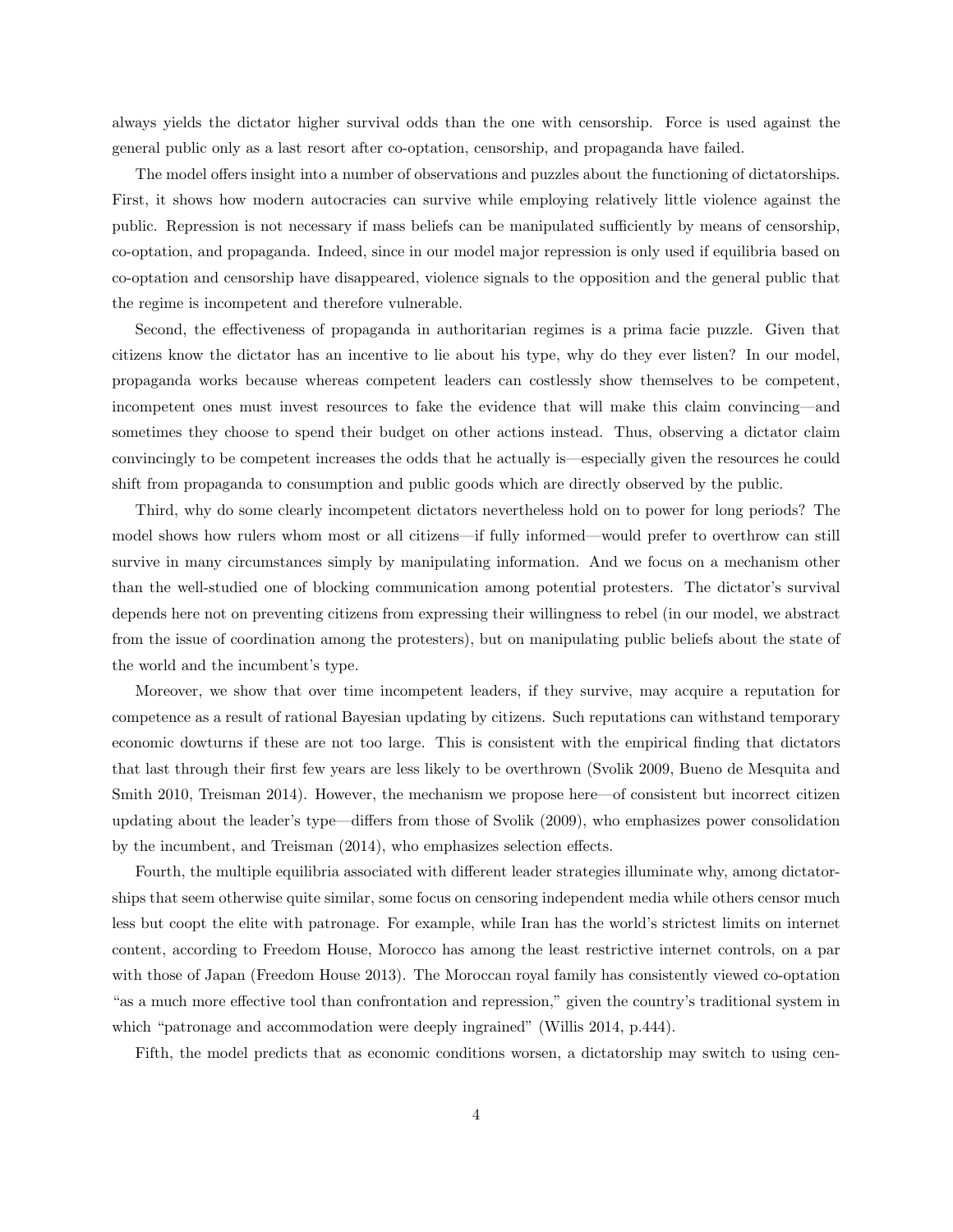always yields the dictator higher survival odds than the one with censorship. Force is used against the general public only as a last resort after co-optation, censorship, and propaganda have failed.

The model offers insight into a number of observations and puzzles about the functioning of dictatorships. First, it shows how modern autocracies can survive while employing relatively little violence against the public. Repression is not necessary if mass beliefs can be manipulated sufficiently by means of censorship, co-optation, and propaganda. Indeed, since in our model major repression is only used if equilibria based on co-optation and censorship have disappeared, violence signals to the opposition and the general public that the regime is incompetent and therefore vulnerable.

Second, the effectiveness of propaganda in authoritarian regimes is a prima facie puzzle. Given that citizens know the dictator has an incentive to lie about his type, why do they ever listen? In our model, propaganda works because whereas competent leaders can costlessly show themselves to be competent, incompetent ones must invest resources to fake the evidence that will make this claim convincing—and sometimes they choose to spend their budget on other actions instead. Thus, observing a dictator claim convincingly to be competent increases the odds that he actually is—especially given the resources he could shift from propaganda to consumption and public goods which are directly observed by the public.

Third, why do some clearly incompetent dictators nevertheless hold on to power for long periods? The model shows how rulers whom most or all citizens—if fully informed—would prefer to overthrow can still survive in many circumstances simply by manipulating information. And we focus on a mechanism other than the well-studied one of blocking communication among potential protesters. The dictator's survival depends here not on preventing citizens from expressing their willingness to rebel (in our model, we abstract from the issue of coordination among the protesters), but on manipulating public beliefs about the state of the world and the incumbent's type.

Moreover, we show that over time incompetent leaders, if they survive, may acquire a reputation for competence as a result of rational Bayesian updating by citizens. Such reputations can withstand temporary economic dowturns if these are not too large. This is consistent with the empirical finding that dictators that last through their first few years are less likely to be overthrown (Svolik 2009, Bueno de Mesquita and Smith 2010, Treisman 2014). However, the mechanism we propose here—of consistent but incorrect citizen updating about the leader's type—differs from those of Svolik (2009), who emphasizes power consolidation by the incumbent, and Treisman (2014), who emphasizes selection effects.

Fourth, the multiple equilibria associated with different leader strategies illuminate why, among dictatorships that seem otherwise quite similar, some focus on censoring independent media while others censor much less but coopt the elite with patronage. For example, while Iran has the world's strictest limits on internet content, according to Freedom House, Morocco has among the least restrictive internet controls, on a par with those of Japan (Freedom House 2013). The Moroccan royal family has consistently viewed co-optation "as a much more effective tool than confrontation and repression," given the country's traditional system in which "patronage and accommodation were deeply ingrained" (Willis 2014, p.444).

Fifth, the model predicts that as economic conditions worsen, a dictatorship may switch to using cen-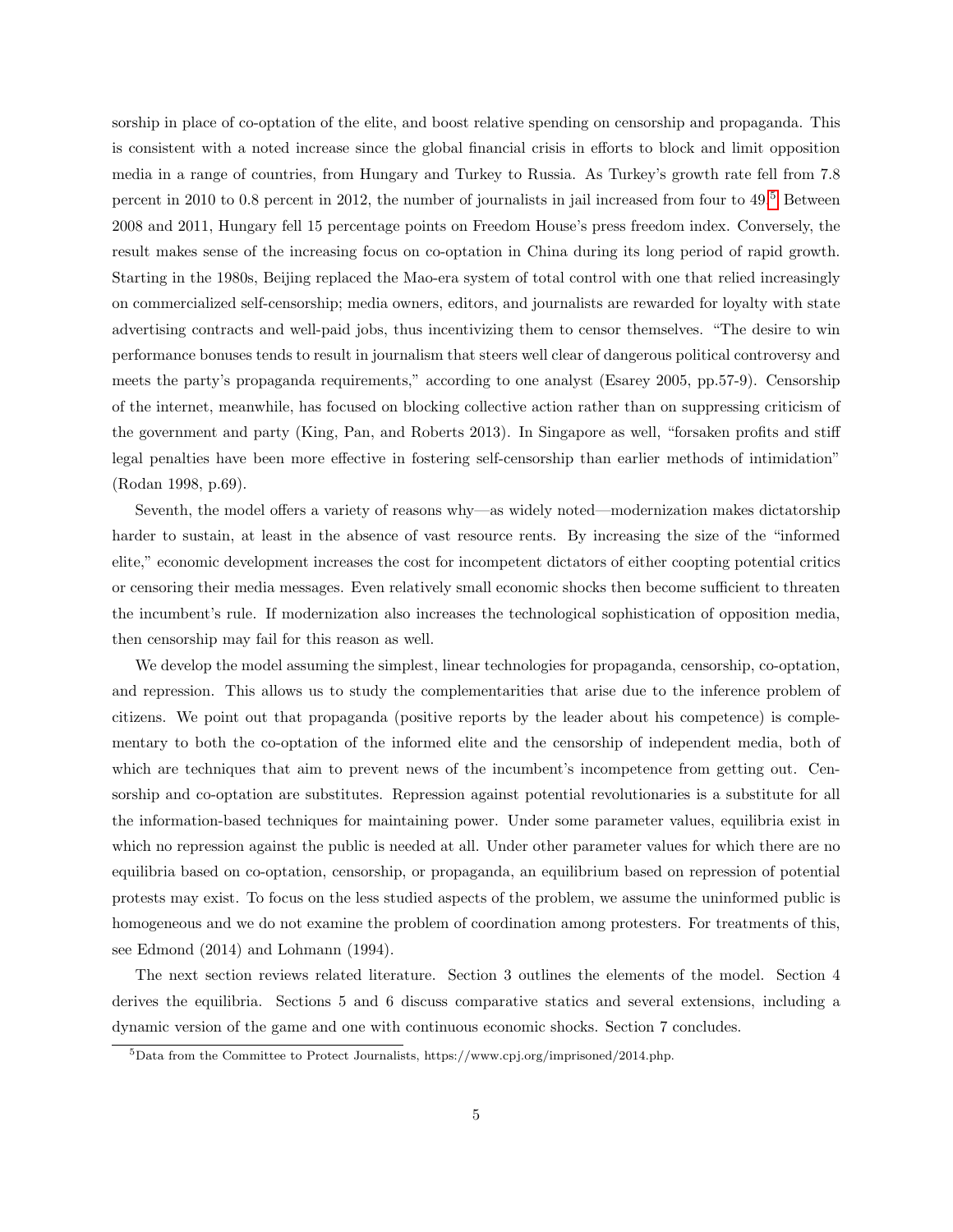sorship in place of co-optation of the elite, and boost relative spending on censorship and propaganda. This is consistent with a noted increase since the global financial crisis in efforts to block and limit opposition media in a range of countries, from Hungary and Turkey to Russia. As Turkey's growth rate fell from 7.8 percent in 2010 to 0.8 percent in 2012, the number of journalists in jail increased from four to 49.[5](#page-4-0) Between 2008 and 2011, Hungary fell 15 percentage points on Freedom House's press freedom index. Conversely, the result makes sense of the increasing focus on co-optation in China during its long period of rapid growth. Starting in the 1980s, Beijing replaced the Mao-era system of total control with one that relied increasingly on commercialized self-censorship; media owners, editors, and journalists are rewarded for loyalty with state advertising contracts and well-paid jobs, thus incentivizing them to censor themselves. "The desire to win performance bonuses tends to result in journalism that steers well clear of dangerous political controversy and meets the party's propaganda requirements," according to one analyst (Esarey 2005, pp.57-9). Censorship of the internet, meanwhile, has focused on blocking collective action rather than on suppressing criticism of the government and party (King, Pan, and Roberts 2013). In Singapore as well, "forsaken profits and stiff legal penalties have been more effective in fostering self-censorship than earlier methods of intimidation" (Rodan 1998, p.69).

Seventh, the model offers a variety of reasons why—as widely noted—modernization makes dictatorship harder to sustain, at least in the absence of vast resource rents. By increasing the size of the "informed elite," economic development increases the cost for incompetent dictators of either coopting potential critics or censoring their media messages. Even relatively small economic shocks then become sufficient to threaten the incumbent's rule. If modernization also increases the technological sophistication of opposition media, then censorship may fail for this reason as well.

We develop the model assuming the simplest, linear technologies for propaganda, censorship, co-optation, and repression. This allows us to study the complementarities that arise due to the inference problem of citizens. We point out that propaganda (positive reports by the leader about his competence) is complementary to both the co-optation of the informed elite and the censorship of independent media, both of which are techniques that aim to prevent news of the incumbent's incompetence from getting out. Censorship and co-optation are substitutes. Repression against potential revolutionaries is a substitute for all the information-based techniques for maintaining power. Under some parameter values, equilibria exist in which no repression against the public is needed at all. Under other parameter values for which there are no equilibria based on co-optation, censorship, or propaganda, an equilibrium based on repression of potential protests may exist. To focus on the less studied aspects of the problem, we assume the uninformed public is homogeneous and we do not examine the problem of coordination among protesters. For treatments of this, see Edmond (2014) and Lohmann (1994).

The next section reviews related literature. Section 3 outlines the elements of the model. Section 4 derives the equilibria. Sections 5 and 6 discuss comparative statics and several extensions, including a dynamic version of the game and one with continuous economic shocks. Section 7 concludes.

<span id="page-4-0"></span><sup>5</sup>Data from the Committee to Protect Journalists, https://www.cpj.org/imprisoned/2014.php.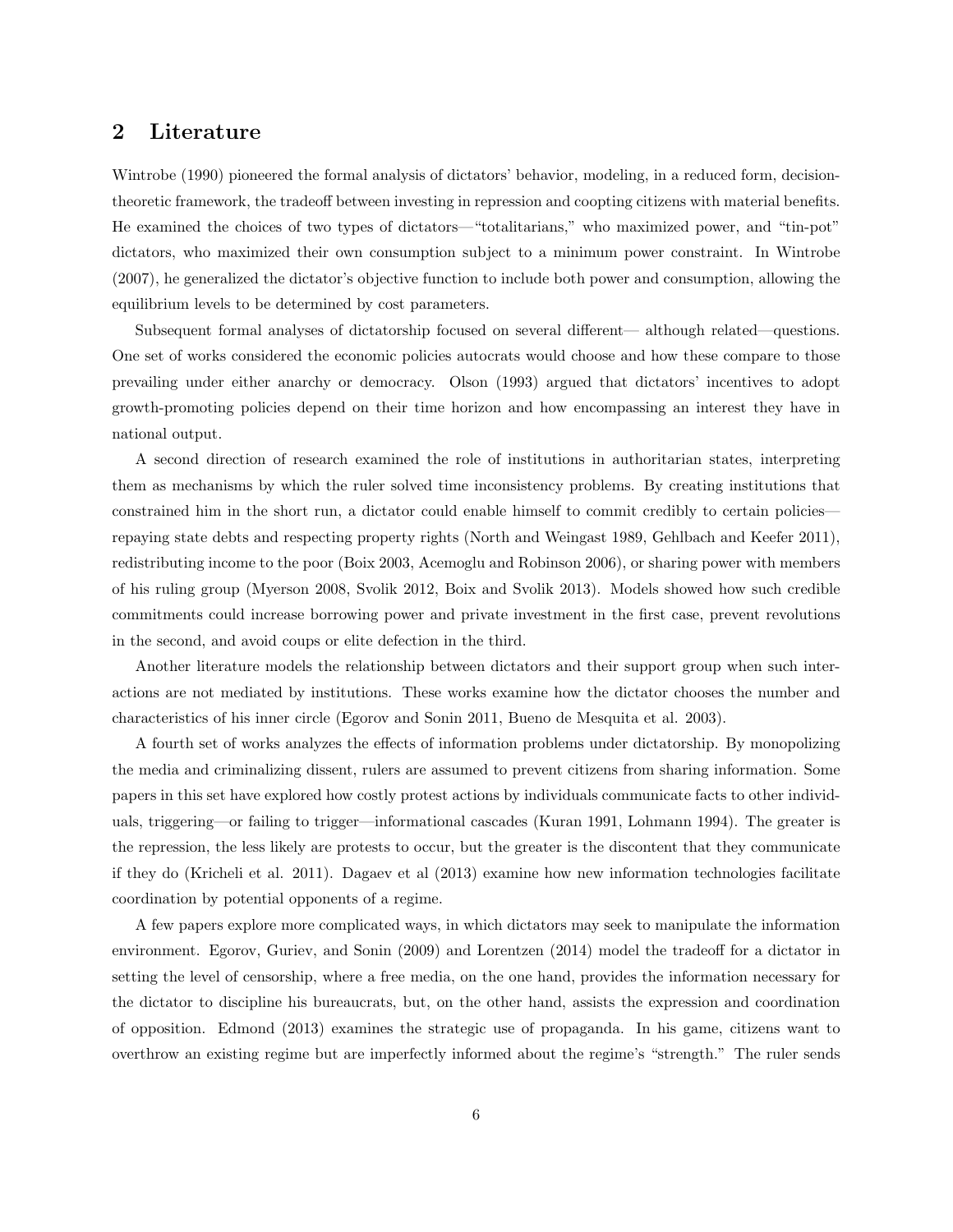# 2 Literature

Wintrobe (1990) pioneered the formal analysis of dictators' behavior, modeling, in a reduced form, decisiontheoretic framework, the tradeoff between investing in repression and coopting citizens with material benefits. He examined the choices of two types of dictators—"totalitarians," who maximized power, and "tin-pot" dictators, who maximized their own consumption subject to a minimum power constraint. In Wintrobe (2007), he generalized the dictator's objective function to include both power and consumption, allowing the equilibrium levels to be determined by cost parameters.

Subsequent formal analyses of dictatorship focused on several different— although related—questions. One set of works considered the economic policies autocrats would choose and how these compare to those prevailing under either anarchy or democracy. Olson (1993) argued that dictators' incentives to adopt growth-promoting policies depend on their time horizon and how encompassing an interest they have in national output.

A second direction of research examined the role of institutions in authoritarian states, interpreting them as mechanisms by which the ruler solved time inconsistency problems. By creating institutions that constrained him in the short run, a dictator could enable himself to commit credibly to certain policies repaying state debts and respecting property rights (North and Weingast 1989, Gehlbach and Keefer 2011), redistributing income to the poor (Boix 2003, Acemoglu and Robinson 2006), or sharing power with members of his ruling group (Myerson 2008, Svolik 2012, Boix and Svolik 2013). Models showed how such credible commitments could increase borrowing power and private investment in the first case, prevent revolutions in the second, and avoid coups or elite defection in the third.

Another literature models the relationship between dictators and their support group when such interactions are not mediated by institutions. These works examine how the dictator chooses the number and characteristics of his inner circle (Egorov and Sonin 2011, Bueno de Mesquita et al. 2003).

A fourth set of works analyzes the effects of information problems under dictatorship. By monopolizing the media and criminalizing dissent, rulers are assumed to prevent citizens from sharing information. Some papers in this set have explored how costly protest actions by individuals communicate facts to other individuals, triggering—or failing to trigger—informational cascades (Kuran 1991, Lohmann 1994). The greater is the repression, the less likely are protests to occur, but the greater is the discontent that they communicate if they do (Kricheli et al. 2011). Dagaev et al (2013) examine how new information technologies facilitate coordination by potential opponents of a regime.

A few papers explore more complicated ways, in which dictators may seek to manipulate the information environment. Egorov, Guriev, and Sonin (2009) and Lorentzen (2014) model the tradeoff for a dictator in setting the level of censorship, where a free media, on the one hand, provides the information necessary for the dictator to discipline his bureaucrats, but, on the other hand, assists the expression and coordination of opposition. Edmond (2013) examines the strategic use of propaganda. In his game, citizens want to overthrow an existing regime but are imperfectly informed about the regime's "strength." The ruler sends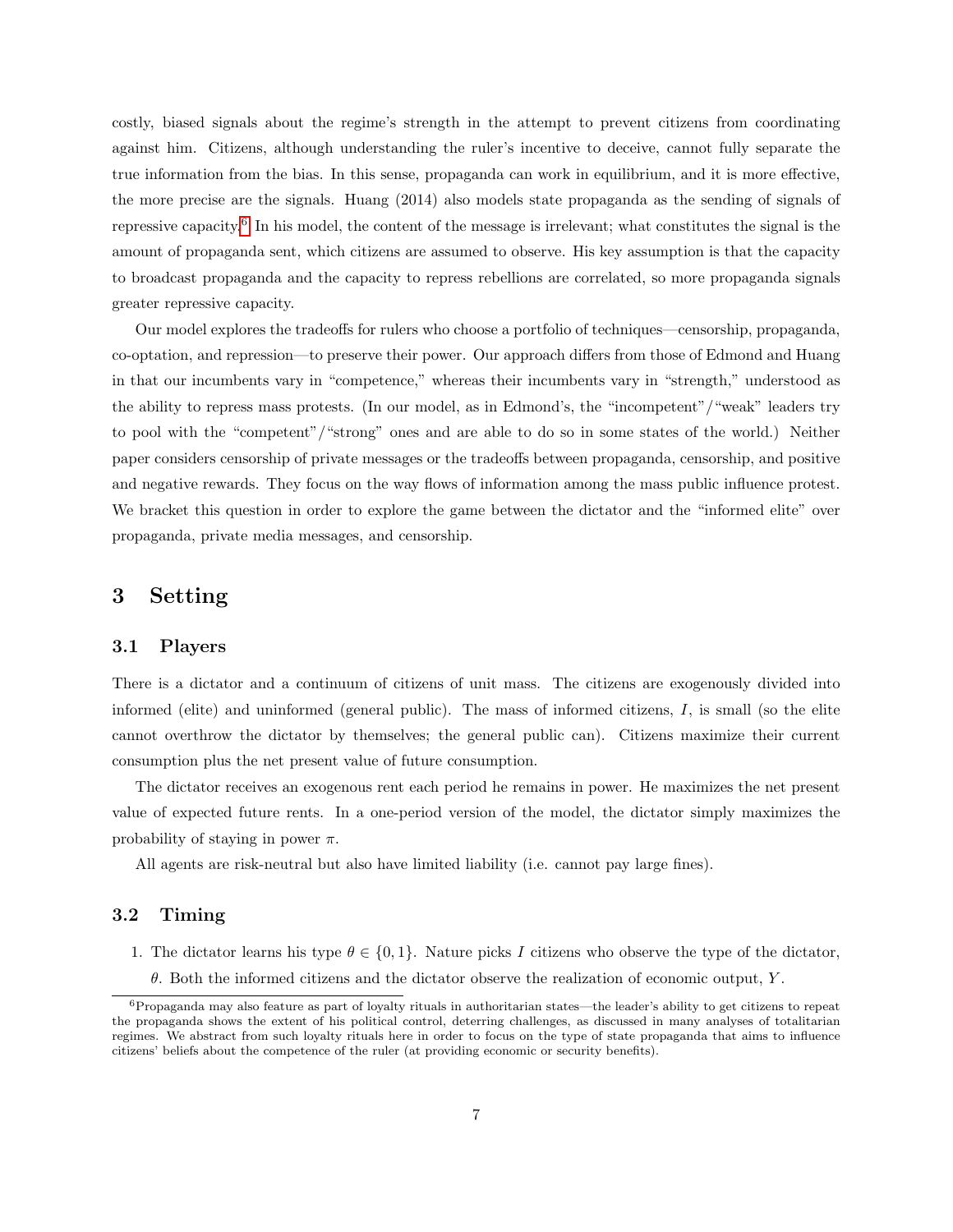costly, biased signals about the regime's strength in the attempt to prevent citizens from coordinating against him. Citizens, although understanding the ruler's incentive to deceive, cannot fully separate the true information from the bias. In this sense, propaganda can work in equilibrium, and it is more effective, the more precise are the signals. Huang (2014) also models state propaganda as the sending of signals of repressive capacity.<sup>[6](#page-6-0)</sup> In his model, the content of the message is irrelevant; what constitutes the signal is the amount of propaganda sent, which citizens are assumed to observe. His key assumption is that the capacity to broadcast propaganda and the capacity to repress rebellions are correlated, so more propaganda signals greater repressive capacity.

Our model explores the tradeoffs for rulers who choose a portfolio of techniques—censorship, propaganda, co-optation, and repression—to preserve their power. Our approach differs from those of Edmond and Huang in that our incumbents vary in "competence," whereas their incumbents vary in "strength," understood as the ability to repress mass protests. (In our model, as in Edmond's, the "incompetent"/"weak" leaders try to pool with the "competent"/"strong" ones and are able to do so in some states of the world.) Neither paper considers censorship of private messages or the tradeoffs between propaganda, censorship, and positive and negative rewards. They focus on the way flows of information among the mass public influence protest. We bracket this question in order to explore the game between the dictator and the "informed elite" over propaganda, private media messages, and censorship.

# 3 Setting

#### 3.1 Players

There is a dictator and a continuum of citizens of unit mass. The citizens are exogenously divided into informed (elite) and uninformed (general public). The mass of informed citizens,  $I$ , is small (so the elite cannot overthrow the dictator by themselves; the general public can). Citizens maximize their current consumption plus the net present value of future consumption.

The dictator receives an exogenous rent each period he remains in power. He maximizes the net present value of expected future rents. In a one-period version of the model, the dictator simply maximizes the probability of staying in power  $\pi$ .

All agents are risk-neutral but also have limited liability (i.e. cannot pay large fines).

# 3.2 Timing

- 1. The dictator learns his type  $\theta \in \{0,1\}$ . Nature picks I citizens who observe the type of the dictator,
	- $\theta$ . Both the informed citizens and the dictator observe the realization of economic output, Y.

<span id="page-6-0"></span> $6P$ ropaganda may also feature as part of loyalty rituals in authoritarian states—the leader's ability to get citizens to repeat the propaganda shows the extent of his political control, deterring challenges, as discussed in many analyses of totalitarian regimes. We abstract from such loyalty rituals here in order to focus on the type of state propaganda that aims to influence citizens' beliefs about the competence of the ruler (at providing economic or security benefits).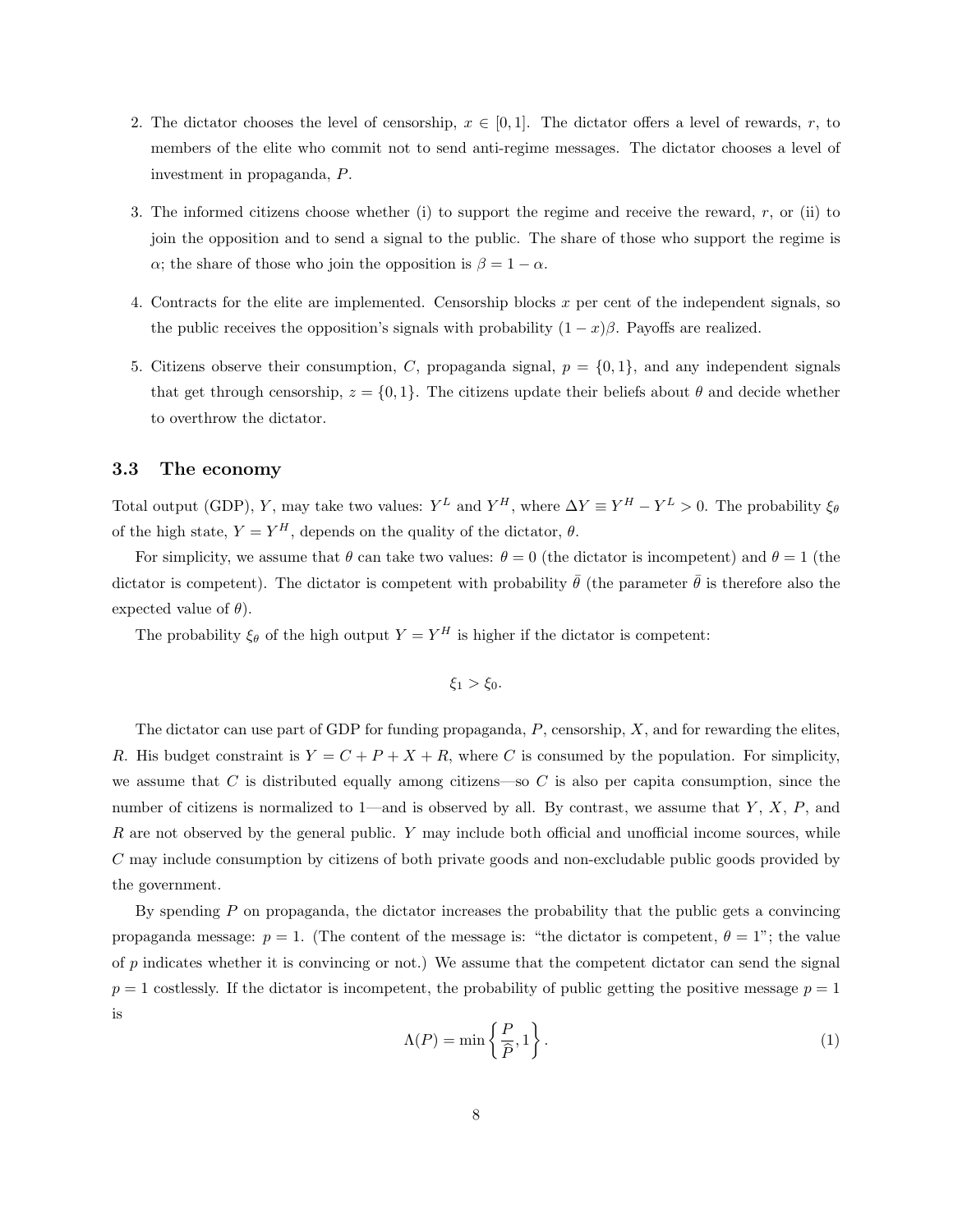- 2. The dictator chooses the level of censorship,  $x \in [0,1]$ . The dictator offers a level of rewards, r, to members of the elite who commit not to send anti-regime messages. The dictator chooses a level of investment in propaganda, P.
- 3. The informed citizens choose whether (i) to support the regime and receive the reward,  $r$ , or (ii) to join the opposition and to send a signal to the public. The share of those who support the regime is  $\alpha$ ; the share of those who join the opposition is  $\beta = 1 - \alpha$ .
- 4. Contracts for the elite are implemented. Censorship blocks  $x$  per cent of the independent signals, so the public receives the opposition's signals with probability  $(1-x)\beta$ . Payoffs are realized.
- 5. Citizens observe their consumption, C, propaganda signal,  $p = \{0, 1\}$ , and any independent signals that get through censorship,  $z = \{0, 1\}$ . The citizens update their beliefs about  $\theta$  and decide whether to overthrow the dictator.

# 3.3 The economy

Total output (GDP), Y, may take two values:  $Y^L$  and  $Y^H$ , where  $\Delta Y \equiv Y^H - Y^L > 0$ . The probability  $\xi_{\theta}$ of the high state,  $Y = Y^H$ , depends on the quality of the dictator,  $\theta$ .

For simplicity, we assume that  $\theta$  can take two values:  $\theta = 0$  (the dictator is incompetent) and  $\theta = 1$  (the dictator is competent). The dictator is competent with probability  $\bar{\theta}$  (the parameter  $\bar{\theta}$  is therefore also the expected value of  $\theta$ ).

The probability  $\xi_{\theta}$  of the high output  $Y = Y^H$  is higher if the dictator is competent:

$$
\xi_1 > \xi_0.
$$

The dictator can use part of GDP for funding propaganda,  $P$ , censorship,  $X$ , and for rewarding the elites, R. His budget constraint is  $Y = C + P + X + R$ , where C is consumed by the population. For simplicity, we assume that C is distributed equally among citizens—so C is also per capita consumption, since the number of citizens is normalized to 1—and is observed by all. By contrast, we assume that  $Y, X, P$ , and  $R$  are not observed by the general public.  $Y$  may include both official and unofficial income sources, while C may include consumption by citizens of both private goods and non-excludable public goods provided by the government.

By spending  $P$  on propaganda, the dictator increases the probability that the public gets a convincing propaganda message:  $p = 1$ . (The content of the message is: "the dictator is competent,  $\theta = 1$ "; the value of  $p$  indicates whether it is convincing or not.) We assume that the competent dictator can send the signal  $p = 1$  costlessly. If the dictator is incompetent, the probability of public getting the positive message  $p = 1$ is

$$
\Lambda(P) = \min\left\{\frac{P}{\hat{P}}, 1\right\}.
$$
\n(1)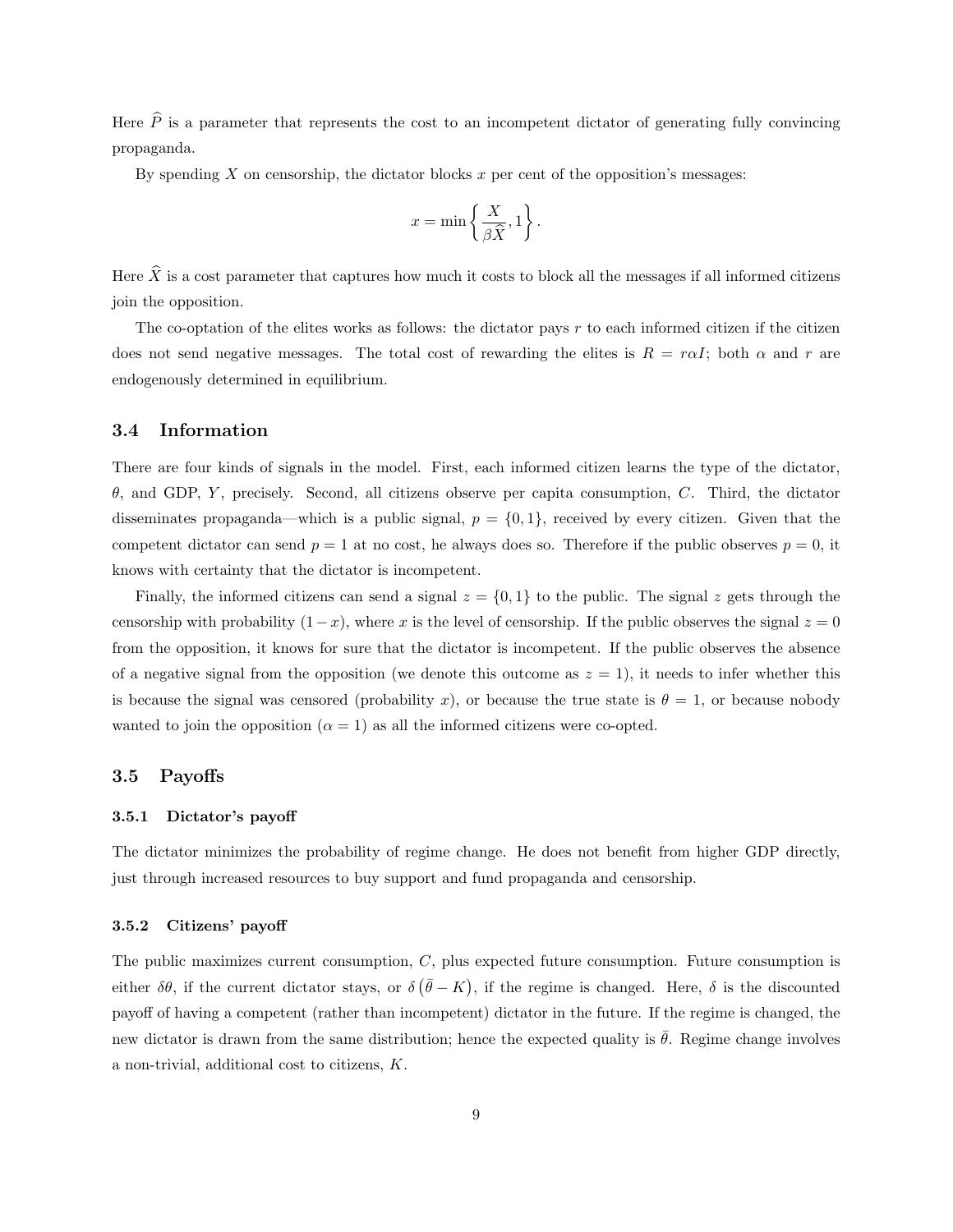Here  $\hat{P}$  is a parameter that represents the cost to an incompetent dictator of generating fully convincing propaganda.

By spending X on censorship, the dictator blocks x per cent of the opposition's messages:

$$
x = \min\left\{\frac{X}{\beta \widehat{X}}, 1\right\}.
$$

Here  $\hat{X}$  is a cost parameter that captures how much it costs to block all the messages if all informed citizens join the opposition.

The co-optation of the elites works as follows: the dictator pays r to each informed citizen if the citizen does not send negative messages. The total cost of rewarding the elites is  $R = raI$ ; both  $\alpha$  and r are endogenously determined in equilibrium.

#### 3.4 Information

There are four kinds of signals in the model. First, each informed citizen learns the type of the dictator, θ, and GDP, Y , precisely. Second, all citizens observe per capita consumption, C. Third, the dictator disseminates propaganda—which is a public signal,  $p = \{0, 1\}$ , received by every citizen. Given that the competent dictator can send  $p = 1$  at no cost, he always does so. Therefore if the public observes  $p = 0$ , it knows with certainty that the dictator is incompetent.

Finally, the informed citizens can send a signal  $z = \{0, 1\}$  to the public. The signal z gets through the censorship with probability  $(1-x)$ , where x is the level of censorship. If the public observes the signal  $z = 0$ from the opposition, it knows for sure that the dictator is incompetent. If the public observes the absence of a negative signal from the opposition (we denote this outcome as  $z = 1$ ), it needs to infer whether this is because the signal was censored (probability x), or because the true state is  $\theta = 1$ , or because nobody wanted to join the opposition  $(\alpha = 1)$  as all the informed citizens were co-opted.

# 3.5 Payoffs

## 3.5.1 Dictator's payoff

The dictator minimizes the probability of regime change. He does not benefit from higher GDP directly, just through increased resources to buy support and fund propaganda and censorship.

#### 3.5.2 Citizens' payoff

The public maximizes current consumption, C, plus expected future consumption. Future consumption is either  $\delta\theta$ , if the current dictator stays, or  $\delta(\bar{\theta} - K)$ , if the regime is changed. Here,  $\delta$  is the discounted payoff of having a competent (rather than incompetent) dictator in the future. If the regime is changed, the new dictator is drawn from the same distribution; hence the expected quality is  $\hat{\theta}$ . Regime change involves a non-trivial, additional cost to citizens, K.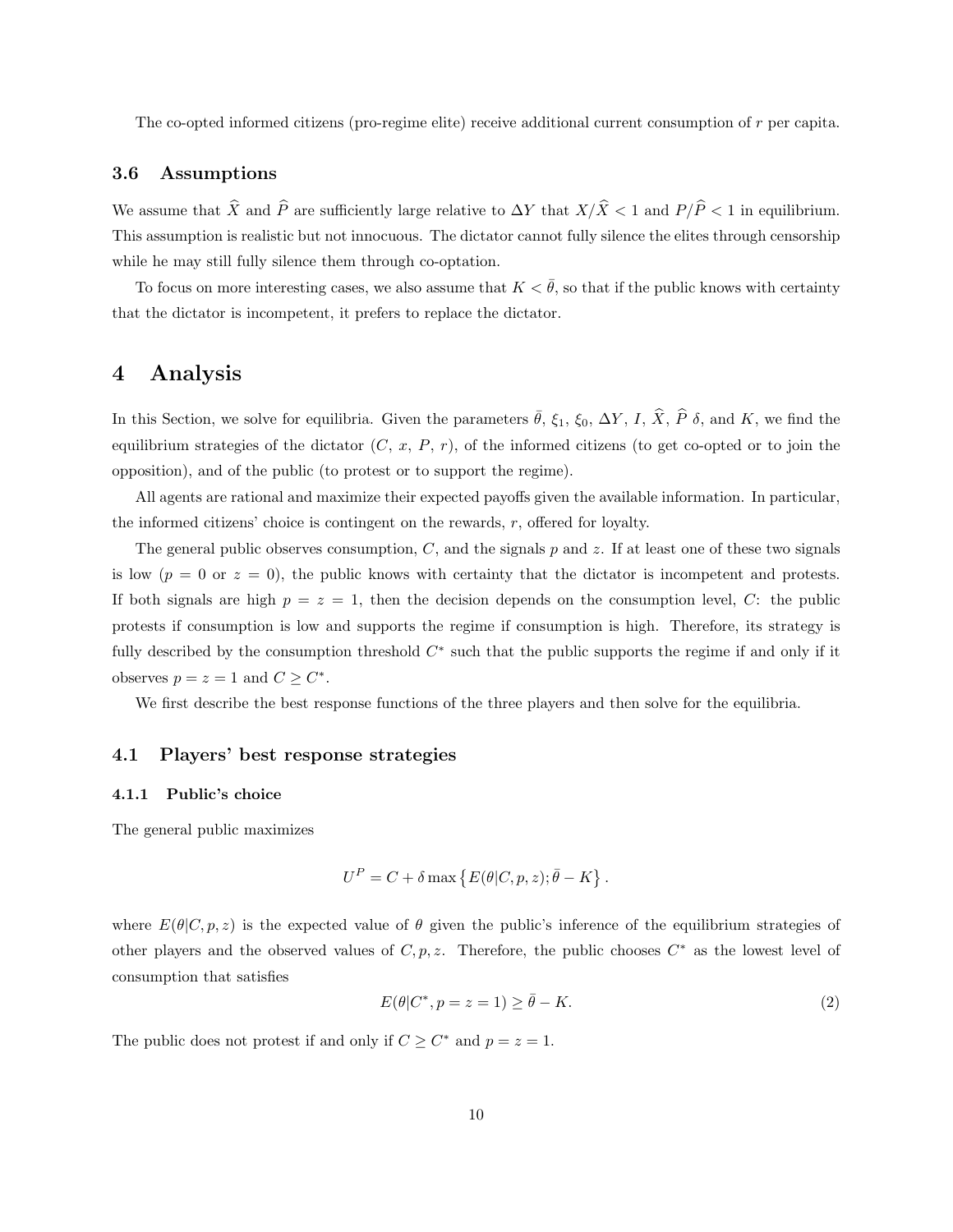The co-opted informed citizens (pro-regime elite) receive additional current consumption of r per capita.

## 3.6 Assumptions

We assume that  $\widehat{X}$  and  $\widehat{P}$  are sufficiently large relative to  $\Delta Y$  that  $X/\widehat{X} < 1$  and  $P/\widehat{P} < 1$  in equilibrium. This assumption is realistic but not innocuous. The dictator cannot fully silence the elites through censorship while he may still fully silence them through co-optation.

To focus on more interesting cases, we also assume that  $K < \bar{\theta}$ , so that if the public knows with certainty that the dictator is incompetent, it prefers to replace the dictator.

# 4 Analysis

In this Section, we solve for equilibria. Given the parameters  $\bar{\theta}$ ,  $\xi_1$ ,  $\xi_0$ ,  $\Delta Y$ , I,  $\hat{X}$ ,  $\hat{P}$   $\delta$ , and K, we find the equilibrium strategies of the dictator  $(C, x, P, r)$ , of the informed citizens (to get co-opted or to join the opposition), and of the public (to protest or to support the regime).

All agents are rational and maximize their expected payoffs given the available information. In particular, the informed citizens' choice is contingent on the rewards,  $r$ , offered for loyalty.

The general public observes consumption,  $C$ , and the signals p and z. If at least one of these two signals is low  $(p = 0 \text{ or } z = 0)$ , the public knows with certainty that the dictator is incompetent and protests. If both signals are high  $p = z = 1$ , then the decision depends on the consumption level, C: the public protests if consumption is low and supports the regime if consumption is high. Therefore, its strategy is fully described by the consumption threshold  $C^*$  such that the public supports the regime if and only if it observes  $p = z = 1$  and  $C \geq C^*$ .

We first describe the best response functions of the three players and then solve for the equilibria.

# 4.1 Players' best response strategies

#### 4.1.1 Public's choice

The general public maximizes

$$
U^{P} = C + \delta \max \{ E(\theta|C, p, z); \bar{\theta} - K \}.
$$

where  $E(\theta|C, p, z)$  is the expected value of  $\theta$  given the public's inference of the equilibrium strategies of other players and the observed values of  $C, p, z$ . Therefore, the public chooses  $C^*$  as the lowest level of consumption that satisfies

$$
E(\theta|C^*, p=z=1) \ge \bar{\theta} - K. \tag{2}
$$

The public does not protest if and only if  $C \geq C^*$  and  $p = z = 1$ .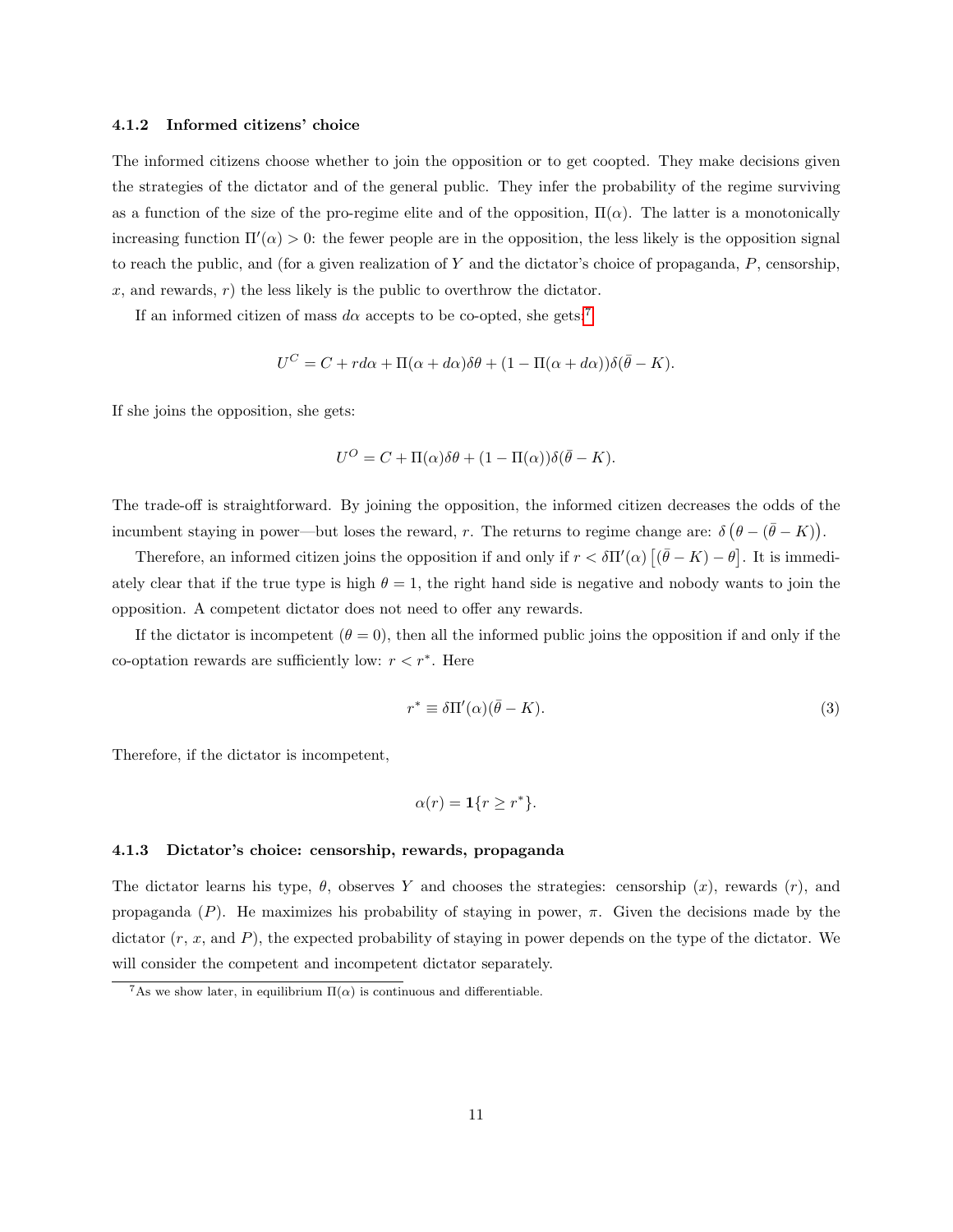#### 4.1.2 Informed citizens' choice

The informed citizens choose whether to join the opposition or to get coopted. They make decisions given the strategies of the dictator and of the general public. They infer the probability of the regime surviving as a function of the size of the pro-regime elite and of the opposition,  $\Pi(\alpha)$ . The latter is a monotonically increasing function  $\Pi'(\alpha) > 0$ : the fewer people are in the opposition, the less likely is the opposition signal to reach the public, and (for a given realization of Y and the dictator's choice of propaganda,  $P$ , censorship,  $x$ , and rewards,  $r$ ) the less likely is the public to overthrow the dictator.

If an informed citizen of mass  $d\alpha$  accepts to be co-opted, she gets:<sup>[7](#page-10-0)</sup>

$$
U^{C} = C + r d\alpha + \Pi(\alpha + d\alpha)\delta\theta + (1 - \Pi(\alpha + d\alpha))\delta(\bar{\theta} - K).
$$

If she joins the opposition, she gets:

$$
U^{O} = C + \Pi(\alpha)\delta\theta + (1 - \Pi(\alpha))\delta(\bar{\theta} - K).
$$

The trade-off is straightforward. By joining the opposition, the informed citizen decreases the odds of the incumbent staying in power—but loses the reward, r. The returns to regime change are:  $\delta (\theta - (\bar{\theta} - K))$ .

Therefore, an informed citizen joins the opposition if and only if  $r < \delta \Pi'(\alpha)$   $[(\bar{\theta} - K) - \theta]$ . It is immediately clear that if the true type is high  $\theta = 1$ , the right hand side is negative and nobody wants to join the opposition. A competent dictator does not need to offer any rewards.

If the dictator is incompetent  $(\theta = 0)$ , then all the informed public joins the opposition if and only if the co-optation rewards are sufficiently low:  $r < r^*$ . Here

<span id="page-10-1"></span>
$$
r^* \equiv \delta \Pi'(\alpha)(\bar{\theta} - K). \tag{3}
$$

Therefore, if the dictator is incompetent,

$$
\alpha(r) = \mathbf{1}\{r \ge r^*\}.
$$

#### 4.1.3 Dictator's choice: censorship, rewards, propaganda

The dictator learns his type,  $\theta$ , observes Y and chooses the strategies: censorship  $(x)$ , rewards  $(r)$ , and propaganda  $(P)$ . He maximizes his probability of staying in power,  $\pi$ . Given the decisions made by the dictator  $(r, x, \text{ and } P)$ , the expected probability of staying in power depends on the type of the dictator. We will consider the competent and incompetent dictator separately.

<span id="page-10-0"></span><sup>&</sup>lt;sup>7</sup>As we show later, in equilibrium  $\Pi(\alpha)$  is continuous and differentiable.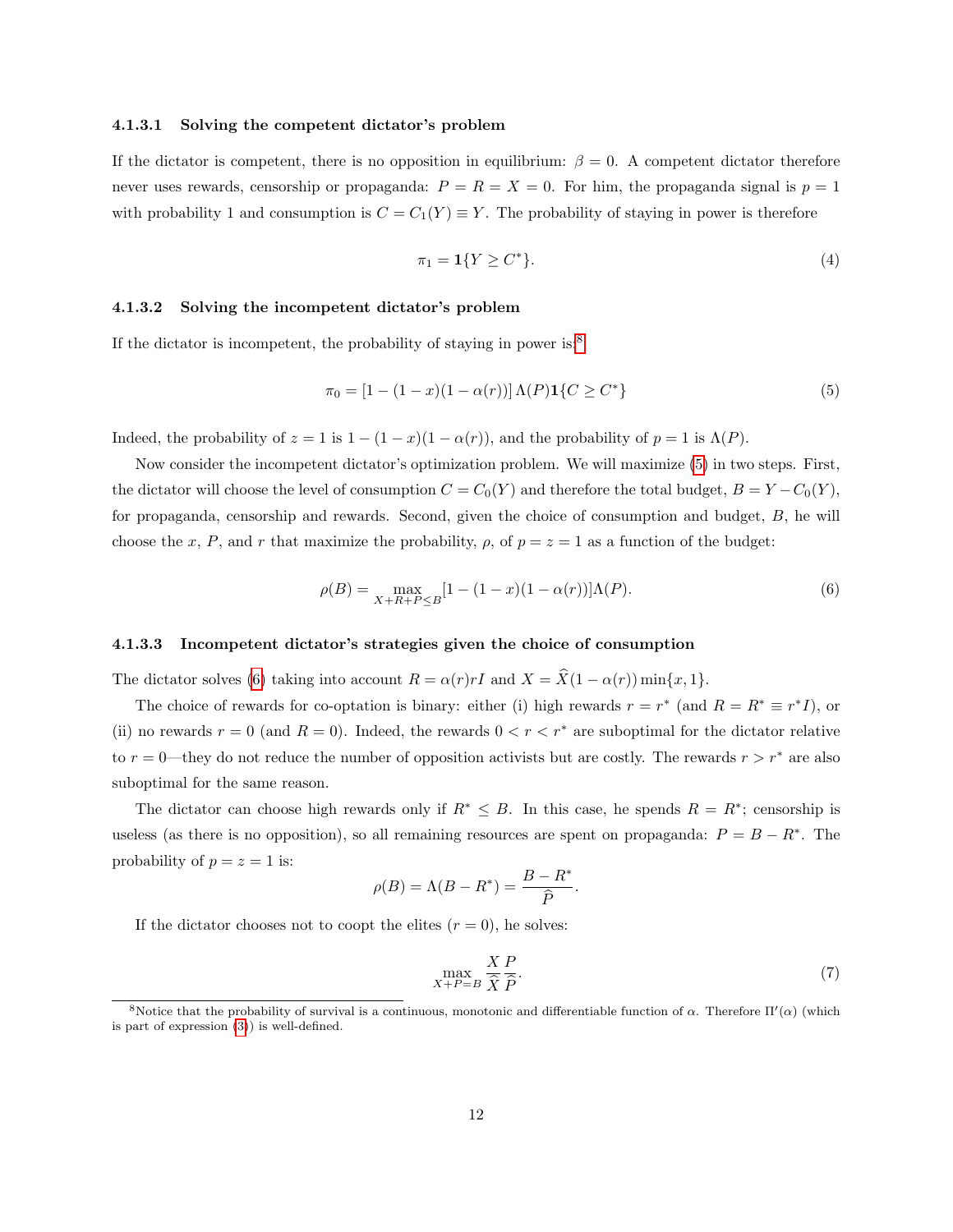## 4.1.3.1 Solving the competent dictator's problem

If the dictator is competent, there is no opposition in equilibrium:  $\beta = 0$ . A competent dictator therefore never uses rewards, censorship or propaganda:  $P = R = X = 0$ . For him, the propaganda signal is  $p = 1$ with probability 1 and consumption is  $C = C_1(Y) \equiv Y$ . The probability of staying in power is therefore

$$
\pi_1 = \mathbf{1}\{Y \ge C^*\}.\tag{4}
$$

## 4.1.3.2 Solving the incompetent dictator's problem

If the dictator is incompetent, the probability of staying in power is:<sup>[8](#page-11-0)</sup>

<span id="page-11-1"></span>
$$
\pi_0 = [1 - (1 - x)(1 - \alpha(r))] \Lambda(P) \mathbf{1} \{ C \ge C^* \}
$$
\n(5)

Indeed, the probability of  $z = 1$  is  $1 - (1 - x)(1 - \alpha(r))$ , and the probability of  $p = 1$  is  $\Lambda(P)$ .

Now consider the incompetent dictator's optimization problem. We will maximize [\(5\)](#page-11-1) in two steps. First, the dictator will choose the level of consumption  $C = C_0(Y)$  and therefore the total budget,  $B = Y - C_0(Y)$ , for propaganda, censorship and rewards. Second, given the choice of consumption and budget, B, he will choose the x, P, and r that maximize the probability,  $\rho$ , of  $p = z = 1$  as a function of the budget:

<span id="page-11-2"></span>
$$
\rho(B) = \max_{X + R + P \le B} [1 - (1 - x)(1 - \alpha(r))] \Lambda(P). \tag{6}
$$

#### 4.1.3.3 Incompetent dictator's strategies given the choice of consumption

The dictator solves [\(6\)](#page-11-2) taking into account  $R = \alpha(r)rI$  and  $X = \hat{X}(1 - \alpha(r)) \min\{x, 1\}.$ 

The choice of rewards for co-optation is binary: either (i) high rewards  $r = r^*$  (and  $R = R^* \equiv r^* I$ ), or (ii) no rewards  $r = 0$  (and  $R = 0$ ). Indeed, the rewards  $0 < r < r^*$  are suboptimal for the dictator relative to  $r = 0$ —they do not reduce the number of opposition activists but are costly. The rewards  $r > r^*$  are also suboptimal for the same reason.

The dictator can choose high rewards only if  $R^* \leq B$ . In this case, he spends  $R = R^*$ ; censorship is useless (as there is no opposition), so all remaining resources are spent on propaganda:  $P = B - R^*$ . The probability of  $p = z = 1$  is:

$$
\rho(B) = \Lambda(B - R^*) = \frac{B - R^*}{\hat{P}}.
$$

If the dictator chooses not to coopt the elites  $(r = 0)$ , he solves:

$$
\max_{X+P=B} \frac{X}{\widehat{X}} \frac{P}{\widehat{P}}.\tag{7}
$$

<span id="page-11-0"></span><sup>&</sup>lt;sup>8</sup>Notice that the probability of survival is a continuous, monotonic and differentiable function of  $\alpha$ . Therefore  $\Pi'(\alpha)$  (which is part of expression [\(3\)](#page-10-1)) is well-defined.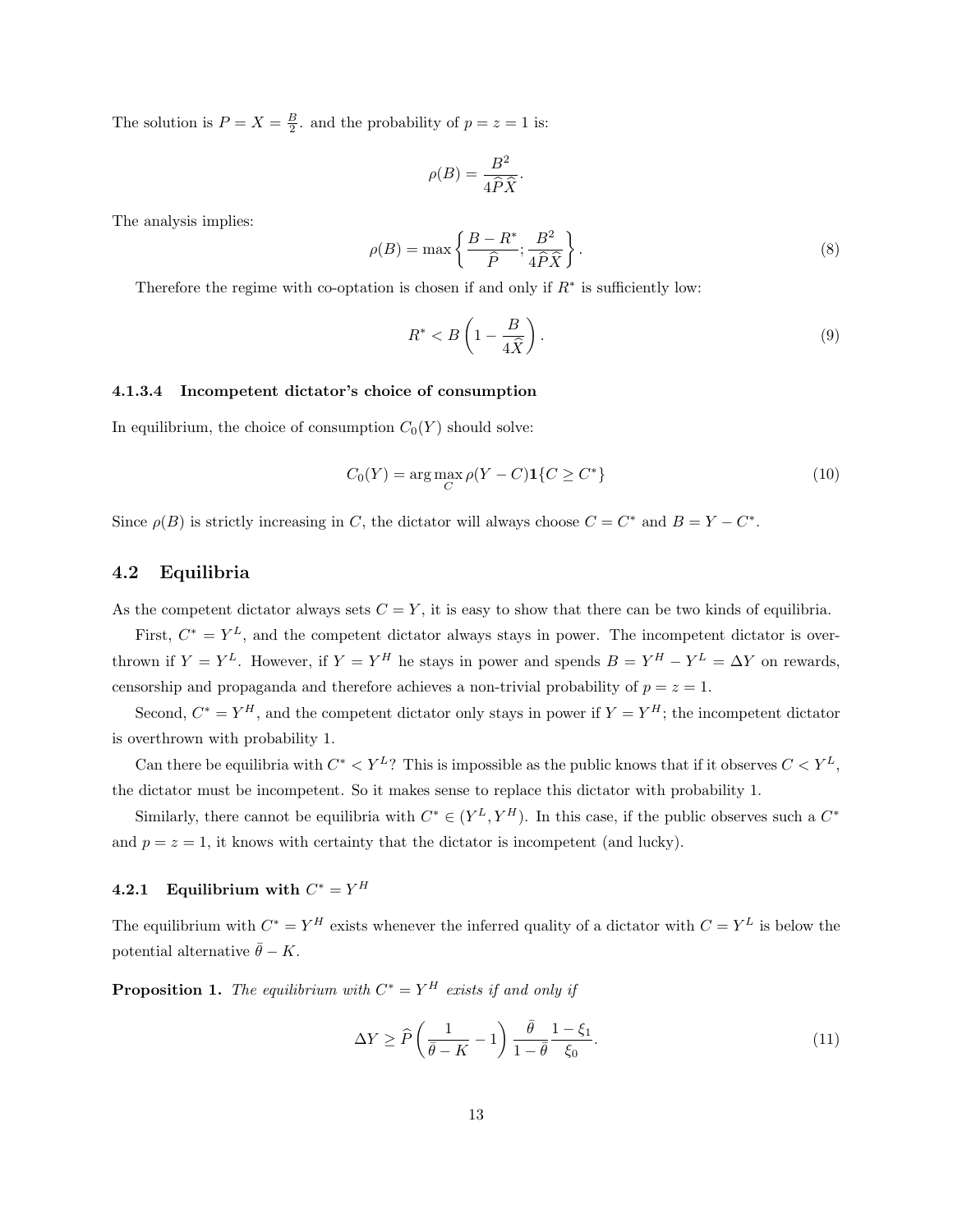The solution is  $P = X = \frac{B}{2}$ , and the probability of  $p = z = 1$  is:

$$
\rho(B) = \frac{B^2}{4\widehat{P}\widehat{X}}.
$$

The analysis implies:

$$
\rho(B) = \max\left\{\frac{B - R^*}{\hat{P}}; \frac{B^2}{4\hat{P}\hat{X}}\right\}.
$$
\n(8)

Therefore the regime with co-optation is chosen if and only if  $R^*$  is sufficiently low:

<span id="page-12-2"></span>
$$
R^* < B\left(1 - \frac{B}{4\hat{X}}\right). \tag{9}
$$

#### 4.1.3.4 Incompetent dictator's choice of consumption

In equilibrium, the choice of consumption  $C_0(Y)$  should solve:

$$
C_0(Y) = \arg\max_C \rho(Y - C) \mathbf{1}\{C \ge C^*\}\tag{10}
$$

Since  $\rho(B)$  is strictly increasing in C, the dictator will always choose  $C = C^*$  and  $B = Y - C^*$ .

# 4.2 Equilibria

As the competent dictator always sets  $C = Y$ , it is easy to show that there can be two kinds of equilibria.

First,  $C^* = Y^L$ , and the competent dictator always stays in power. The incompetent dictator is overthrown if  $Y = Y^L$ . However, if  $Y = Y^H$  he stays in power and spends  $B = Y^H - Y^L = \Delta Y$  on rewards, censorship and propaganda and therefore achieves a non-trivial probability of  $p = z = 1$ .

Second,  $C^* = Y^H$ , and the competent dictator only stays in power if  $Y = Y^H$ ; the incompetent dictator is overthrown with probability 1.

Can there be equilibria with  $C^* < Y^L$ ? This is impossible as the public knows that if it observes  $C < Y^L$ , the dictator must be incompetent. So it makes sense to replace this dictator with probability 1.

Similarly, there cannot be equilibria with  $C^* \in (Y^L, Y^H)$ . In this case, if the public observes such a  $C^*$ and  $p = z = 1$ , it knows with certainty that the dictator is incompetent (and lucky).

# 4.2.1 Equilibrium with  $C^* = Y^H$

The equilibrium with  $C^* = Y^H$  exists whenever the inferred quality of a dictator with  $C = Y^L$  is below the potential alternative  $\bar{\theta} - K$ .

<span id="page-12-1"></span>**Proposition 1.** The equilibrium with  $C^* = Y^H$  exists if and only if

<span id="page-12-0"></span>
$$
\Delta Y \ge \widehat{P}\left(\frac{1}{\bar{\theta} - K} - 1\right) \frac{\bar{\theta}}{1 - \bar{\theta}} \frac{1 - \xi_1}{\xi_0}.\tag{11}
$$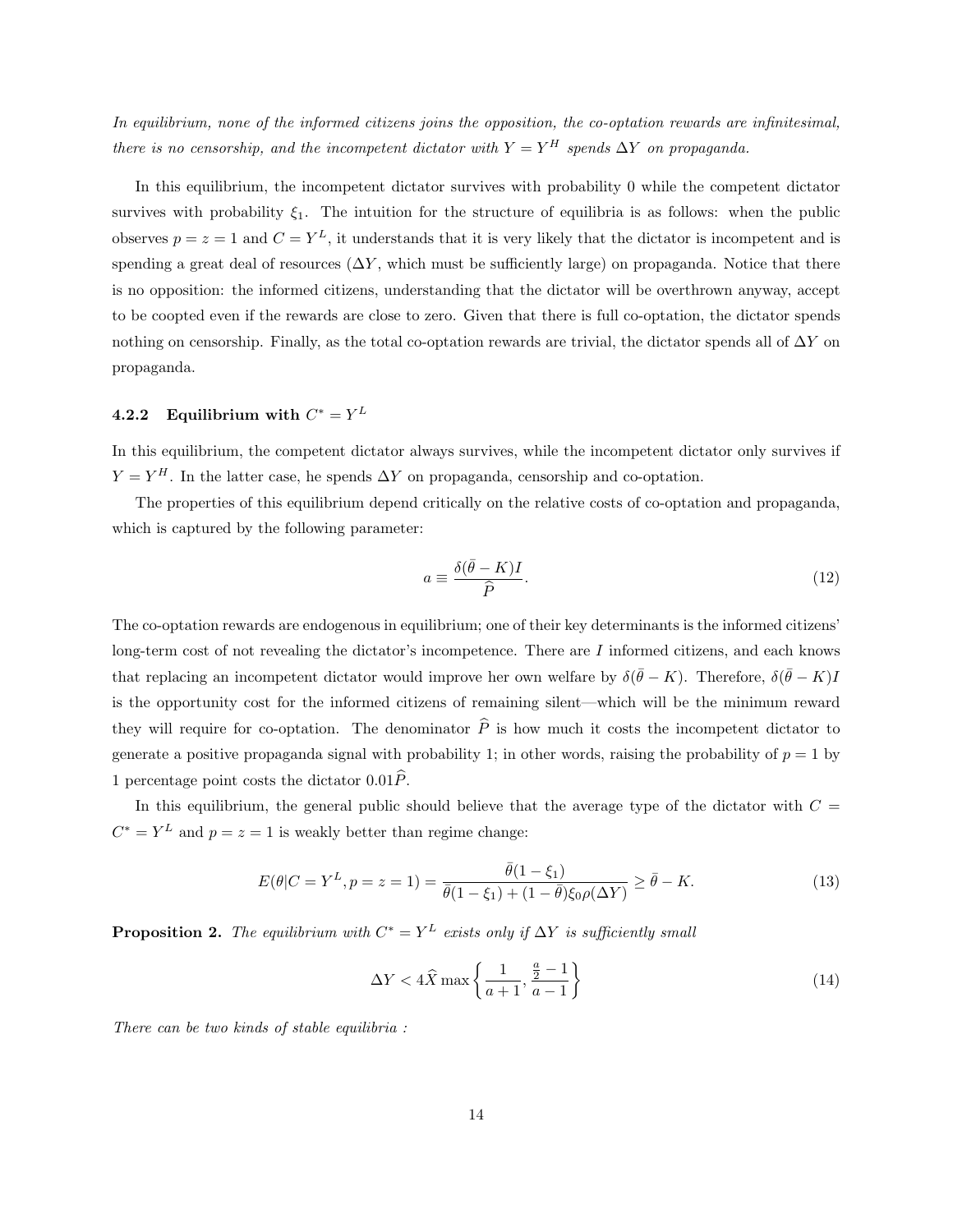In equilibrium, none of the informed citizens joins the opposition, the co-optation rewards are infinitesimal, there is no censorship, and the incompetent dictator with  $Y = Y^H$  spends  $\Delta Y$  on propaganda.

In this equilibrium, the incompetent dictator survives with probability 0 while the competent dictator survives with probability  $\xi_1$ . The intuition for the structure of equilibria is as follows: when the public observes  $p = z = 1$  and  $C = Y<sup>L</sup>$ , it understands that it is very likely that the dictator is incompetent and is spending a great deal of resources  $(\Delta Y)$ , which must be sufficiently large) on propaganda. Notice that there is no opposition: the informed citizens, understanding that the dictator will be overthrown anyway, accept to be coopted even if the rewards are close to zero. Given that there is full co-optation, the dictator spends nothing on censorship. Finally, as the total co-optation rewards are trivial, the dictator spends all of  $\Delta Y$  on propaganda.

# **4.2.2** Equilibrium with  $C^* = Y^L$

In this equilibrium, the competent dictator always survives, while the incompetent dictator only survives if  $Y = Y^H$ . In the latter case, he spends  $\Delta Y$  on propaganda, censorship and co-optation.

The properties of this equilibrium depend critically on the relative costs of co-optation and propaganda, which is captured by the following parameter:

$$
a \equiv \frac{\delta(\bar{\theta} - K)I}{\hat{P}}.\tag{12}
$$

The co-optation rewards are endogenous in equilibrium; one of their key determinants is the informed citizens' long-term cost of not revealing the dictator's incompetence. There are  $I$  informed citizens, and each knows that replacing an incompetent dictator would improve her own welfare by  $\delta(\bar{\theta} - K)$ . Therefore,  $\delta(\bar{\theta} - K)I$ is the opportunity cost for the informed citizens of remaining silent—which will be the minimum reward they will require for co-optation. The denominator  $\hat{P}$  is how much it costs the incompetent dictator to generate a positive propaganda signal with probability 1; in other words, raising the probability of  $p = 1$  by 1 percentage point costs the dictator  $0.01\dot{P}$ .

In this equilibrium, the general public should believe that the average type of the dictator with  $C =$  $C^* = Y^L$  and  $p = z = 1$  is weakly better than regime change:

<span id="page-13-2"></span>
$$
E(\theta|C = Y^L, p = z = 1) = \frac{\bar{\theta}(1 - \xi_1)}{\bar{\theta}(1 - \xi_1) + (1 - \bar{\theta})\xi_0\rho(\Delta Y)} \ge \bar{\theta} - K.
$$
\n(13)

<span id="page-13-1"></span>**Proposition 2.** The equilibrium with  $C^* = Y^L$  exists only if  $\Delta Y$  is sufficiently small

<span id="page-13-0"></span>
$$
\Delta Y < 4\widehat{X} \max \left\{ \frac{1}{a+1}, \frac{\frac{a}{2}-1}{a-1} \right\} \tag{14}
$$

There can be two kinds of stable equilibria :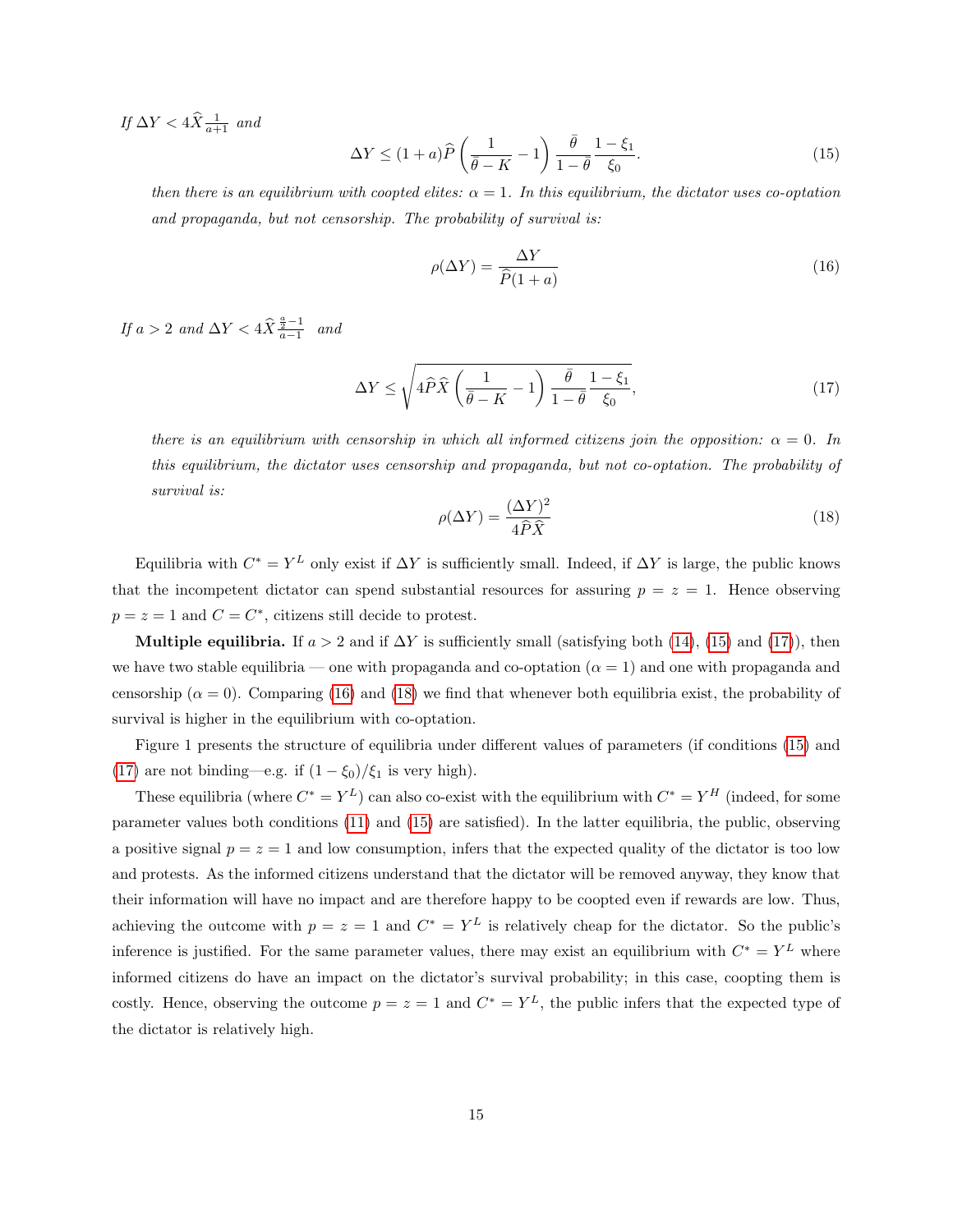If  $\Delta Y < 4\hat{X} \frac{1}{a+1}$  and

<span id="page-14-0"></span>
$$
\Delta Y \le (1+a)\widehat{P}\left(\frac{1}{\overline{\theta}-K}-1\right)\frac{\overline{\theta}}{1-\overline{\theta}}\frac{1-\xi_1}{\xi_0}.\tag{15}
$$

then there is an equilibrium with coopted elites:  $\alpha = 1$ . In this equilibrium, the dictator uses co-optation and propaganda, but not censorship. The probability of survival is:

<span id="page-14-2"></span>
$$
\rho(\Delta Y) = \frac{\Delta Y}{\hat{P}(1+a)}\tag{16}
$$

If  $a > 2$  and  $\Delta Y < 4\hat{X}^{\frac{a}{2}-1}$  and

<span id="page-14-1"></span>
$$
\Delta Y \le \sqrt{4\hat{P}\hat{X}\left(\frac{1}{\bar{\theta} - K} - 1\right)\frac{\bar{\theta}}{1 - \bar{\theta}}\frac{1 - \xi_1}{\xi_0}},\tag{17}
$$

there is an equilibrium with censorship in which all informed citizens join the opposition:  $\alpha = 0$ . In this equilibrium, the dictator uses censorship and propaganda, but not co-optation. The probability of survival is:

<span id="page-14-3"></span>
$$
\rho(\Delta Y) = \frac{(\Delta Y)^2}{4\hat{P}\hat{X}}\tag{18}
$$

Equilibria with  $C^* = Y^L$  only exist if  $\Delta Y$  is sufficiently small. Indeed, if  $\Delta Y$  is large, the public knows that the incompetent dictator can spend substantial resources for assuring  $p = z = 1$ . Hence observing  $p = z = 1$  and  $C = C^*$ , citizens still decide to protest.

Multiple equilibria. If  $a > 2$  and if  $\Delta Y$  is sufficiently small (satisfying both [\(14\)](#page-13-0), [\(15\)](#page-14-0) and [\(17\)](#page-14-1)), then we have two stable equilibria — one with propaganda and co-optation  $(\alpha = 1)$  and one with propaganda and censorship ( $\alpha = 0$ ). Comparing [\(16\)](#page-14-2) and [\(18\)](#page-14-3) we find that whenever both equilibria exist, the probability of survival is higher in the equilibrium with co-optation.

Figure 1 presents the structure of equilibria under different values of parameters (if conditions [\(15\)](#page-14-0) and [\(17\)](#page-14-1) are not binding—e.g. if  $(1 - \xi_0)/\xi_1$  is very high).

These equilibria (where  $C^* = Y^L$ ) can also co-exist with the equilibrium with  $C^* = Y^H$  (indeed, for some parameter values both conditions [\(11\)](#page-12-0) and [\(15\)](#page-14-0) are satisfied). In the latter equilibria, the public, observing a positive signal  $p = z = 1$  and low consumption, infers that the expected quality of the dictator is too low and protests. As the informed citizens understand that the dictator will be removed anyway, they know that their information will have no impact and are therefore happy to be coopted even if rewards are low. Thus, achieving the outcome with  $p = z = 1$  and  $C^* = Y^L$  is relatively cheap for the dictator. So the public's inference is justified. For the same parameter values, there may exist an equilibrium with  $C^* = Y^L$  where informed citizens do have an impact on the dictator's survival probability; in this case, coopting them is costly. Hence, observing the outcome  $p = z = 1$  and  $C^* = Y^L$ , the public infers that the expected type of the dictator is relatively high.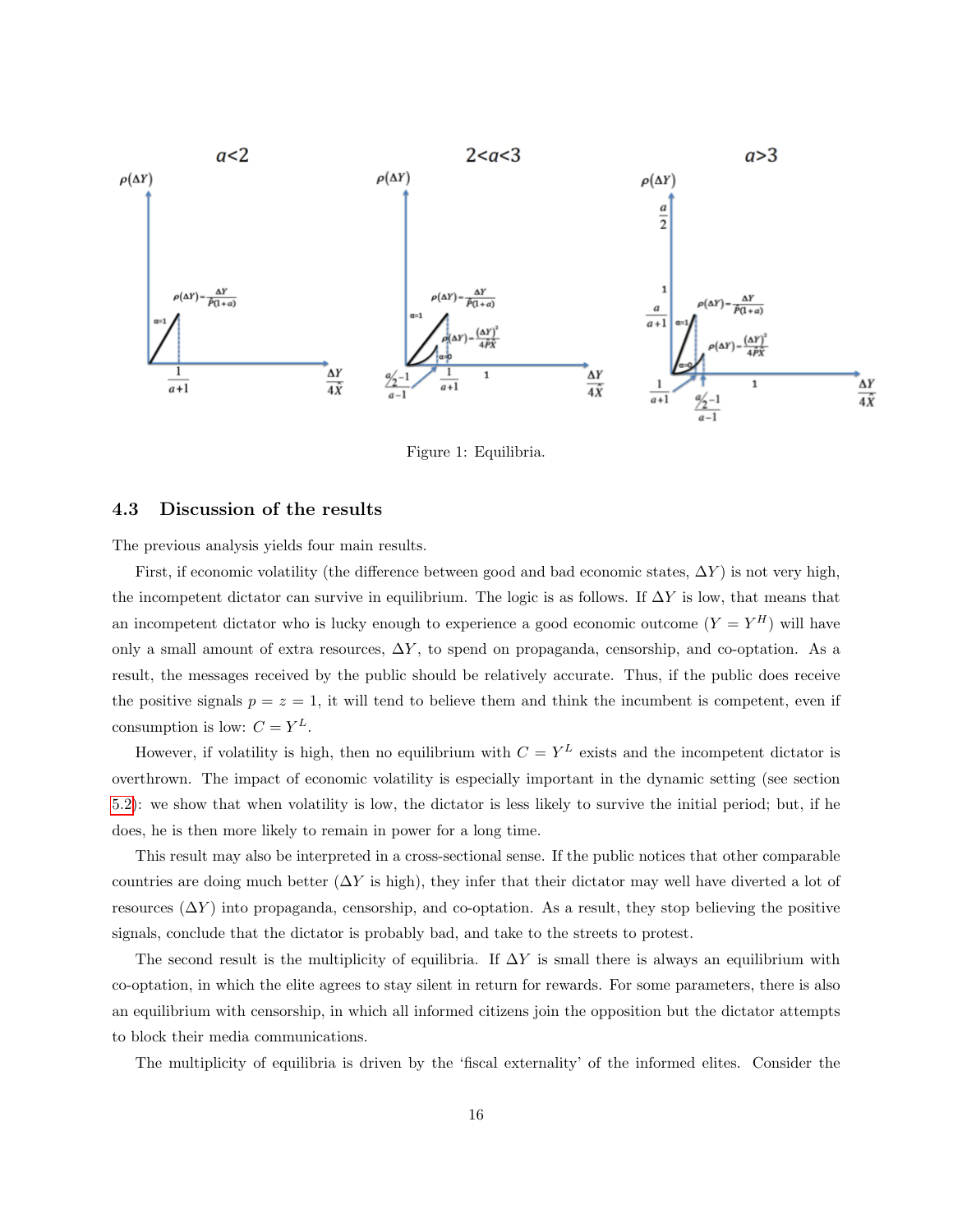

Figure 1: Equilibria.

## 4.3 Discussion of the results

The previous analysis yields four main results.

First, if economic volatility (the difference between good and bad economic states,  $\Delta Y$ ) is not very high, the incompetent dictator can survive in equilibrium. The logic is as follows. If  $\Delta Y$  is low, that means that an incompetent dictator who is lucky enough to experience a good economic outcome  $(Y = Y^H)$  will have only a small amount of extra resources, ∆Y , to spend on propaganda, censorship, and co-optation. As a result, the messages received by the public should be relatively accurate. Thus, if the public does receive the positive signals  $p = z = 1$ , it will tend to believe them and think the incumbent is competent, even if consumption is low:  $C = Y^L$ .

However, if volatility is high, then no equilibrium with  $C = Y^L$  exists and the incompetent dictator is overthrown. The impact of economic volatility is especially important in the dynamic setting (see section [5.2\)](#page-18-0): we show that when volatility is low, the dictator is less likely to survive the initial period; but, if he does, he is then more likely to remain in power for a long time.

This result may also be interpreted in a cross-sectional sense. If the public notices that other comparable countries are doing much better  $(\Delta Y)$  is high), they infer that their dictator may well have diverted a lot of resources  $(\Delta Y)$  into propaganda, censorship, and co-optation. As a result, they stop believing the positive signals, conclude that the dictator is probably bad, and take to the streets to protest.

The second result is the multiplicity of equilibria. If  $\Delta Y$  is small there is always an equilibrium with co-optation, in which the elite agrees to stay silent in return for rewards. For some parameters, there is also an equilibrium with censorship, in which all informed citizens join the opposition but the dictator attempts to block their media communications.

The multiplicity of equilibria is driven by the 'fiscal externality' of the informed elites. Consider the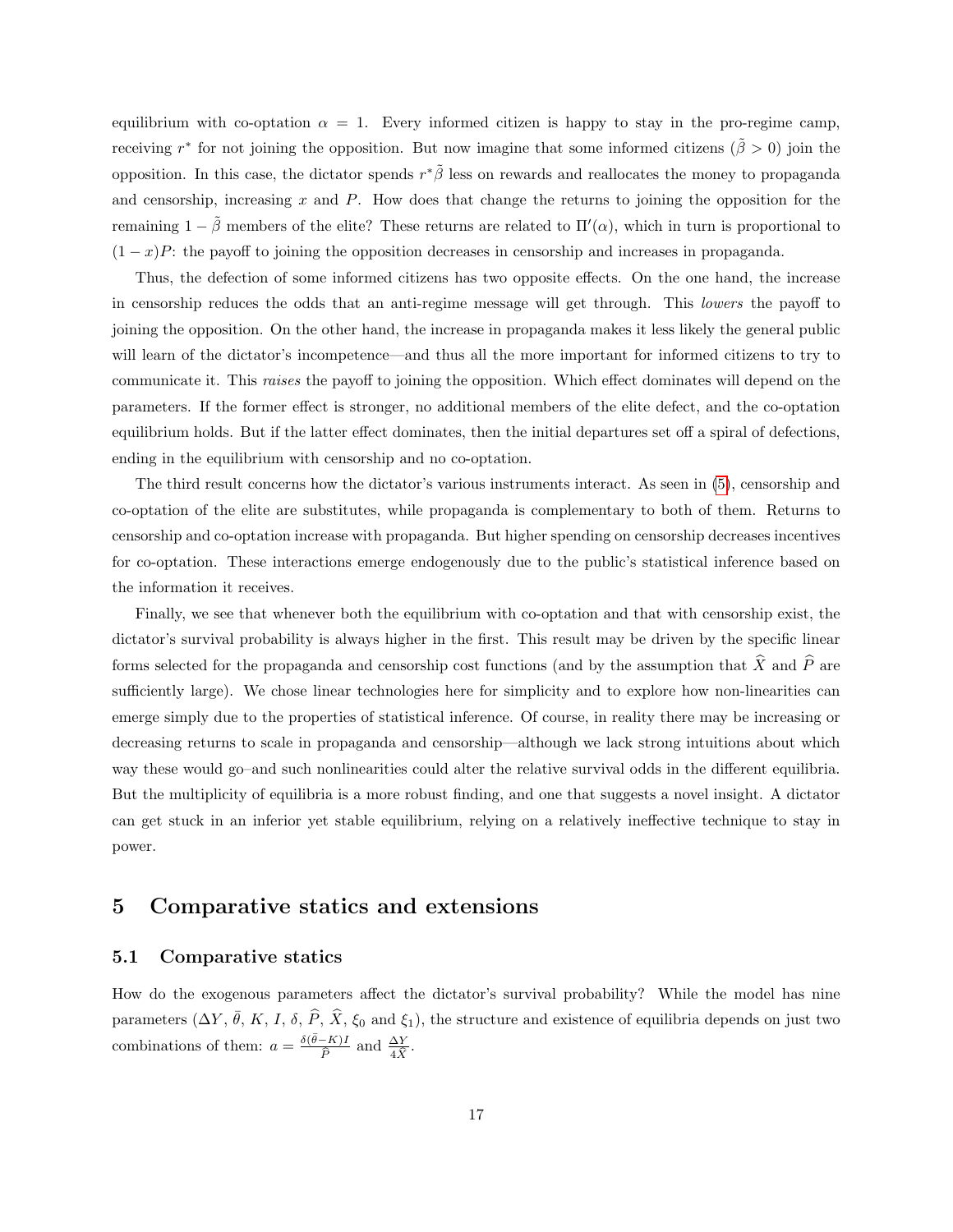equilibrium with co-optation  $\alpha = 1$ . Every informed citizen is happy to stay in the pro-regime camp, receiving r<sup>\*</sup> for not joining the opposition. But now imagine that some informed citizens ( $\tilde{\beta} > 0$ ) join the opposition. In this case, the dictator spends  $r^*\tilde{\beta}$  less on rewards and reallocates the money to propaganda and censorship, increasing  $x$  and  $P$ . How does that change the returns to joining the opposition for the remaining  $1 - \tilde{\beta}$  members of the elite? These returns are related to  $\Pi'(\alpha)$ , which in turn is proportional to  $(1-x)P$ : the payoff to joining the opposition decreases in censorship and increases in propaganda.

Thus, the defection of some informed citizens has two opposite effects. On the one hand, the increase in censorship reduces the odds that an anti-regime message will get through. This lowers the payoff to joining the opposition. On the other hand, the increase in propaganda makes it less likely the general public will learn of the dictator's incompetence—and thus all the more important for informed citizens to try to communicate it. This raises the payoff to joining the opposition. Which effect dominates will depend on the parameters. If the former effect is stronger, no additional members of the elite defect, and the co-optation equilibrium holds. But if the latter effect dominates, then the initial departures set off a spiral of defections, ending in the equilibrium with censorship and no co-optation.

The third result concerns how the dictator's various instruments interact. As seen in [\(5\)](#page-11-1), censorship and co-optation of the elite are substitutes, while propaganda is complementary to both of them. Returns to censorship and co-optation increase with propaganda. But higher spending on censorship decreases incentives for co-optation. These interactions emerge endogenously due to the public's statistical inference based on the information it receives.

Finally, we see that whenever both the equilibrium with co-optation and that with censorship exist, the dictator's survival probability is always higher in the first. This result may be driven by the specific linear forms selected for the propaganda and censorship cost functions (and by the assumption that  $\hat{X}$  and  $\hat{P}$  are sufficiently large). We chose linear technologies here for simplicity and to explore how non-linearities can emerge simply due to the properties of statistical inference. Of course, in reality there may be increasing or decreasing returns to scale in propaganda and censorship—although we lack strong intuitions about which way these would go–and such nonlinearities could alter the relative survival odds in the different equilibria. But the multiplicity of equilibria is a more robust finding, and one that suggests a novel insight. A dictator can get stuck in an inferior yet stable equilibrium, relying on a relatively ineffective technique to stay in power.

# 5 Comparative statics and extensions

# 5.1 Comparative statics

How do the exogenous parameters affect the dictator's survival probability? While the model has nine parameters  $(\Delta Y, \bar{\theta}, K, I, \delta, \hat{P}, \hat{X}, \xi_0 \text{ and } \xi_1)$ , the structure and existence of equilibria depends on just two combinations of them:  $a = \frac{\delta(\bar{\theta} - K)I}{\hat{D}}$  $\frac{-K}{\widehat{P}}$  and  $\frac{\Delta Y}{4\widehat{X}}$ .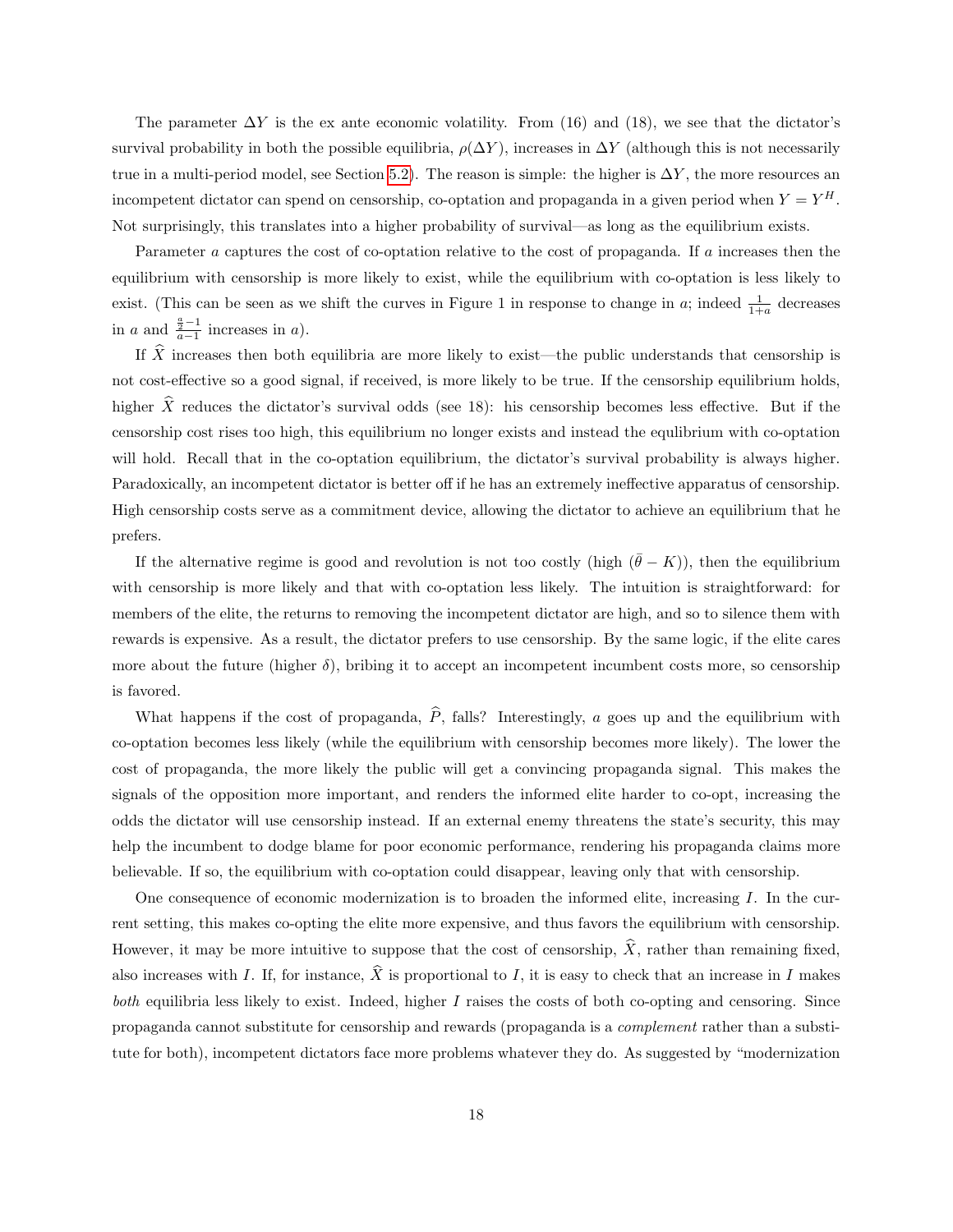The parameter  $\Delta Y$  is the ex ante economic volatility. From (16) and (18), we see that the dictator's survival probability in both the possible equilibria,  $\rho(\Delta Y)$ , increases in  $\Delta Y$  (although this is not necessarily true in a multi-period model, see Section [5.2\)](#page-18-0). The reason is simple: the higher is  $\Delta Y$ , the more resources an incompetent dictator can spend on censorship, co-optation and propaganda in a given period when  $Y = Y^H$ . Not surprisingly, this translates into a higher probability of survival—as long as the equilibrium exists.

Parameter a captures the cost of co-optation relative to the cost of propaganda. If a increases then the equilibrium with censorship is more likely to exist, while the equilibrium with co-optation is less likely to exist. (This can be seen as we shift the curves in Figure 1 in response to change in a; indeed  $\frac{1}{1+a}$  decreases in a and  $\frac{\frac{a}{2}-1}{a-1}$  increases in a).

If  $\hat{X}$  increases then both equilibria are more likely to exist—the public understands that censorship is not cost-effective so a good signal, if received, is more likely to be true. If the censorship equilibrium holds, higher  $\hat{X}$  reduces the dictator's survival odds (see 18): his censorship becomes less effective. But if the censorship cost rises too high, this equilibrium no longer exists and instead the equlibrium with co-optation will hold. Recall that in the co-optation equilibrium, the dictator's survival probability is always higher. Paradoxically, an incompetent dictator is better off if he has an extremely ineffective apparatus of censorship. High censorship costs serve as a commitment device, allowing the dictator to achieve an equilibrium that he prefers.

If the alternative regime is good and revolution is not too costly (high  $(\bar{\theta} - K)$ ), then the equilibrium with censorship is more likely and that with co-optation less likely. The intuition is straightforward: for members of the elite, the returns to removing the incompetent dictator are high, and so to silence them with rewards is expensive. As a result, the dictator prefers to use censorship. By the same logic, if the elite cares more about the future (higher  $\delta$ ), bribing it to accept an incompetent incumbent costs more, so censorship is favored.

What happens if the cost of propaganda,  $\hat{P}$ , falls? Interestingly, a goes up and the equilibrium with co-optation becomes less likely (while the equilibrium with censorship becomes more likely). The lower the cost of propaganda, the more likely the public will get a convincing propaganda signal. This makes the signals of the opposition more important, and renders the informed elite harder to co-opt, increasing the odds the dictator will use censorship instead. If an external enemy threatens the state's security, this may help the incumbent to dodge blame for poor economic performance, rendering his propaganda claims more believable. If so, the equilibrium with co-optation could disappear, leaving only that with censorship.

One consequence of economic modernization is to broaden the informed elite, increasing I. In the current setting, this makes co-opting the elite more expensive, and thus favors the equilibrium with censorship. However, it may be more intuitive to suppose that the cost of censorship,  $\hat{X}$ , rather than remaining fixed. also increases with I. If, for instance,  $\widehat{X}$  is proportional to I, it is easy to check that an increase in I makes both equilibria less likely to exist. Indeed, higher  $I$  raises the costs of both co-opting and censoring. Since propaganda cannot substitute for censorship and rewards (propaganda is a complement rather than a substitute for both), incompetent dictators face more problems whatever they do. As suggested by "modernization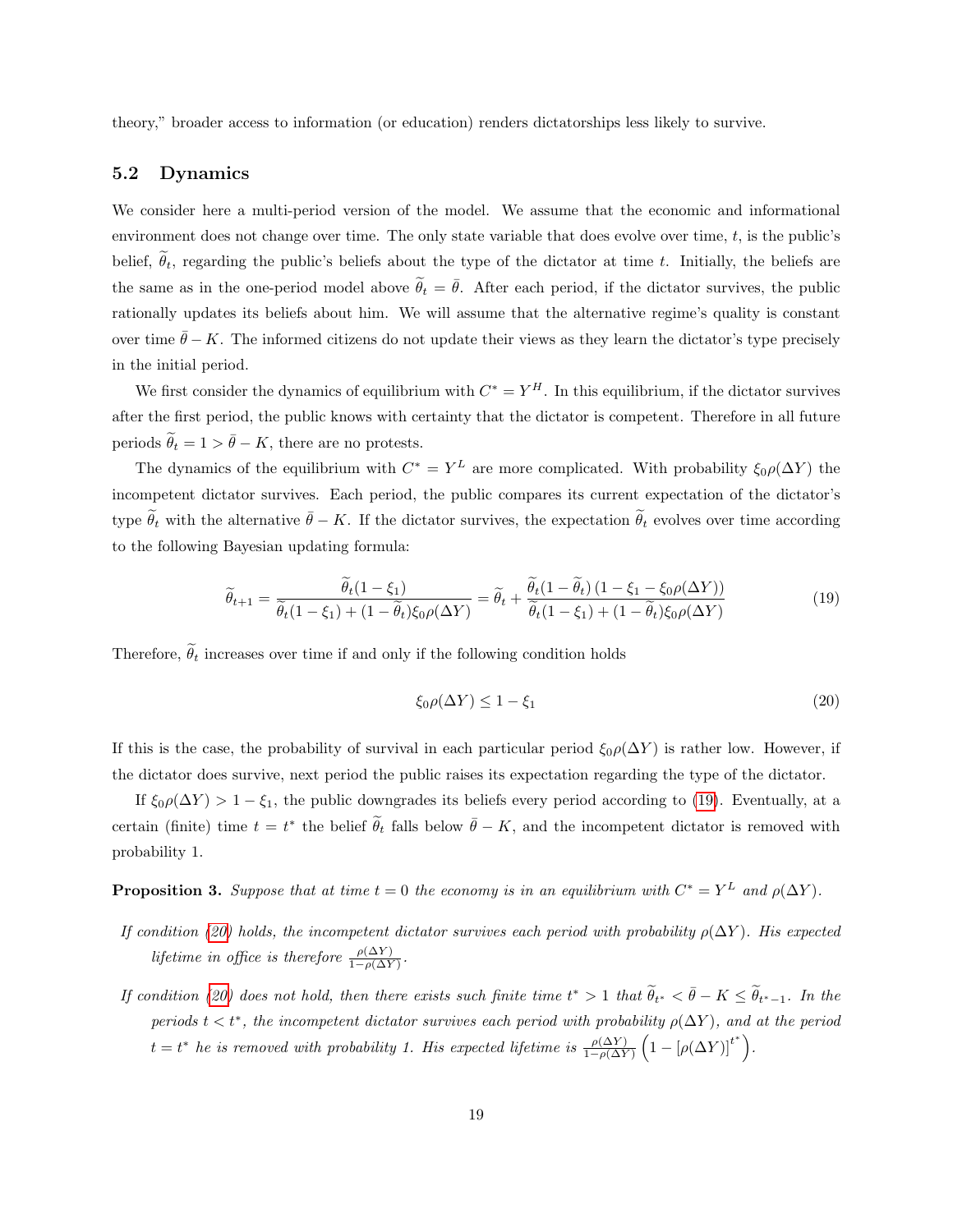theory," broader access to information (or education) renders dictatorships less likely to survive.

## <span id="page-18-0"></span>5.2 Dynamics

We consider here a multi-period version of the model. We assume that the economic and informational environment does not change over time. The only state variable that does evolve over time,  $t$ , is the public's belief,  $\tilde{\theta}_t$ , regarding the public's beliefs about the type of the dictator at time t. Initially, the beliefs are the same as in the one-period model above  $\tilde{\theta}_t = \bar{\theta}$ . After each period, if the dictator survives, the public rationally updates its beliefs about him. We will assume that the alternative regime's quality is constant over time  $\bar{\theta}$  − K. The informed citizens do not update their views as they learn the dictator's type precisely in the initial period.

We first consider the dynamics of equilibrium with  $C^* = Y^H$ . In this equilibrium, if the dictator survives after the first period, the public knows with certainty that the dictator is competent. Therefore in all future periods  $\tilde{\theta}_t = 1 > \bar{\theta} - K$ , there are no protests.

The dynamics of the equilibrium with  $C^* = Y^L$  are more complicated. With probability  $\xi_0 \rho(\Delta Y)$  the incompetent dictator survives. Each period, the public compares its current expectation of the dictator's type  $\tilde{\theta}_t$  with the alternative  $\bar{\theta} - K$ . If the dictator survives, the expectation  $\tilde{\theta}_t$  evolves over time according to the following Bayesian updating formula:

<span id="page-18-1"></span>
$$
\widetilde{\theta}_{t+1} = \frac{\widetilde{\theta}_{t}(1-\xi_{1})}{\widetilde{\theta}_{t}(1-\xi_{1}) + (1-\widetilde{\theta}_{t})\xi_{0}\rho(\Delta Y)} = \widetilde{\theta}_{t} + \frac{\widetilde{\theta}_{t}(1-\widetilde{\theta}_{t})\left(1-\xi_{1}-\xi_{0}\rho(\Delta Y)\right)}{\widetilde{\theta}_{t}(1-\xi_{1}) + (1-\widetilde{\theta}_{t})\xi_{0}\rho(\Delta Y)}
$$
(19)

Therefore,  $\tilde{\theta}_t$  increases over time if and only if the following condition holds

<span id="page-18-2"></span>
$$
\xi_0 \rho(\Delta Y) \le 1 - \xi_1 \tag{20}
$$

If this is the case, the probability of survival in each particular period  $\xi_0 \rho(\Delta Y)$  is rather low. However, if the dictator does survive, next period the public raises its expectation regarding the type of the dictator.

If  $\xi_0 \rho(\Delta Y) > 1 - \xi_1$ , the public downgrades its beliefs every period according to [\(19\)](#page-18-1). Eventually, at a certain (finite) time  $t = t^*$  the belief  $\tilde{\theta}_t$  falls below  $\bar{\theta} - K$ , and the incompetent dictator is removed with probability 1.

**Proposition 3.** Suppose that at time  $t = 0$  the economy is in an equilibrium with  $C^* = Y^L$  and  $\rho(\Delta Y)$ .

- If condition [\(20\)](#page-18-2) holds, the incompetent dictator survives each period with probability  $\rho(\Delta Y)$ . His expected lifetime in office is therefore  $\frac{\rho(\Delta Y)}{1-\rho(\Delta Y)}$ .
- If condition [\(20\)](#page-18-2) does not hold, then there exists such finite time  $t^* > 1$  that  $\widetilde{\theta}_{t^*} < \overline{\theta} K \leq \widetilde{\theta}_{t^*-1}$ . In the periods  $t < t^*$ , the incompetent dictator survives each period with probability  $\rho(\Delta Y)$ , and at the period  $t = t^*$  he is removed with probability 1. His expected lifetime is  $\frac{\rho(\Delta Y)}{1 - \rho(\Delta Y)} \left(1 - \left[\rho(\Delta Y)\right]^{t^*}\right)$ .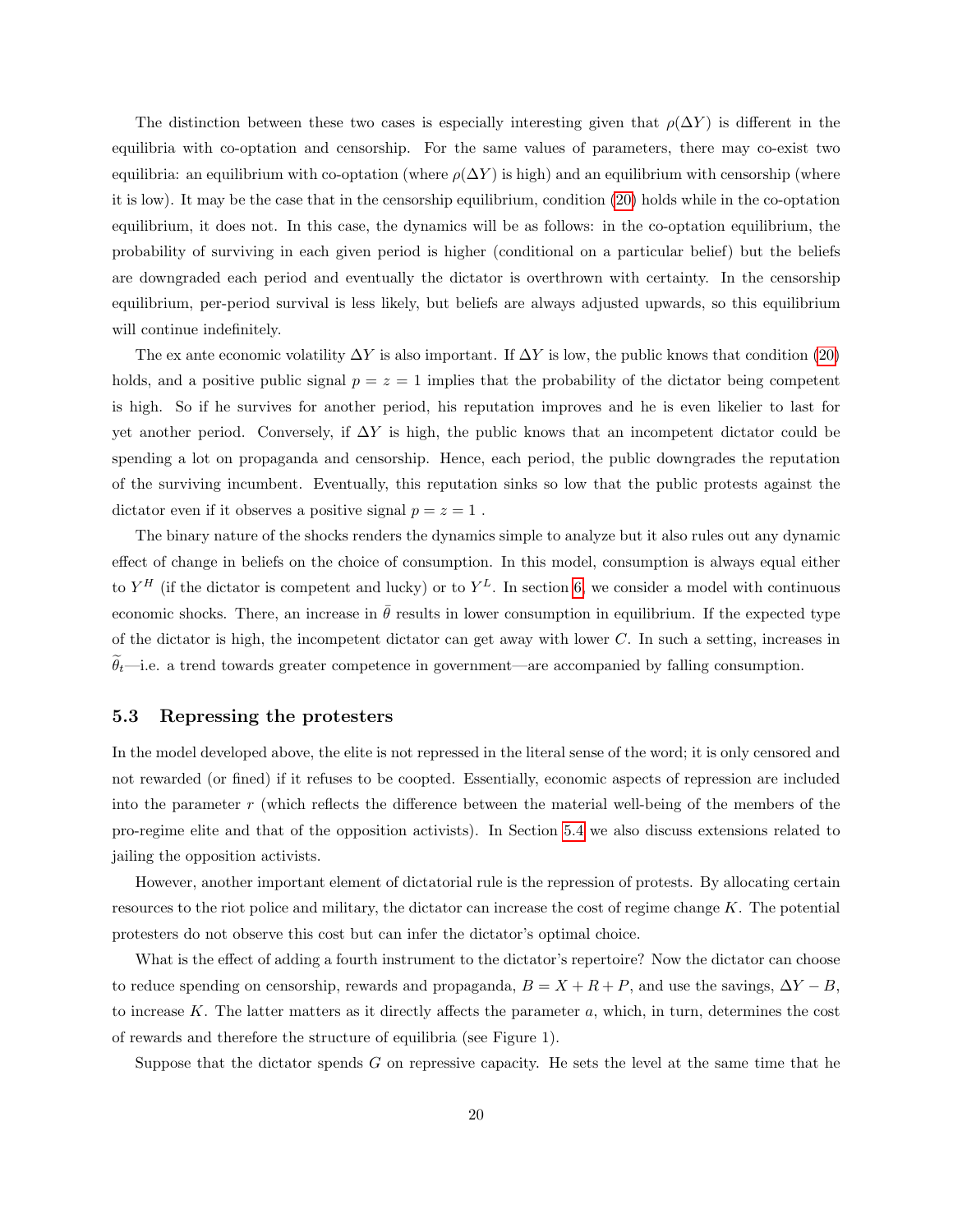The distinction between these two cases is especially interesting given that  $\rho(\Delta Y)$  is different in the equilibria with co-optation and censorship. For the same values of parameters, there may co-exist two equilibria: an equilibrium with co-optation (where  $\rho(\Delta Y)$  is high) and an equilibrium with censorship (where it is low). It may be the case that in the censorship equilibrium, condition [\(20\)](#page-18-2) holds while in the co-optation equilibrium, it does not. In this case, the dynamics will be as follows: in the co-optation equilibrium, the probability of surviving in each given period is higher (conditional on a particular belief) but the beliefs are downgraded each period and eventually the dictator is overthrown with certainty. In the censorship equilibrium, per-period survival is less likely, but beliefs are always adjusted upwards, so this equilibrium will continue indefinitely.

The ex ante economic volatility  $\Delta Y$  is also important. If  $\Delta Y$  is low, the public knows that condition [\(20\)](#page-18-2) holds, and a positive public signal  $p = z = 1$  implies that the probability of the dictator being competent is high. So if he survives for another period, his reputation improves and he is even likelier to last for yet another period. Conversely, if  $\Delta Y$  is high, the public knows that an incompetent dictator could be spending a lot on propaganda and censorship. Hence, each period, the public downgrades the reputation of the surviving incumbent. Eventually, this reputation sinks so low that the public protests against the dictator even if it observes a positive signal  $p=z=1$  .

The binary nature of the shocks renders the dynamics simple to analyze but it also rules out any dynamic effect of change in beliefs on the choice of consumption. In this model, consumption is always equal either to  $Y^H$  (if the dictator is competent and lucky) or to  $Y^L$ . In section [6,](#page-22-0) we consider a model with continuous economic shocks. There, an increase in  $\bar{\theta}$  results in lower consumption in equilibrium. If the expected type of the dictator is high, the incompetent dictator can get away with lower  $C$ . In such a setting, increases in  $\tilde{\theta}_t$ —i.e. a trend towards greater competence in government—are accompanied by falling consumption.

# 5.3 Repressing the protesters

In the model developed above, the elite is not repressed in the literal sense of the word; it is only censored and not rewarded (or fined) if it refuses to be coopted. Essentially, economic aspects of repression are included into the parameter r (which reflects the difference between the material well-being of the members of the pro-regime elite and that of the opposition activists). In Section [5.4](#page-21-0) we also discuss extensions related to jailing the opposition activists.

However, another important element of dictatorial rule is the repression of protests. By allocating certain resources to the riot police and military, the dictator can increase the cost of regime change K. The potential protesters do not observe this cost but can infer the dictator's optimal choice.

What is the effect of adding a fourth instrument to the dictator's repertoire? Now the dictator can choose to reduce spending on censorship, rewards and propaganda,  $B = X + R + P$ , and use the savings,  $\Delta Y - B$ , to increase K. The latter matters as it directly affects the parameter  $a$ , which, in turn, determines the cost of rewards and therefore the structure of equilibria (see Figure 1).

Suppose that the dictator spends G on repressive capacity. He sets the level at the same time that he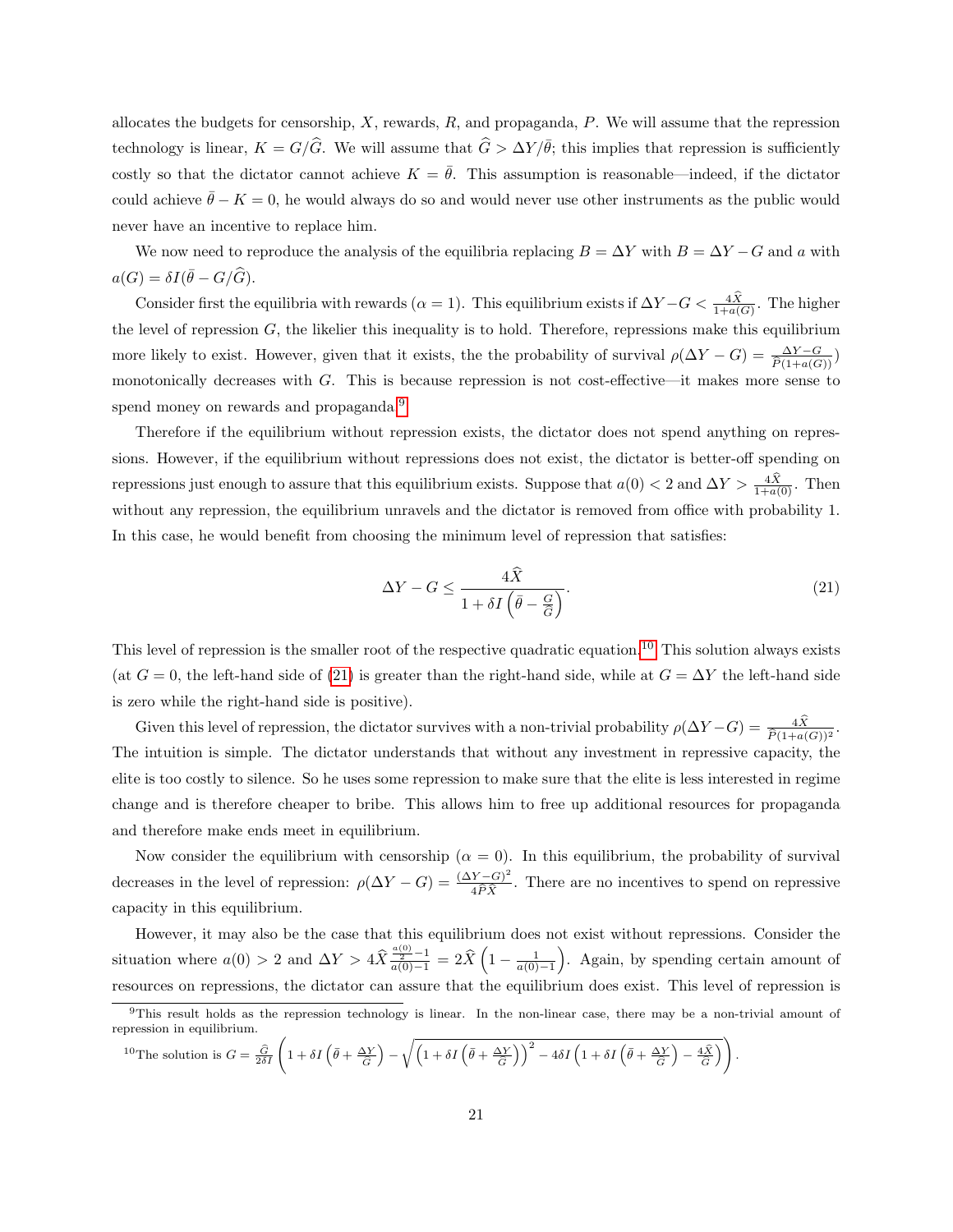allocates the budgets for censorship,  $X$ , rewards,  $R$ , and propaganda,  $P$ . We will assume that the repression technology is linear,  $K = G/\widehat{G}$ . We will assume that  $\widehat{G} > \Delta Y / \overline{\theta}$ ; this implies that repression is sufficiently costly so that the dictator cannot achieve  $K = \overline{\theta}$ . This assumption is reasonable—indeed, if the dictator could achieve  $\bar{\theta} - K = 0$ , he would always do so and would never use other instruments as the public would never have an incentive to replace him.

We now need to reproduce the analysis of the equilibria replacing  $B = \Delta Y$  with  $B = \Delta Y - G$  and a with  $a(G) = \delta I(\bar{\theta} - G/\widehat{G}).$ 

Consider first the equilibria with rewards ( $\alpha = 1$ ). This equilibrium exists if  $\Delta Y - G < \frac{4X}{1+a(G)}$ . The higher the level of repression  $G$ , the likelier this inequality is to hold. Therefore, repressions make this equilibrium more likely to exist. However, given that it exists, the the probability of survival  $\rho(\Delta Y - G) = \frac{\Delta Y - G}{\hat{P}(1 + a(G))}$ monotonically decreases with G. This is because repression is not cost-effective—it makes more sense to spend money on rewards and propaganda.<sup>[9](#page-20-0)</sup>

Therefore if the equilibrium without repression exists, the dictator does not spend anything on repressions. However, if the equilibrium without repressions does not exist, the dictator is better-off spending on repressions just enough to assure that this equilibrium exists. Suppose that  $a(0) < 2$  and  $\Delta Y > \frac{4X}{1+a(0)}$ . Then without any repression, the equilibrium unravels and the dictator is removed from office with probability 1. In this case, he would benefit from choosing the minimum level of repression that satisfies:

<span id="page-20-2"></span>
$$
\Delta Y - G \le \frac{4\hat{X}}{1 + \delta I \left(\bar{\theta} - \frac{G}{\hat{G}}\right)}.\tag{21}
$$

.

This level of repression is the smaller root of the respective quadratic equation.<sup>[10](#page-20-1)</sup> This solution always exists (at  $G = 0$ , the left-hand side of [\(21\)](#page-20-2) is greater than the right-hand side, while at  $G = \Delta Y$  the left-hand side is zero while the right-hand side is positive).

Given this level of repression, the dictator survives with a non-trivial probability  $\rho(\Delta Y - G) = \frac{4X}{\hat{P}(1+a(G))^2}$ . The intuition is simple. The dictator understands that without any investment in repressive capacity, the elite is too costly to silence. So he uses some repression to make sure that the elite is less interested in regime change and is therefore cheaper to bribe. This allows him to free up additional resources for propaganda and therefore make ends meet in equilibrium.

Now consider the equilibrium with censorship ( $\alpha = 0$ ). In this equilibrium, the probability of survival decreases in the level of repression:  $\rho(\Delta Y - G) = \frac{(\Delta Y - G)^2}{4.6 \Omega}$  $\frac{1}{4\hat{P}\hat{X}}$ . There are no incentives to spend on repressive capacity in this equilibrium.

However, it may also be the case that this equilibrium does not exist without repressions. Consider the situation where  $a(0) > 2$  and  $\Delta Y > 4\hat{X}\frac{\frac{a(0)}{2}-1}{a(0)-1} = 2\hat{X}\left(1-\frac{1}{a(0)-1}\right)$ . Again, by spending certain amount of resources on repressions, the dictator can assure that the equilibrium does exist. This level of repression is

<span id="page-20-1"></span>
$$
{}^{10}\text{The solution is } G = \frac{\widehat{G}}{2\delta I} \left(1 + \delta I \left(\bar{\theta} + \frac{\Delta Y}{\widehat{G}}\right) - \sqrt{\left(1 + \delta I \left(\bar{\theta} + \frac{\Delta Y}{\widehat{G}}\right)\right)^2 - 4\delta I \left(1 + \delta I \left(\bar{\theta} + \frac{\Delta Y}{\widehat{G}}\right) - \frac{4\widehat{X}}{\widehat{G}}\right)}\right)
$$

<span id="page-20-0"></span> $9$ This result holds as the repression technology is linear. In the non-linear case, there may be a non-trivial amount of repression in equilibrium.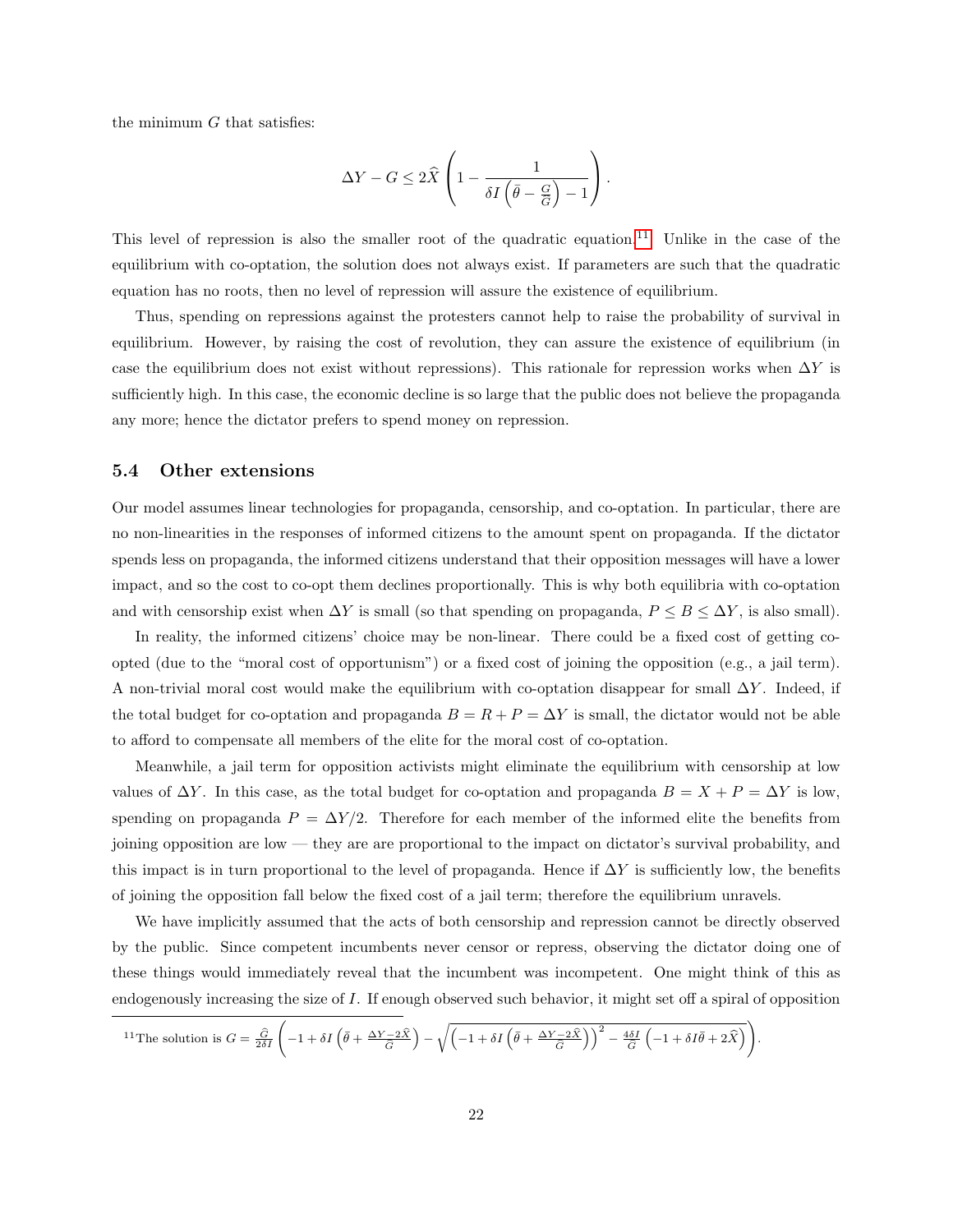the minimum  $G$  that satisfies:

$$
\Delta Y - G \le 2\widehat{X}\left(1 - \frac{1}{\delta I\left(\bar{\theta} - \frac{G}{\widehat{G}}\right) - 1}\right).
$$

This level of repression is also the smaller root of the quadratic equation.[11](#page-21-1) Unlike in the case of the equilibrium with co-optation, the solution does not always exist. If parameters are such that the quadratic equation has no roots, then no level of repression will assure the existence of equilibrium.

Thus, spending on repressions against the protesters cannot help to raise the probability of survival in equilibrium. However, by raising the cost of revolution, they can assure the existence of equilibrium (in case the equilibrium does not exist without repressions). This rationale for repression works when  $\Delta Y$  is sufficiently high. In this case, the economic decline is so large that the public does not believe the propaganda any more; hence the dictator prefers to spend money on repression.

# <span id="page-21-0"></span>5.4 Other extensions

Our model assumes linear technologies for propaganda, censorship, and co-optation. In particular, there are no non-linearities in the responses of informed citizens to the amount spent on propaganda. If the dictator spends less on propaganda, the informed citizens understand that their opposition messages will have a lower impact, and so the cost to co-opt them declines proportionally. This is why both equilibria with co-optation and with censorship exist when  $\Delta Y$  is small (so that spending on propaganda,  $P \leq B \leq \Delta Y$ , is also small).

In reality, the informed citizens' choice may be non-linear. There could be a fixed cost of getting coopted (due to the "moral cost of opportunism") or a fixed cost of joining the opposition (e.g., a jail term). A non-trivial moral cost would make the equilibrium with co-optation disappear for small  $\Delta Y$ . Indeed, if the total budget for co-optation and propaganda  $B = R + P = \Delta Y$  is small, the dictator would not be able to afford to compensate all members of the elite for the moral cost of co-optation.

Meanwhile, a jail term for opposition activists might eliminate the equilibrium with censorship at low values of  $\Delta Y$ . In this case, as the total budget for co-optation and propaganda  $B = X + P = \Delta Y$  is low, spending on propaganda  $P = \Delta Y/2$ . Therefore for each member of the informed elite the benefits from joining opposition are low — they are are proportional to the impact on dictator's survival probability, and this impact is in turn proportional to the level of propaganda. Hence if  $\Delta Y$  is sufficiently low, the benefits of joining the opposition fall below the fixed cost of a jail term; therefore the equilibrium unravels.

We have implicitly assumed that the acts of both censorship and repression cannot be directly observed by the public. Since competent incumbents never censor or repress, observing the dictator doing one of these things would immediately reveal that the incumbent was incompetent. One might think of this as endogenously increasing the size of I. If enough observed such behavior, it might set off a spiral of opposition

<span id="page-21-1"></span>
$$
{}^{11}\text{The solution is } G = \frac{\hat{G}}{2\delta I} \left( -1 + \delta I \left( \bar{\theta} + \frac{\Delta Y - 2\hat{X}}{\hat{G}} \right) - \sqrt{\left( -1 + \delta I \left( \bar{\theta} + \frac{\Delta Y - 2\hat{X}}{\hat{G}} \right) \right)^2 - \frac{4\delta I}{\hat{G}} \left( -1 + \delta I \bar{\theta} + 2\hat{X} \right)} \right).
$$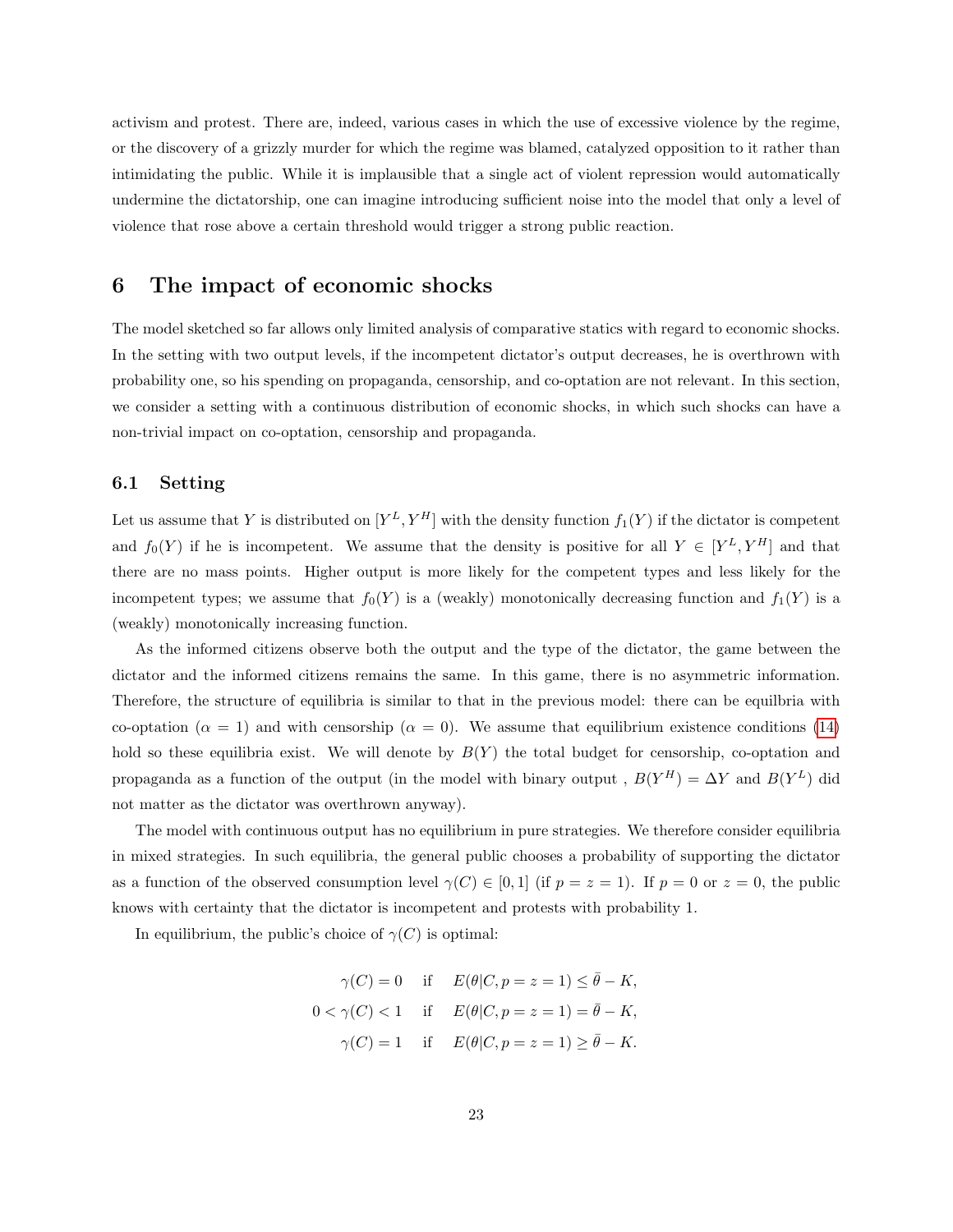activism and protest. There are, indeed, various cases in which the use of excessive violence by the regime, or the discovery of a grizzly murder for which the regime was blamed, catalyzed opposition to it rather than intimidating the public. While it is implausible that a single act of violent repression would automatically undermine the dictatorship, one can imagine introducing sufficient noise into the model that only a level of violence that rose above a certain threshold would trigger a strong public reaction.

# <span id="page-22-0"></span>6 The impact of economic shocks

The model sketched so far allows only limited analysis of comparative statics with regard to economic shocks. In the setting with two output levels, if the incompetent dictator's output decreases, he is overthrown with probability one, so his spending on propaganda, censorship, and co-optation are not relevant. In this section, we consider a setting with a continuous distribution of economic shocks, in which such shocks can have a non-trivial impact on co-optation, censorship and propaganda.

# 6.1 Setting

Let us assume that Y is distributed on  $[Y^L, Y^H]$  with the density function  $f_1(Y)$  if the dictator is competent and  $f_0(Y)$  if he is incompetent. We assume that the density is positive for all  $Y \in [Y^L, Y^H]$  and that there are no mass points. Higher output is more likely for the competent types and less likely for the incompetent types; we assume that  $f_0(Y)$  is a (weakly) monotonically decreasing function and  $f_1(Y)$  is a (weakly) monotonically increasing function.

As the informed citizens observe both the output and the type of the dictator, the game between the dictator and the informed citizens remains the same. In this game, there is no asymmetric information. Therefore, the structure of equilibria is similar to that in the previous model: there can be equilbria with co-optation ( $\alpha = 1$ ) and with censorship ( $\alpha = 0$ ). We assume that equilibrium existence conditions [\(14\)](#page-13-0) hold so these equilibria exist. We will denote by  $B(Y)$  the total budget for censorship, co-optation and propaganda as a function of the output (in the model with binary output,  $B(Y^H) = \Delta Y$  and  $B(Y^L)$  did not matter as the dictator was overthrown anyway).

The model with continuous output has no equilibrium in pure strategies. We therefore consider equilibria in mixed strategies. In such equilibria, the general public chooses a probability of supporting the dictator as a function of the observed consumption level  $\gamma(C) \in [0,1]$  (if  $p = z = 1$ ). If  $p = 0$  or  $z = 0$ , the public knows with certainty that the dictator is incompetent and protests with probability 1.

In equilibrium, the public's choice of  $\gamma(C)$  is optimal:

$$
\gamma(C) = 0 \quad \text{if} \quad E(\theta|C, p = z = 1) \le \bar{\theta} - K,
$$
  

$$
0 < \gamma(C) < 1 \quad \text{if} \quad E(\theta|C, p = z = 1) = \bar{\theta} - K,
$$
  

$$
\gamma(C) = 1 \quad \text{if} \quad E(\theta|C, p = z = 1) \ge \bar{\theta} - K.
$$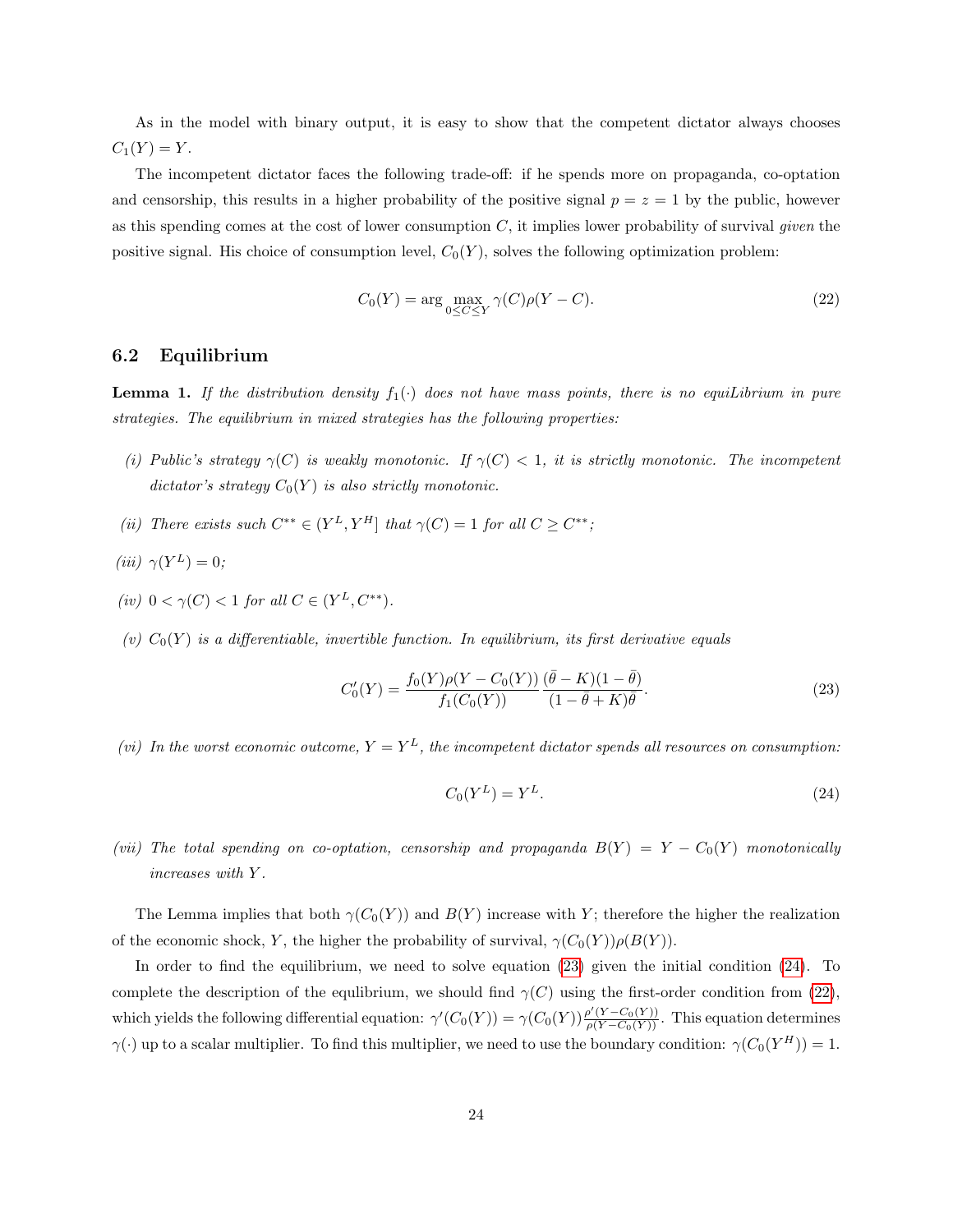As in the model with binary output, it is easy to show that the competent dictator always chooses  $C_1(Y) = Y.$ 

The incompetent dictator faces the following trade-off: if he spends more on propaganda, co-optation and censorship, this results in a higher probability of the positive signal  $p = z = 1$  by the public, however as this spending comes at the cost of lower consumption  $C$ , it implies lower probability of survival *given* the positive signal. His choice of consumption level,  $C_0(Y)$ , solves the following optimization problem:

<span id="page-23-2"></span>
$$
C_0(Y) = \arg\max_{0 \le C \le Y} \gamma(C)\rho(Y - C). \tag{22}
$$

## 6.2 Equilibrium

<span id="page-23-3"></span>**Lemma 1.** If the distribution density  $f_1(\cdot)$  does not have mass points, there is no equilibrium in pure strategies. The equilibrium in mixed strategies has the following properties:

- (i) Public's strategy  $\gamma(C)$  is weakly monotonic. If  $\gamma(C) < 1$ , it is strictly monotonic. The incompetent dictator's strategy  $C_0(Y)$  is also strictly monotonic.
- (ii) There exists such  $C^{**} \in (Y^L, Y^H]$  that  $\gamma(C) = 1$  for all  $C \geq C^{**}$ ;

$$
(iii) \ \gamma(Y^L) = 0;
$$

- (iv)  $0 < \gamma(C) < 1$  for all  $C \in (Y^L, C^{**}).$
- (v)  $C_0(Y)$  is a differentiable, invertible function. In equilibrium, its first derivative equals

<span id="page-23-0"></span>
$$
C'_{0}(Y) = \frac{f_{0}(Y)\rho(Y - C_{0}(Y))}{f_{1}(C_{0}(Y))} \frac{(\bar{\theta} - K)(1 - \bar{\theta})}{(1 - \bar{\theta} + K)\bar{\theta}}.
$$
\n(23)

(vi) In the worst economic outcome,  $Y = Y^L$ , the incompetent dictator spends all resources on consumption:

<span id="page-23-1"></span>
$$
C_0(Y^L) = Y^L. \tag{24}
$$

(vii) The total spending on co-optation, censorship and propaganda  $B(Y) = Y - C_0(Y)$  monotonically increases with Y .

The Lemma implies that both  $\gamma(C_0(Y))$  and  $B(Y)$  increase with Y; therefore the higher the realization of the economic shock, Y, the higher the probability of survival,  $\gamma(C_0(Y))\rho(B(Y))$ .

In order to find the equilibrium, we need to solve equation [\(23\)](#page-23-0) given the initial condition [\(24\)](#page-23-1). To complete the description of the equlibrium, we should find  $\gamma(C)$  using the first-order condition from [\(22\)](#page-23-2), which yields the following differential equation:  $\gamma'(C_0(Y)) = \gamma(C_0(Y)) \frac{\rho'(Y - C_0(Y))}{\rho(Y - C_0(Y))}$ . This equation determines  $\gamma(\cdot)$  up to a scalar multiplier. To find this multiplier, we need to use the boundary condition:  $\gamma(C_0(Y^H)) = 1$ .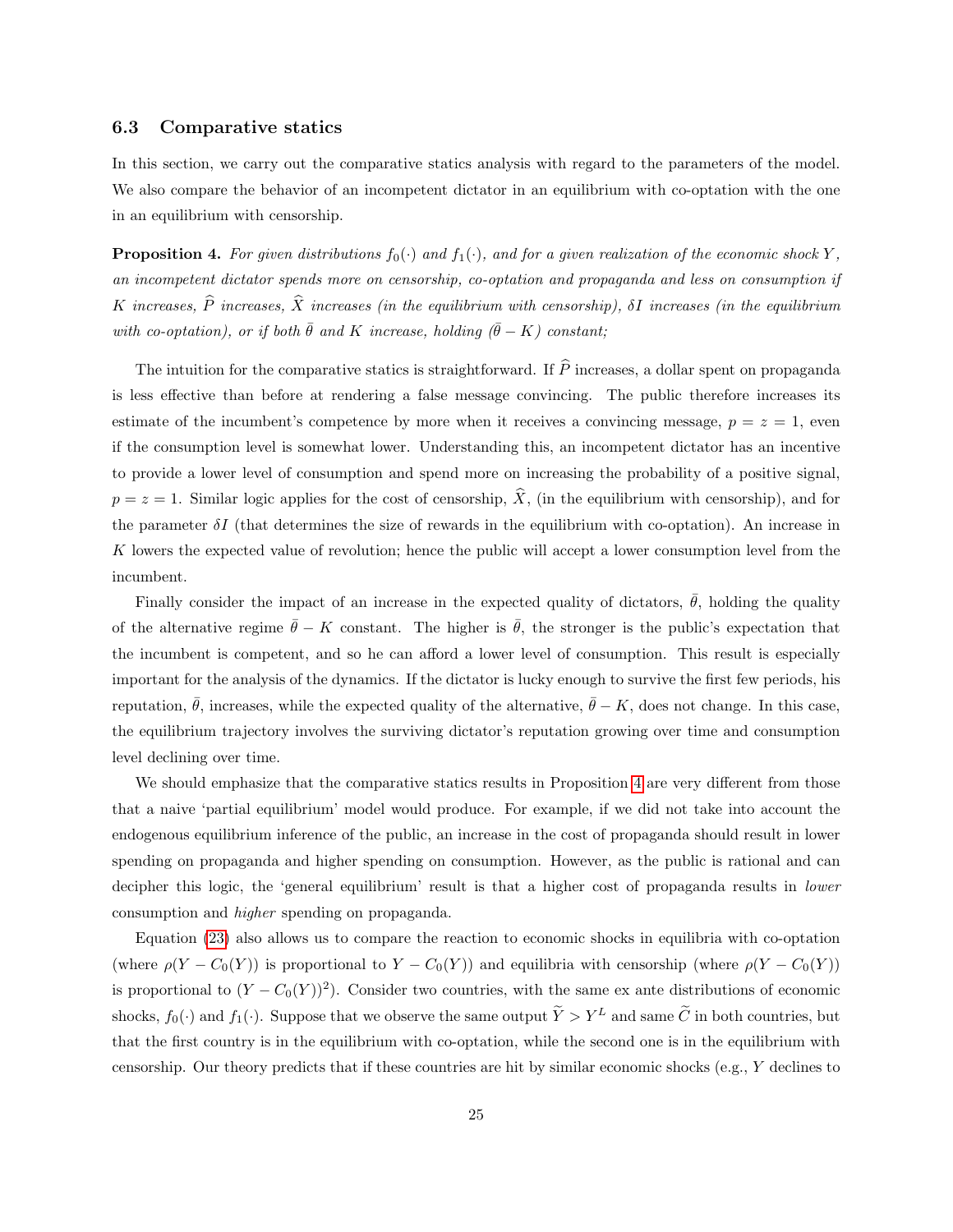# 6.3 Comparative statics

In this section, we carry out the comparative statics analysis with regard to the parameters of the model. We also compare the behavior of an incompetent dictator in an equilibrium with co-optation with the one in an equilibrium with censorship.

<span id="page-24-0"></span>**Proposition 4.** For given distributions  $f_0(\cdot)$  and  $f_1(\cdot)$ , and for a given realization of the economic shock Y, an incompetent dictator spends more on censorship, co-optation and propaganda and less on consumption if K increases,  $\widehat{P}$  increases,  $\widehat{X}$  increases (in the equilibrium with censorship),  $\delta I$  increases (in the equilibrium with co-optation), or if both  $\bar{\theta}$  and K increase, holding ( $\bar{\theta} - K$ ) constant;

The intuition for the comparative statics is straightforward. If  $\hat{P}$  increases, a dollar spent on propaganda is less effective than before at rendering a false message convincing. The public therefore increases its estimate of the incumbent's competence by more when it receives a convincing message,  $p = z = 1$ , even if the consumption level is somewhat lower. Understanding this, an incompetent dictator has an incentive to provide a lower level of consumption and spend more on increasing the probability of a positive signal,  $p = z = 1$ . Similar logic applies for the cost of censorship,  $\hat{X}$ , (in the equilibrium with censorship), and for the parameter  $\delta I$  (that determines the size of rewards in the equilibrium with co-optation). An increase in K lowers the expected value of revolution; hence the public will accept a lower consumption level from the incumbent.

Finally consider the impact of an increase in the expected quality of dictators,  $\bar{\theta}$ , holding the quality of the alternative regime  $\bar{\theta} - K$  constant. The higher is  $\bar{\theta}$ , the stronger is the public's expectation that the incumbent is competent, and so he can afford a lower level of consumption. This result is especially important for the analysis of the dynamics. If the dictator is lucky enough to survive the first few periods, his reputation,  $\bar{\theta}$ , increases, while the expected quality of the alternative,  $\bar{\theta} - K$ , does not change. In this case, the equilibrium trajectory involves the surviving dictator's reputation growing over time and consumption level declining over time.

We should emphasize that the comparative statics results in Proposition [4](#page-24-0) are very different from those that a naive 'partial equilibrium' model would produce. For example, if we did not take into account the endogenous equilibrium inference of the public, an increase in the cost of propaganda should result in lower spending on propaganda and higher spending on consumption. However, as the public is rational and can decipher this logic, the 'general equilibrium' result is that a higher cost of propaganda results in lower consumption and higher spending on propaganda.

Equation [\(23\)](#page-23-0) also allows us to compare the reaction to economic shocks in equilibria with co-optation (where  $\rho(Y - C_0(Y))$  is proportional to  $Y - C_0(Y)$ ) and equilibria with censorship (where  $\rho(Y - C_0(Y))$ ) is proportional to  $(Y - C_0(Y))^2$ ). Consider two countries, with the same ex ante distributions of economic shocks,  $f_0(\cdot)$  and  $f_1(\cdot)$ . Suppose that we observe the same output  $\widetilde{Y} > Y^L$  and same  $\widetilde{C}$  in both countries, but that the first country is in the equilibrium with co-optation, while the second one is in the equilibrium with censorship. Our theory predicts that if these countries are hit by similar economic shocks (e.g., Y declines to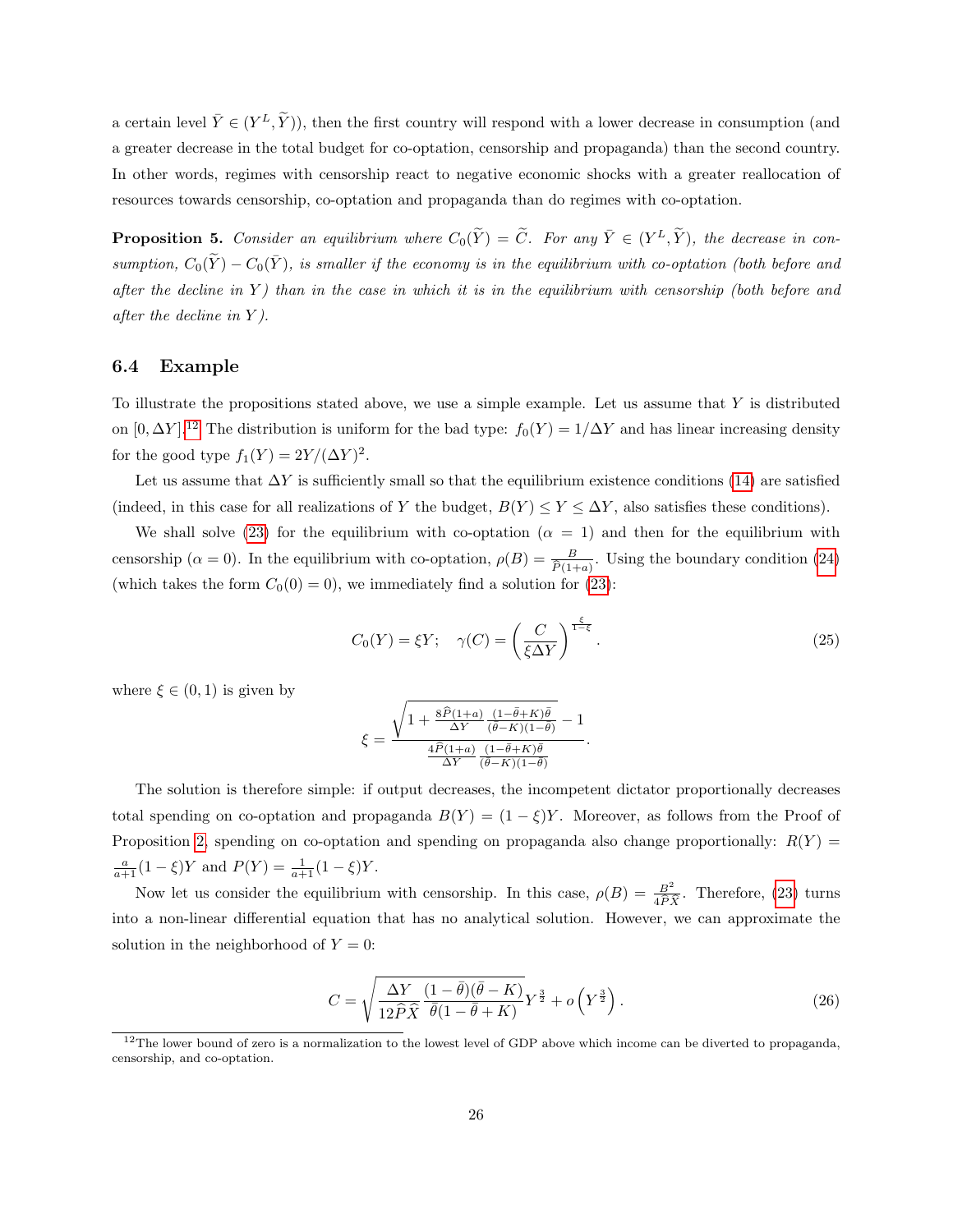a certain level  $\bar{Y} \in (Y^L, \tilde{Y})$ , then the first country will respond with a lower decrease in consumption (and a greater decrease in the total budget for co-optation, censorship and propaganda) than the second country. In other words, regimes with censorship react to negative economic shocks with a greater reallocation of resources towards censorship, co-optation and propaganda than do regimes with co-optation.

<span id="page-25-1"></span>**Proposition 5.** Consider an equilibrium where  $C_0(\tilde{Y}) = \tilde{C}$ . For any  $\overline{Y} \in (Y^L, \tilde{Y})$ , the decrease in consumption,  $C_0(\tilde{Y}) - C_0(\bar{Y})$ , is smaller if the economy is in the equilibrium with co-optation (both before and after the decline in  $Y$ ) than in the case in which it is in the equilibrium with censorship (both before and after the decline in Y ).

# 6.4 Example

To illustrate the propositions stated above, we use a simple example. Let us assume that  $Y$  is distributed on  $[0, \Delta Y]$ .<sup>[12](#page-25-0)</sup> The distribution is uniform for the bad type:  $f_0(Y) = 1/\Delta Y$  and has linear increasing density for the good type  $f_1(Y) = 2Y/(\Delta Y)^2$ .

Let us assume that  $\Delta Y$  is sufficiently small so that the equilibrium existence conditions [\(14\)](#page-13-0) are satisfied (indeed, in this case for all realizations of Y the budget,  $B(Y) \le Y \le \Delta Y$ , also satisfies these conditions).

We shall solve [\(23\)](#page-23-0) for the equilibrium with co-optation ( $\alpha = 1$ ) and then for the equilibrium with censorship ( $\alpha = 0$ ). In the equilibrium with co-optation,  $\rho(B) = \frac{B}{\hat{P}(1+a)}$ . Using the boundary condition [\(24\)](#page-23-1) (which takes the form  $C_0(0) = 0$ ), we immediately find a solution for [\(23\)](#page-23-0):

$$
C_0(Y) = \xi Y; \quad \gamma(C) = \left(\frac{C}{\xi \Delta Y}\right)^{\frac{\xi}{1-\xi}}.
$$
\n(25)

.

where  $\xi \in (0,1)$  is given by

$$
\xi = \frac{\sqrt{1+\frac{8\hat{P}(1+a)}{\Delta Y}\frac{(1-\bar{\theta}+K)\bar{\theta}}{(\bar{\theta}-K)(1-\bar{\theta})}}-1}{\frac{4\hat{P}(1+a)}{\Delta Y}\frac{(1-\bar{\theta}+K)\bar{\theta}}{(\bar{\theta}-K)(1-\bar{\theta})}}
$$

The solution is therefore simple: if output decreases, the incompetent dictator proportionally decreases total spending on co-optation and propaganda  $B(Y) = (1 - \xi)Y$ . Moreover, as follows from the Proof of Proposition [2,](#page-13-1) spending on co-optation and spending on propaganda also change proportionally:  $R(Y)$  $\frac{a}{a+1}(1-\xi)Y$  and  $P(Y) = \frac{1}{a+1}(1-\xi)Y$ .

Now let us consider the equilibrium with censorship. In this case,  $\rho(B) = \frac{B^2}{4\hat{P}\hat{X}}$ . Therefore, [\(23\)](#page-23-0) turns into a non-linear differential equation that has no analytical solution. However, we can approximate the solution in the neighborhood of  $Y = 0$ :

$$
C = \sqrt{\frac{\Delta Y}{12\hat{P}\hat{X}}\frac{(1-\bar{\theta})(\bar{\theta}-K)}{\bar{\theta}(1-\bar{\theta}+K)}}Y^{\frac{3}{2}} + o\left(Y^{\frac{3}{2}}\right).
$$
 (26)

<span id="page-25-0"></span> $12$ The lower bound of zero is a normalization to the lowest level of GDP above which income can be diverted to propaganda, censorship, and co-optation.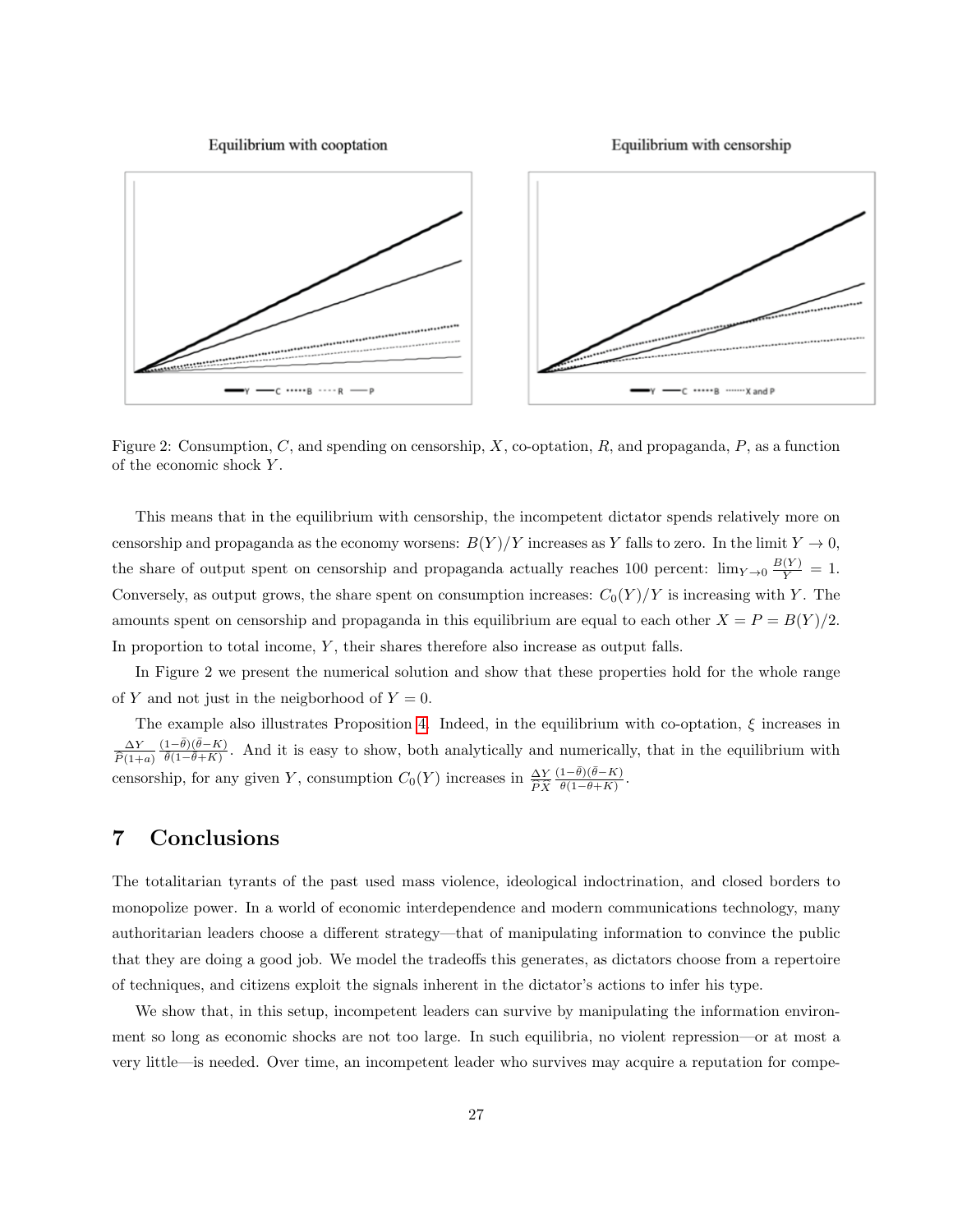Equilibrium with cooptation

Equilibrium with censorship



Figure 2: Consumption, C, and spending on censorship, X, co-optation, R, and propaganda, P, as a function of the economic shock Y .

This means that in the equilibrium with censorship, the incompetent dictator spends relatively more on censorship and propaganda as the economy worsens:  $B(Y)/Y$  increases as Y falls to zero. In the limit  $Y \to 0$ , the share of output spent on censorship and propaganda actually reaches 100 percent:  $\lim_{Y\to 0} \frac{B(Y)}{Y} = 1$ . Conversely, as output grows, the share spent on consumption increases:  $C_0(Y)/Y$  is increasing with Y. The amounts spent on censorship and propaganda in this equilibrium are equal to each other  $X = P = B(Y)/2$ . In proportion to total income, Y, their shares therefore also increase as output falls.

In Figure 2 we present the numerical solution and show that these properties hold for the whole range of Y and not just in the neigborhood of  $Y = 0$ .

The example also illustrates Proposition [4.](#page-24-0) Indeed, in the equilibrium with co-optation,  $\xi$  increases in ∆Y  $P(1+a)$  $(1-\bar{\theta})(\bar{\theta}-K)$  $\frac{1-\theta(1-\theta-\kappa)}{\theta(1-\theta+\kappa)}$ . And it is easy to show, both analytically and numerically, that in the equilibrium with censorship, for any given Y, consumption  $C_0(Y)$  increases in  $\frac{\Delta Y}{\widehat{P}\widehat{X}}$  $(1-\bar{\theta})(\bar{\theta}-K)$  $\frac{1-\theta}{\bar{\theta}(1-\bar{\theta}+K)}$ .

# 7 Conclusions

The totalitarian tyrants of the past used mass violence, ideological indoctrination, and closed borders to monopolize power. In a world of economic interdependence and modern communications technology, many authoritarian leaders choose a different strategy—that of manipulating information to convince the public that they are doing a good job. We model the tradeoffs this generates, as dictators choose from a repertoire of techniques, and citizens exploit the signals inherent in the dictator's actions to infer his type.

We show that, in this setup, incompetent leaders can survive by manipulating the information environment so long as economic shocks are not too large. In such equilibria, no violent repression—or at most a very little—is needed. Over time, an incompetent leader who survives may acquire a reputation for compe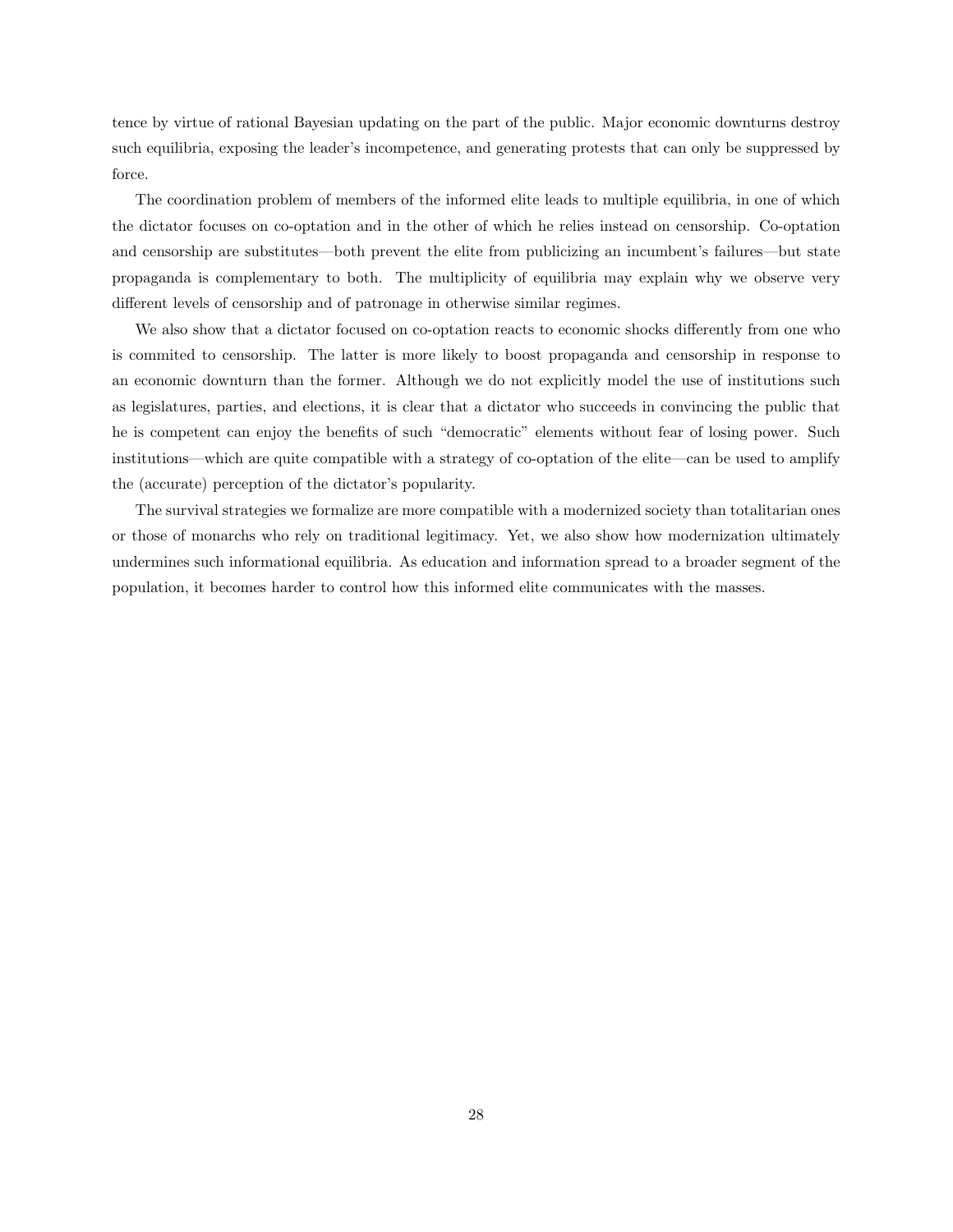tence by virtue of rational Bayesian updating on the part of the public. Major economic downturns destroy such equilibria, exposing the leader's incompetence, and generating protests that can only be suppressed by force.

The coordination problem of members of the informed elite leads to multiple equilibria, in one of which the dictator focuses on co-optation and in the other of which he relies instead on censorship. Co-optation and censorship are substitutes—both prevent the elite from publicizing an incumbent's failures—but state propaganda is complementary to both. The multiplicity of equilibria may explain why we observe very different levels of censorship and of patronage in otherwise similar regimes.

We also show that a dictator focused on co-optation reacts to economic shocks differently from one who is commited to censorship. The latter is more likely to boost propaganda and censorship in response to an economic downturn than the former. Although we do not explicitly model the use of institutions such as legislatures, parties, and elections, it is clear that a dictator who succeeds in convincing the public that he is competent can enjoy the benefits of such "democratic" elements without fear of losing power. Such institutions—which are quite compatible with a strategy of co-optation of the elite—can be used to amplify the (accurate) perception of the dictator's popularity.

The survival strategies we formalize are more compatible with a modernized society than totalitarian ones or those of monarchs who rely on traditional legitimacy. Yet, we also show how modernization ultimately undermines such informational equilibria. As education and information spread to a broader segment of the population, it becomes harder to control how this informed elite communicates with the masses.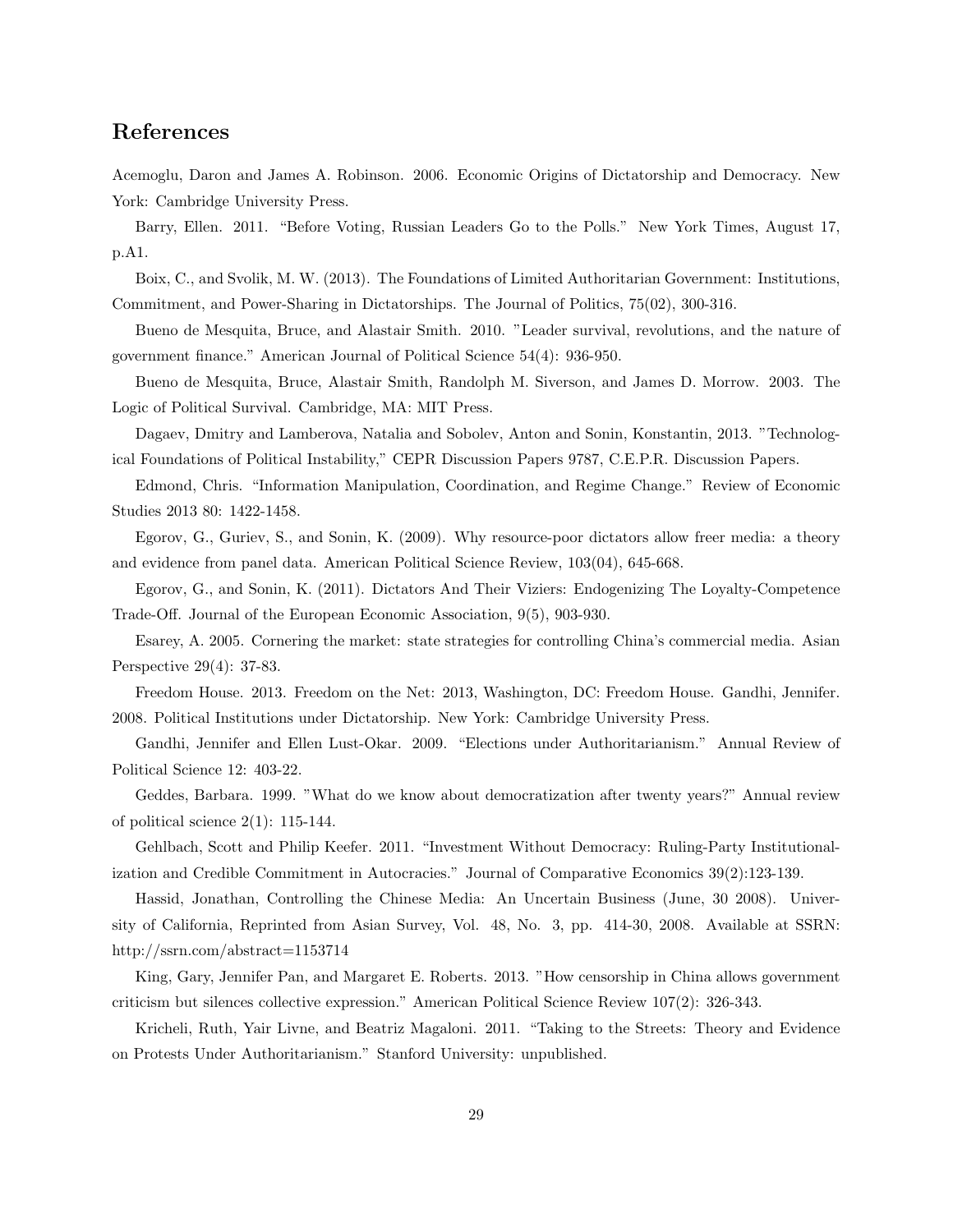# References

Acemoglu, Daron and James A. Robinson. 2006. Economic Origins of Dictatorship and Democracy. New York: Cambridge University Press.

Barry, Ellen. 2011. "Before Voting, Russian Leaders Go to the Polls." New York Times, August 17, p.A1.

Boix, C., and Svolik, M. W. (2013). The Foundations of Limited Authoritarian Government: Institutions, Commitment, and Power-Sharing in Dictatorships. The Journal of Politics, 75(02), 300-316.

Bueno de Mesquita, Bruce, and Alastair Smith. 2010. "Leader survival, revolutions, and the nature of government finance." American Journal of Political Science 54(4): 936-950.

Bueno de Mesquita, Bruce, Alastair Smith, Randolph M. Siverson, and James D. Morrow. 2003. The Logic of Political Survival. Cambridge, MA: MIT Press.

Dagaev, Dmitry and Lamberova, Natalia and Sobolev, Anton and Sonin, Konstantin, 2013. "Technological Foundations of Political Instability," CEPR Discussion Papers 9787, C.E.P.R. Discussion Papers.

Edmond, Chris. "Information Manipulation, Coordination, and Regime Change." Review of Economic Studies 2013 80: 1422-1458.

Egorov, G., Guriev, S., and Sonin, K. (2009). Why resource-poor dictators allow freer media: a theory and evidence from panel data. American Political Science Review, 103(04), 645-668.

Egorov, G., and Sonin, K. (2011). Dictators And Their Viziers: Endogenizing The Loyalty-Competence Trade-Off. Journal of the European Economic Association, 9(5), 903-930.

Esarey, A. 2005. Cornering the market: state strategies for controlling China's commercial media. Asian Perspective 29(4): 37-83.

Freedom House. 2013. Freedom on the Net: 2013, Washington, DC: Freedom House. Gandhi, Jennifer. 2008. Political Institutions under Dictatorship. New York: Cambridge University Press.

Gandhi, Jennifer and Ellen Lust-Okar. 2009. "Elections under Authoritarianism." Annual Review of Political Science 12: 403-22.

Geddes, Barbara. 1999. "What do we know about democratization after twenty years?" Annual review of political science  $2(1)$ : 115-144.

Gehlbach, Scott and Philip Keefer. 2011. "Investment Without Democracy: Ruling-Party Institutionalization and Credible Commitment in Autocracies." Journal of Comparative Economics 39(2):123-139.

Hassid, Jonathan, Controlling the Chinese Media: An Uncertain Business (June, 30 2008). University of California, Reprinted from Asian Survey, Vol. 48, No. 3, pp. 414-30, 2008. Available at SSRN: http://ssrn.com/abstract=1153714

King, Gary, Jennifer Pan, and Margaret E. Roberts. 2013. "How censorship in China allows government criticism but silences collective expression." American Political Science Review 107(2): 326-343.

Kricheli, Ruth, Yair Livne, and Beatriz Magaloni. 2011. "Taking to the Streets: Theory and Evidence on Protests Under Authoritarianism." Stanford University: unpublished.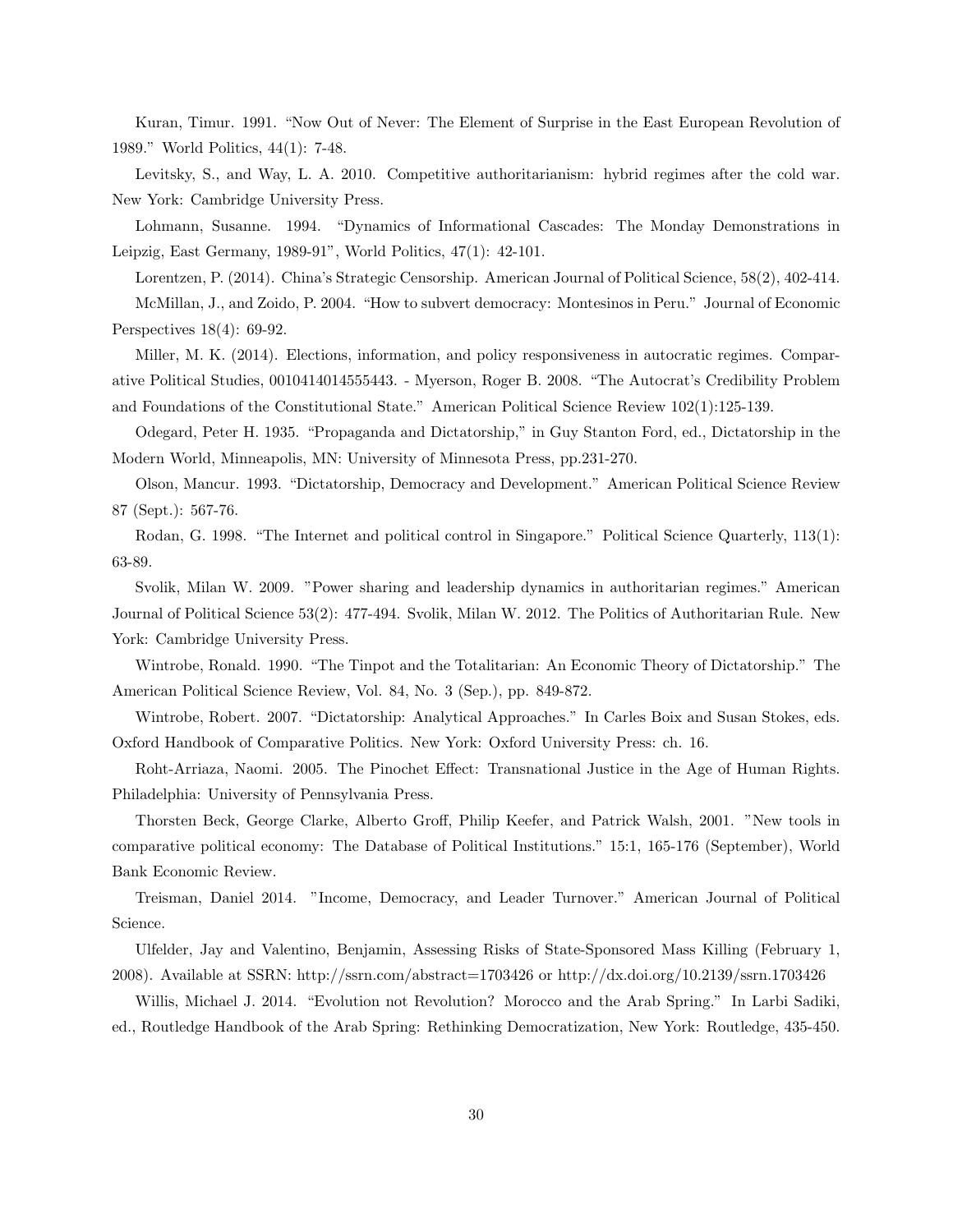Kuran, Timur. 1991. "Now Out of Never: The Element of Surprise in the East European Revolution of 1989." World Politics, 44(1): 7-48.

Levitsky, S., and Way, L. A. 2010. Competitive authoritarianism: hybrid regimes after the cold war. New York: Cambridge University Press.

Lohmann, Susanne. 1994. "Dynamics of Informational Cascades: The Monday Demonstrations in Leipzig, East Germany, 1989-91", World Politics, 47(1): 42-101.

Lorentzen, P. (2014). China's Strategic Censorship. American Journal of Political Science, 58(2), 402-414. McMillan, J., and Zoido, P. 2004. "How to subvert democracy: Montesinos in Peru." Journal of Economic Perspectives 18(4): 69-92.

Miller, M. K. (2014). Elections, information, and policy responsiveness in autocratic regimes. Comparative Political Studies, 0010414014555443. - Myerson, Roger B. 2008. "The Autocrat's Credibility Problem and Foundations of the Constitutional State." American Political Science Review 102(1):125-139.

Odegard, Peter H. 1935. "Propaganda and Dictatorship," in Guy Stanton Ford, ed., Dictatorship in the Modern World, Minneapolis, MN: University of Minnesota Press, pp.231-270.

Olson, Mancur. 1993. "Dictatorship, Democracy and Development." American Political Science Review 87 (Sept.): 567-76.

Rodan, G. 1998. "The Internet and political control in Singapore." Political Science Quarterly, 113(1): 63-89.

Svolik, Milan W. 2009. "Power sharing and leadership dynamics in authoritarian regimes." American Journal of Political Science 53(2): 477-494. Svolik, Milan W. 2012. The Politics of Authoritarian Rule. New York: Cambridge University Press.

Wintrobe, Ronald. 1990. "The Tinpot and the Totalitarian: An Economic Theory of Dictatorship." The American Political Science Review, Vol. 84, No. 3 (Sep.), pp. 849-872.

Wintrobe, Robert. 2007. "Dictatorship: Analytical Approaches." In Carles Boix and Susan Stokes, eds. Oxford Handbook of Comparative Politics. New York: Oxford University Press: ch. 16.

Roht-Arriaza, Naomi. 2005. The Pinochet Effect: Transnational Justice in the Age of Human Rights. Philadelphia: University of Pennsylvania Press.

Thorsten Beck, George Clarke, Alberto Groff, Philip Keefer, and Patrick Walsh, 2001. "New tools in comparative political economy: The Database of Political Institutions." 15:1, 165-176 (September), World Bank Economic Review.

Treisman, Daniel 2014. "Income, Democracy, and Leader Turnover." American Journal of Political Science.

Ulfelder, Jay and Valentino, Benjamin, Assessing Risks of State-Sponsored Mass Killing (February 1, 2008). Available at SSRN: http://ssrn.com/abstract=1703426 or http://dx.doi.org/10.2139/ssrn.1703426

Willis, Michael J. 2014. "Evolution not Revolution? Morocco and the Arab Spring." In Larbi Sadiki, ed., Routledge Handbook of the Arab Spring: Rethinking Democratization, New York: Routledge, 435-450.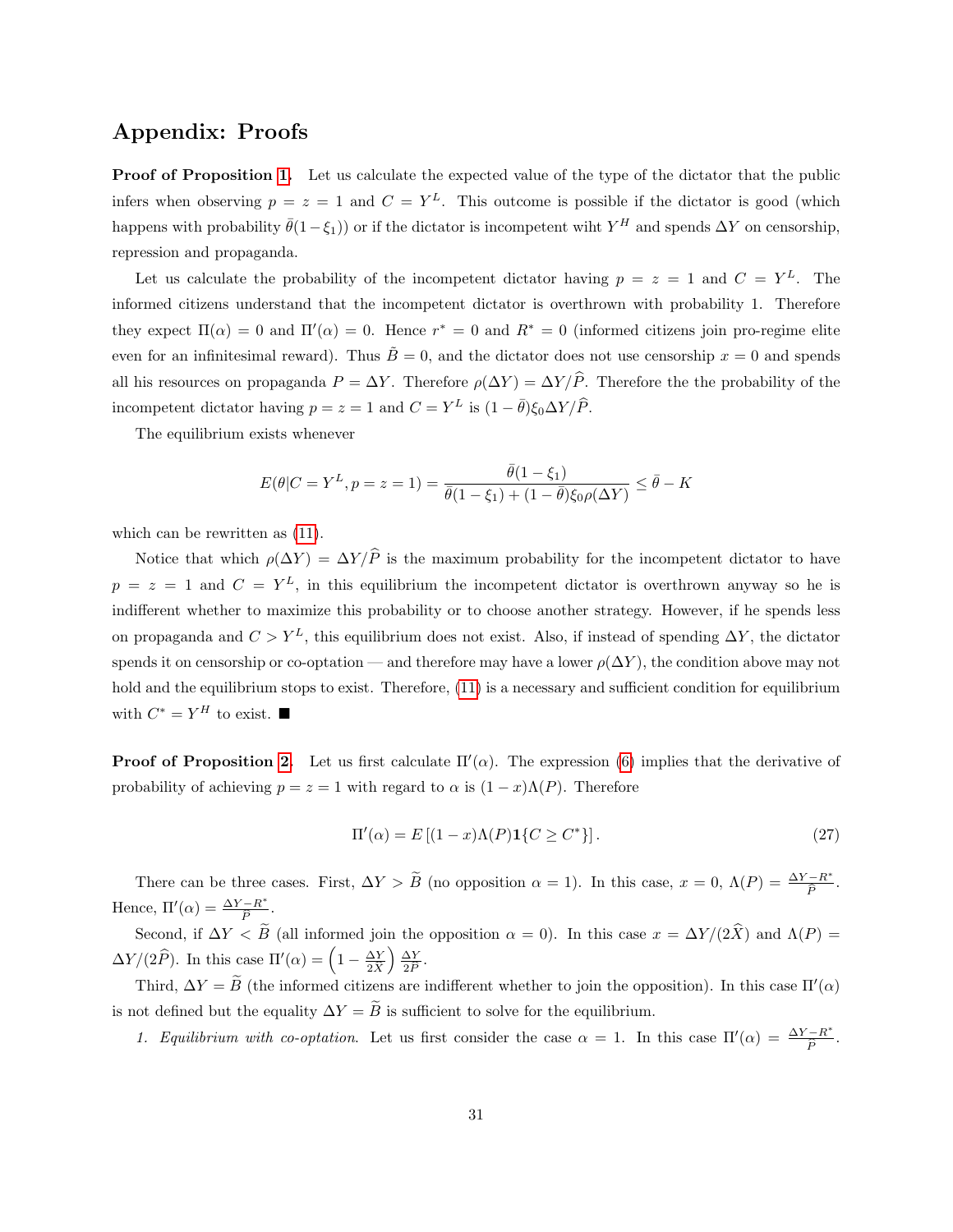# Appendix: Proofs

**Proof of Proposition [1.](#page-12-1)** Let us calculate the expected value of the type of the dictator that the public infers when observing  $p = z = 1$  and  $C = Y^L$ . This outcome is possible if the dictator is good (which happens with probability  $\bar{\theta}(1-\xi_1)$  or if the dictator is incompetent wiht  $Y^H$  and spends  $\Delta Y$  on censorship, repression and propaganda.

Let us calculate the probability of the incompetent dictator having  $p = z = 1$  and  $C = Y^L$ . The informed citizens understand that the incompetent dictator is overthrown with probability 1. Therefore they expect  $\Pi(\alpha) = 0$  and  $\Pi'(\alpha) = 0$ . Hence  $r^* = 0$  and  $R^* = 0$  (informed citizens join pro-regime elite even for an infinitesimal reward). Thus  $\tilde{B}=0$ , and the dictator does not use censorship  $x=0$  and spends all his resources on propaganda  $P = \Delta Y$ . Therefore  $\rho(\Delta Y) = \Delta Y / \hat{P}$ . Therefore the the probability of the incompetent dictator having  $p = z = 1$  and  $C = Y^L$  is  $(1 - \bar{\theta})\xi_0 \Delta Y/\hat{P}$ .

The equilibrium exists whenever

$$
E(\theta|C = Y^{L}, p = z = 1) = \frac{\bar{\theta}(1 - \xi_{1})}{\bar{\theta}(1 - \xi_{1}) + (1 - \bar{\theta})\xi_{0}\rho(\Delta Y)} \le \bar{\theta} - K
$$

which can be rewritten as  $(11)$ .

Notice that which  $\rho(\Delta Y) = \Delta Y/\hat{P}$  is the maximum probability for the incompetent dictator to have  $p = z = 1$  and  $C = Y<sup>L</sup>$ , in this equilibrium the incompetent dictator is overthrown anyway so he is indifferent whether to maximize this probability or to choose another strategy. However, if he spends less on propaganda and  $C > Y^L$ , this equilibrium does not exist. Also, if instead of spending  $\Delta Y$ , the dictator spends it on censorship or co-optation — and therefore may have a lower  $\rho(\Delta Y)$ , the condition above may not hold and the equilibrium stops to exist. Therefore, [\(11\)](#page-12-0) is a necessary and sufficient condition for equilibrium with  $C^* = Y^H$  to exist.  $\blacksquare$ 

**Proof of Proposition [2.](#page-13-1)** Let us first calculate  $\Pi'(\alpha)$ . The expression [\(6\)](#page-11-2) implies that the derivative of probability of achieving  $p = z = 1$  with regard to  $\alpha$  is  $(1 - x)\Lambda(P)$ . Therefore

$$
\Pi'(\alpha) = E\left[ (1-x)\Lambda(P)\mathbf{1}\{C \ge C^*\} \right].\tag{27}
$$

There can be three cases. First,  $\Delta Y > \tilde{B}$  (no opposition  $\alpha = 1$ ). In this case,  $x = 0$ ,  $\Lambda(P) = \frac{\Delta Y - R^*}{\hat{P}}$  $\frac{-R^+}{\widehat{P}}$ . Hence,  $\Pi'(\alpha) = \frac{\Delta Y - R^*}{\widehat{R}}$ .  $\overline{P}$ 

Second, if  $\Delta Y < B$  (all informed join the opposition  $\alpha = 0$ ). In this case  $x = \Delta Y/(2X)$  and  $\Lambda(P) =$  $\Delta Y/(2\hat{P})$ . In this case  $\Pi'(\alpha) = \left(1 - \frac{\Delta Y}{2\hat{X}}\right)$  $2X$  ∆Y  $\frac{\Delta Y}{2\widehat{P}}$ .

Third,  $\Delta Y = \tilde{B}$  (the informed citizens are indifferent whether to join the opposition). In this case  $\Pi'(\alpha)$ is not defined but the equality  $\Delta Y = \widetilde{B}$  is sufficient to solve for the equilibrium.

1. Equilibrium with co-optation. Let us first consider the case  $\alpha = 1$ . In this case  $\Pi'(\alpha) = \frac{\Delta Y - R^*}{\widehat{\Omega}}$  $\frac{-R^+}{\widehat{P}}$ .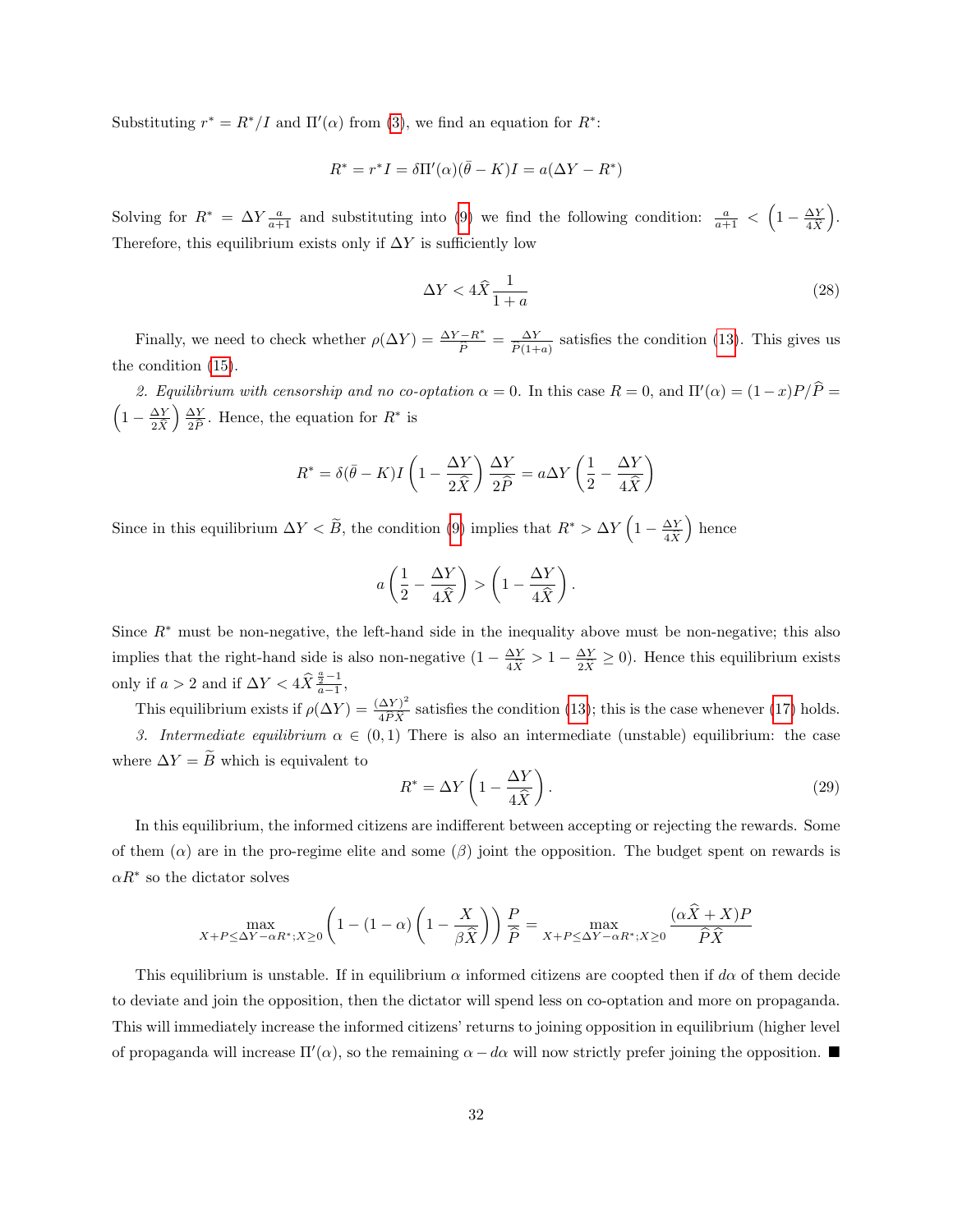Substituting  $r^* = R^*/I$  and  $\Pi'(\alpha)$  from [\(3\)](#page-10-1), we find an equation for  $R^*$ :

$$
R^* = r^*I = \delta \Pi'(\alpha)(\bar{\theta} - K)I = a(\Delta Y - R^*)
$$

Solving for  $R^* = \Delta Y \frac{a}{a+1}$  and substituting into [\(9\)](#page-12-2) we find the following condition:  $\frac{a}{a+1} < \left(1 - \frac{\Delta Y}{4\hat{X}}\right)$  $4X$  . Therefore, this equilibrium exists only if  $\Delta Y$  is sufficiently low

$$
\Delta Y < 4\hat{X}\frac{1}{1+a} \tag{28}
$$

Finally, we need to check whether  $\rho(\Delta Y) = \frac{\Delta Y - R^*}{\hat{P}} = \frac{\Delta Y}{\hat{P}(1+)}$  $\frac{\Delta Y}{\hat{P}(1+a)}$  satisfies the condition [\(13\)](#page-13-2). This gives us the condition [\(15\)](#page-14-0).

2. Equilibrium with censorship and no co-optation  $\alpha = 0$ . In this case  $R = 0$ , and  $\Pi'(\alpha) = (1 - x)P/\hat{P} =$ <br> $\left(1 - \frac{\Delta Y}{\Delta x}\right) \frac{\Delta Y}{\Delta x}$  Hence the equation for  $R^*$  is  $1-\frac{\Delta Y}{2\hat{V}}$  $2\ddot{X}$  ∆Y  $\frac{\Delta Y}{2\hat{P}}$ . Hence, the equation for  $R^*$  is

$$
R^* = \delta(\bar{\theta} - K)I\left(1 - \frac{\Delta Y}{2\hat{X}}\right)\frac{\Delta Y}{2\hat{P}} = a\Delta Y \left(\frac{1}{2} - \frac{\Delta Y}{4\hat{X}}\right)
$$

Since in this equilibrium  $\Delta Y < \tilde{B}$ , the condition [\(9\)](#page-12-2) implies that  $R^* > \Delta Y \left(1 - \frac{\Delta Y}{4\hat{X}}\right)$  $4X$ hence

$$
a\left(\frac{1}{2} - \frac{\Delta Y}{4\hat{X}}\right) > \left(1 - \frac{\Delta Y}{4\hat{X}}\right)
$$

Since  $R^*$  must be non-negative, the left-hand side in the inequality above must be non-negative; this also implies that the right-hand side is also non-negative  $(1 - \frac{\Delta Y}{4\hat{X}} > 1 - \frac{\Delta Y}{2\hat{X}} \ge 0)$ . Hence this equilibrium exists only if  $a > 2$  and if  $\Delta Y < 4\hat{X} \frac{\frac{a}{2} - 1}{a - 1}$ ,

This equilibrium exists if  $\rho(\Delta Y) = \frac{(\Delta Y)^2}{4.5 \hat{Y}}$  $\frac{\Delta Y}{4\hat{P}\hat{X}}$  satisfies the condition [\(13\)](#page-13-2); this is the case whenever [\(17\)](#page-14-1) holds. 3. Intermediate equilibrium  $\alpha \in (0,1)$  There is also an intermediate (unstable) equilibrium: the case where  $\Delta Y = \widetilde{B}$  which is equivalent to

$$
R^* = \Delta Y \left( 1 - \frac{\Delta Y}{4\hat{X}} \right). \tag{29}
$$

.

In this equilibrium, the informed citizens are indifferent between accepting or rejecting the rewards. Some of them  $(\alpha)$  are in the pro-regime elite and some  $(\beta)$  joint the opposition. The budget spent on rewards is  $\alpha R^*$  so the dictator solves

$$
\max_{X+P \leq \Delta Y - \alpha R^*, X \geq 0} \left(1 - (1-\alpha)\left(1-\frac{X}{\beta \widehat{X}}\right)\right) \frac{P}{\widehat{P}} = \max_{X+P \leq \Delta Y - \alpha R^*, X \geq 0} \frac{(\alpha \widehat{X} + X)P}{\widehat{P}\widehat{X}}
$$

This equilibrium is unstable. If in equilibrium  $\alpha$  informed citizens are coopted then if  $d\alpha$  of them decide to deviate and join the opposition, then the dictator will spend less on co-optation and more on propaganda. This will immediately increase the informed citizens' returns to joining opposition in equilibrium (higher level of propaganda will increase  $\Pi'(\alpha)$ , so the remaining  $\alpha - d\alpha$  will now strictly prefer joining the opposition.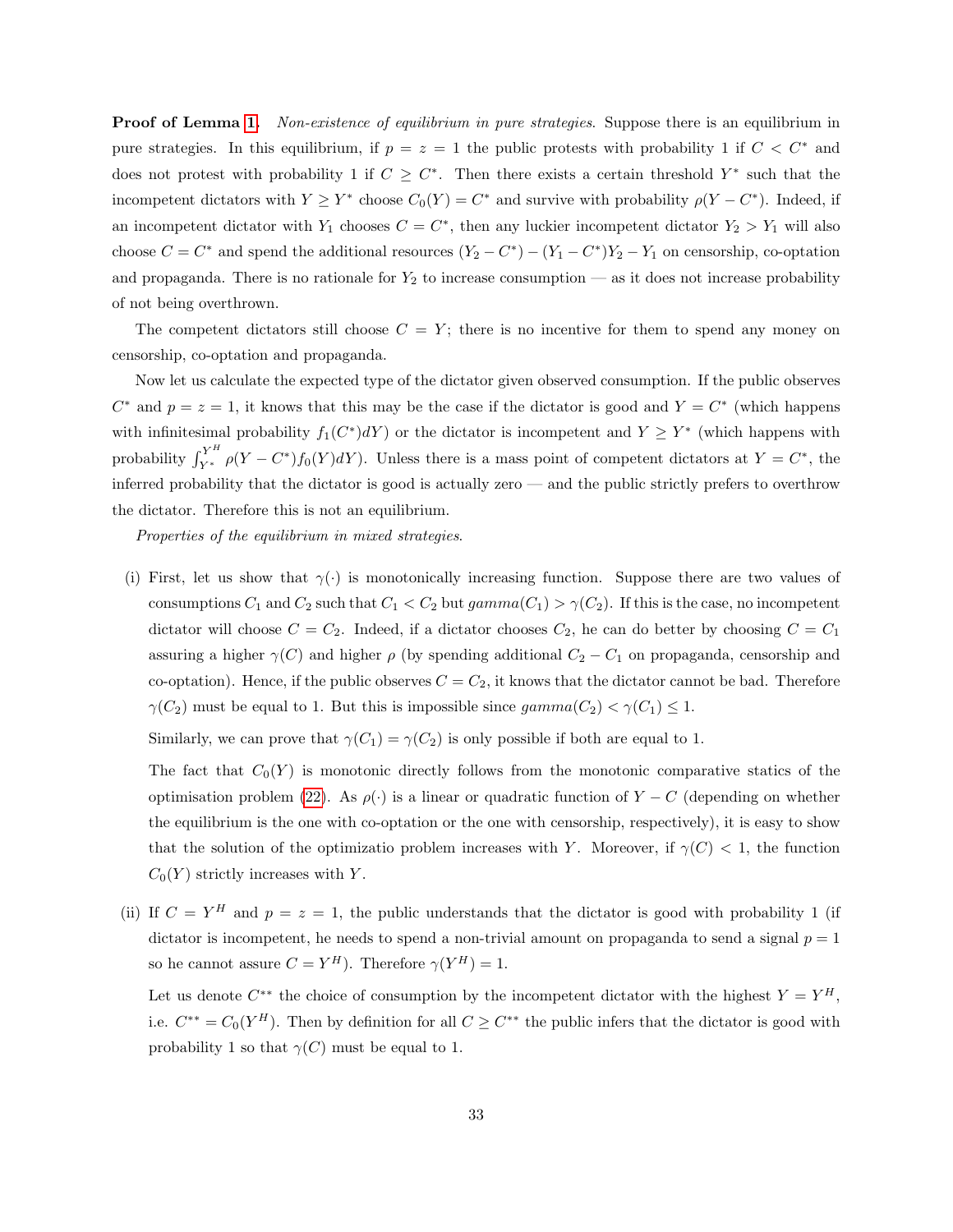**Proof of Lemma [1.](#page-23-3)** Non-existence of equilibrium in pure strategies. Suppose there is an equilibrium in pure strategies. In this equilibrium, if  $p = z = 1$  the public protests with probability 1 if  $C < C^*$  and does not protest with probability 1 if  $C \geq C^*$ . Then there exists a certain threshold  $Y^*$  such that the incompetent dictators with  $Y \geq Y^*$  choose  $C_0(Y) = C^*$  and survive with probability  $\rho(Y - C^*)$ . Indeed, if an incompetent dictator with  $Y_1$  chooses  $C = C^*$ , then any luckier incompetent dictator  $Y_2 > Y_1$  will also choose  $C = C^*$  and spend the additional resources  $(Y_2 - C^*) - (Y_1 - C^*)Y_2 - Y_1$  on censorship, co-optation and propaganda. There is no rationale for  $Y_2$  to increase consumption — as it does not increase probability of not being overthrown.

The competent dictators still choose  $C = Y$ ; there is no incentive for them to spend any money on censorship, co-optation and propaganda.

Now let us calculate the expected type of the dictator given observed consumption. If the public observes  $C^*$  and  $p = z = 1$ , it knows that this may be the case if the dictator is good and  $Y = C^*$  (which happens with infinitesimal probability  $f_1(C^*)dY$  or the dictator is incompetent and  $Y \ge Y^*$  (which happens with probability  $\int_{Y^*}^{Y^H} \rho(Y - C^*) f_0(Y) dY$ . Unless there is a mass point of competent dictators at  $Y = C^*$ , the inferred probability that the dictator is good is actually zero — and the public strictly prefers to overthrow the dictator. Therefore this is not an equilibrium.

Properties of the equilibrium in mixed strategies.

(i) First, let us show that  $\gamma(\cdot)$  is monotonically increasing function. Suppose there are two values of consumptions  $C_1$  and  $C_2$  such that  $C_1 < C_2$  but  $gamma(C_1) > \gamma(C_2)$ . If this is the case, no incompetent dictator will choose  $C = C_2$ . Indeed, if a dictator chooses  $C_2$ , he can do better by choosing  $C = C_1$ assuring a higher  $\gamma(C)$  and higher  $\rho$  (by spending additional  $C_2 - C_1$  on propaganda, censorship and co-optation). Hence, if the public observes  $C = C_2$ , it knows that the dictator cannot be bad. Therefore  $\gamma(C_2)$  must be equal to 1. But this is impossible since  $gamma(C_2) < \gamma(C_1) \leq 1$ .

Similarly, we can prove that  $\gamma(C_1) = \gamma(C_2)$  is only possible if both are equal to 1.

The fact that  $C_0(Y)$  is monotonic directly follows from the monotonic comparative statics of the optimisation problem [\(22\)](#page-23-2). As  $\rho(\cdot)$  is a linear or quadratic function of  $Y - C$  (depending on whether the equilibrium is the one with co-optation or the one with censorship, respectively), it is easy to show that the solution of the optimizatio problem increases with Y. Moreover, if  $\gamma(C) < 1$ , the function  $C_0(Y)$  strictly increases with Y.

(ii) If  $C = Y^H$  and  $p = z = 1$ , the public understands that the dictator is good with probability 1 (if dictator is incompetent, he needs to spend a non-trivial amount on propaganda to send a signal  $p = 1$ so he cannot assure  $C = Y^H$ ). Therefore  $\gamma(Y^H) = 1$ .

Let us denote  $C^{**}$  the choice of consumption by the incompetent dictator with the highest  $Y = Y^H$ , i.e.  $C^{**} = C_0(Y^H)$ . Then by definition for all  $C \geq C^{**}$  the public infers that the dictator is good with probability 1 so that  $\gamma(C)$  must be equal to 1.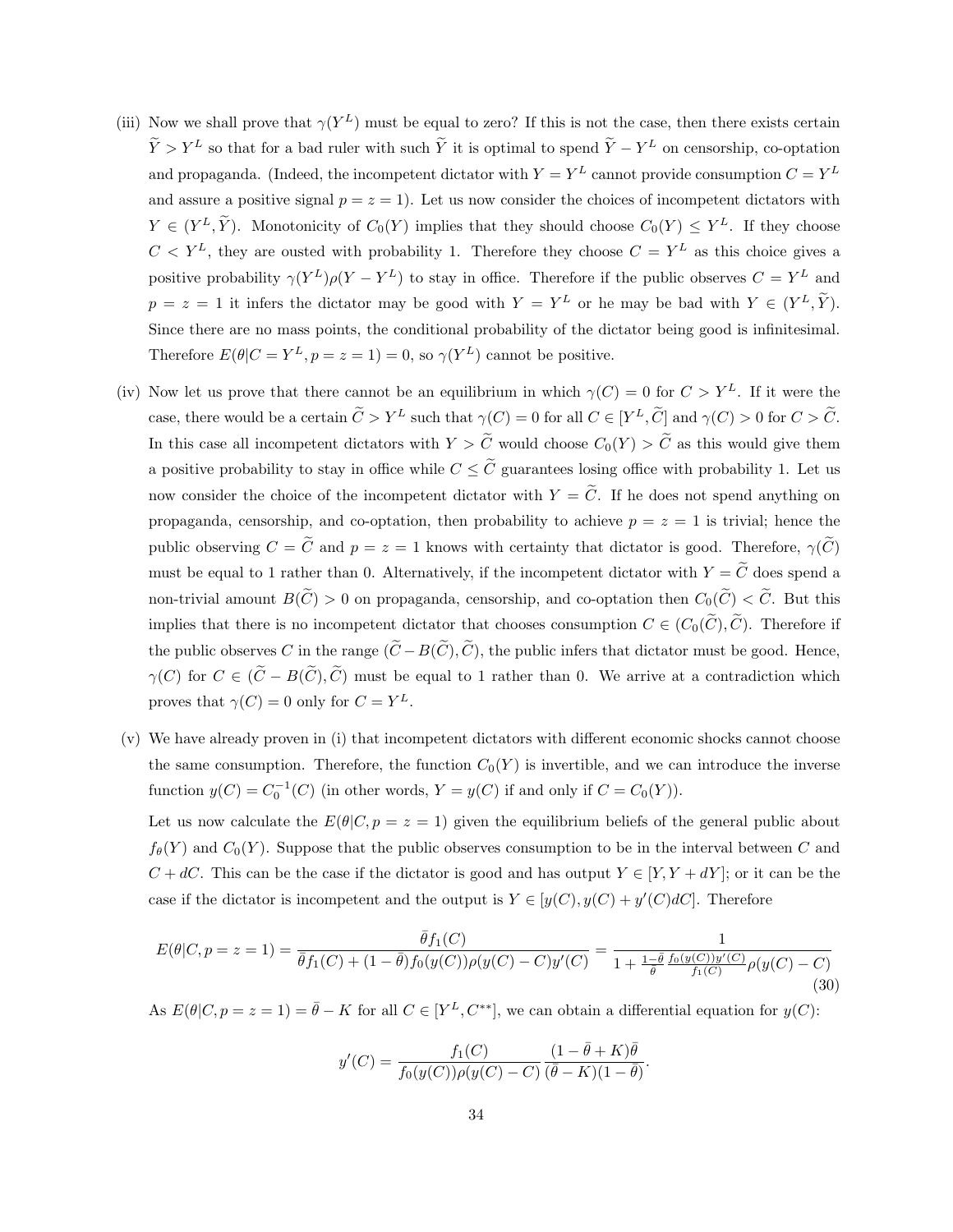- (iii) Now we shall prove that  $\gamma(Y^L)$  must be equal to zero? If this is not the case, then there exists certain  $\tilde{Y} > Y^L$  so that for a bad ruler with such  $\tilde{Y}$  it is optimal to spend  $\tilde{Y} - Y^L$  on censorship, co-optation and propaganda. (Indeed, the incompetent dictator with  $Y = Y^L$  cannot provide consumption  $C = Y^L$ and assure a positive signal  $p = z = 1$ ). Let us now consider the choices of incompetent dictators with  $Y \in (Y^L, \tilde{Y})$ . Monotonicity of  $C_0(Y)$  implies that they should choose  $C_0(Y) \leq Y^L$ . If they choose  $C < Y^L$ , they are ousted with probability 1. Therefore they choose  $C = Y^L$  as this choice gives a positive probability  $\gamma(Y^L)\rho(Y-Y^L)$  to stay in office. Therefore if the public observes  $C=Y^L$  and  $p = z = 1$  it infers the dictator may be good with  $Y = Y^L$  or he may be bad with  $Y \in (Y^L, \tilde{Y})$ . Since there are no mass points, the conditional probability of the dictator being good is infinitesimal. Therefore  $E(\theta|C = Y^L, p = z = 1) = 0$ , so  $\gamma(Y^L)$  cannot be positive.
- (iv) Now let us prove that there cannot be an equilibrium in which  $\gamma(C) = 0$  for  $C > Y^L$ . If it were the case, there would be a certain  $\tilde{C} > Y^L$  such that  $\gamma(C) = 0$  for all  $C \in [Y^L, \tilde{C}]$  and  $\gamma(C) > 0$  for  $C > \tilde{C}$ . In this case all incompetent dictators with  $Y > \tilde{C}$  would choose  $C_0(Y) > \tilde{C}$  as this would give them a positive probability to stay in office while  $C \leq \tilde{C}$  guarantees losing office with probability 1. Let us now consider the choice of the incompetent dictator with  $Y = \tilde{C}$ . If he does not spend anything on propaganda, censorship, and co-optation, then probability to achieve  $p = z = 1$  is trivial; hence the public observing  $C = \tilde{C}$  and  $p = z = 1$  knows with certainty that dictator is good. Therefore,  $\gamma(\tilde{C})$ must be equal to 1 rather than 0. Alternatively, if the incompetent dictator with  $Y = \tilde{C}$  does spend a non-trivial amount  $B(\widetilde{C}) > 0$  on propaganda, censorship, and co-optation then  $C_0(\widetilde{C}) < \widetilde{C}$ . But this implies that there is no incompetent dictator that chooses consumption  $C \in (C_0(\widetilde{C}), \widetilde{C})$ . Therefore if the public observes C in the range  $(\widetilde{C}-B(\widetilde{C}), \widetilde{C})$ , the public infers that dictator must be good. Hence,  $\gamma(C)$  for  $C \in (\tilde{C} - B(\tilde{C}), \tilde{C})$  must be equal to 1 rather than 0. We arrive at a contradiction which proves that  $\gamma(C) = 0$  only for  $C = Y^L$ .
- (v) We have already proven in (i) that incompetent dictators with different economic shocks cannot choose the same consumption. Therefore, the function  $C_0(Y)$  is invertible, and we can introduce the inverse function  $y(C) = C_0^{-1}(C)$  (in other words,  $Y = y(C)$  if and only if  $C = C_0(Y)$ ).

Let us now calculate the  $E(\theta|C, p = z = 1)$  given the equilibrium beliefs of the general public about  $f_{\theta}(Y)$  and  $C_0(Y)$ . Suppose that the public observes consumption to be in the interval between C and  $C + dC$ . This can be the case if the dictator is good and has output  $Y \in [Y, Y + dY]$ ; or it can be the case if the dictator is incompetent and the output is  $Y \in [y(C), y(C) + y'(C)dC]$ . Therefore

$$
E(\theta|C, p = z = 1) = \frac{\bar{\theta}f_1(C)}{\bar{\theta}f_1(C) + (1 - \bar{\theta})f_0(y(C))\rho(y(C) - C)y'(C)} = \frac{1}{1 + \frac{1 - \bar{\theta}}{\bar{\theta}}\frac{f_0(y(C))y'(C)}{f_1(C)}\rho(y(C) - C)}
$$
(30)

As  $E(\theta|C, p = z = 1) = \bar{\theta} - K$  for all  $C \in [Y^L, C^{**}]$ , we can obtain a differential equation for  $y(C)$ :

$$
y'(C) = \frac{f_1(C)}{f_0(y(C))\rho(y(C) - C)} \frac{(1 - \overline{\theta} + K)\overline{\theta}}{(\overline{\theta} - K)(1 - \overline{\theta})}.
$$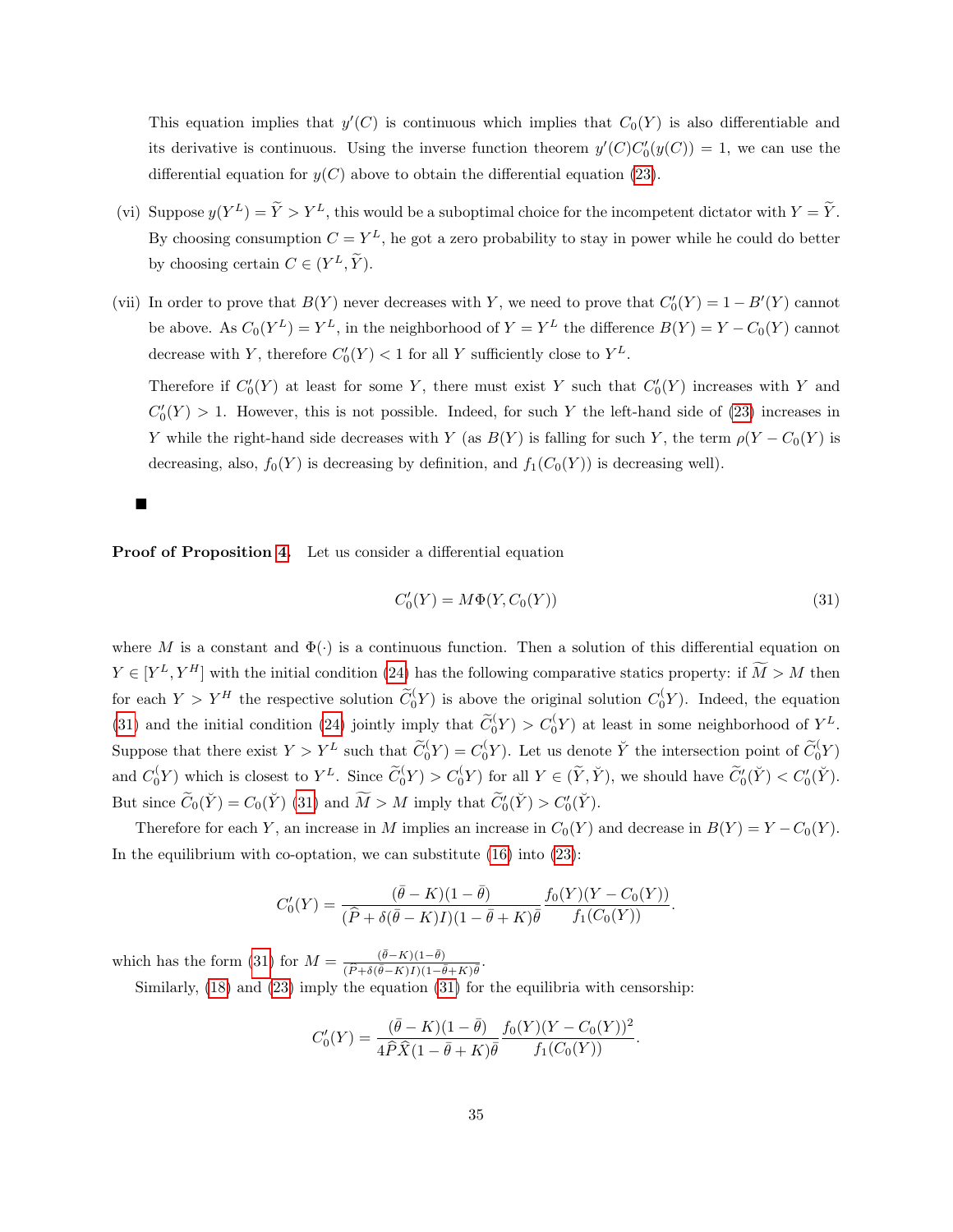This equation implies that  $y'(C)$  is continuous which implies that  $C_0(Y)$  is also differentiable and its derivative is continuous. Using the inverse function theorem  $y'(C)C'_0(y(C)) = 1$ , we can use the differential equation for  $y(C)$  above to obtain the differential equation [\(23\)](#page-23-0).

- (vi) Suppose  $y(Y^L) = \tilde{Y} > Y^L$ , this would be a suboptimal choice for the incompetent dictator with  $Y = \tilde{Y}$ . By choosing consumption  $C = Y^L$ , he got a zero probability to stay in power while he could do better by choosing certain  $C \in (Y^L, \tilde{Y})$ .
- (vii) In order to prove that  $B(Y)$  never decreases with Y, we need to prove that  $C'_0(Y) = 1 B'(Y)$  cannot be above. As  $C_0(Y^L) = Y^L$ , in the neighborhood of  $Y = Y^L$  the difference  $B(Y) = Y - C_0(Y)$  cannot decrease with Y, therefore  $C'_0(Y) < 1$  for all Y sufficiently close to  $Y^L$ .

Therefore if  $C'_0(Y)$  at least for some Y, there must exist Y such that  $C'_0(Y)$  increases with Y and  $C'_0(Y) > 1$ . However, this is not possible. Indeed, for such Y the left-hand side of [\(23\)](#page-23-0) increases in Y while the right-hand side decreases with Y (as  $B(Y)$  is falling for such Y, the term  $\rho(Y - C_0(Y))$  is decreasing, also,  $f_0(Y)$  is decreasing by definition, and  $f_1(C_0(Y))$  is decreasing well).

# $\blacksquare$

Proof of Proposition [4.](#page-24-0) Let us consider a differential equation

<span id="page-34-0"></span>
$$
C'_0(Y) = M\Phi(Y, C_0(Y))
$$
\n
$$
(31)
$$

where M is a constant and  $\Phi(\cdot)$  is a continuous function. Then a solution of this differential equation on  $Y \in [Y^L, Y^H]$  with the initial condition [\(24\)](#page-23-1) has the following comparative statics property: if  $\tilde{M} > M$  then for each  $Y > Y^H$  the respective solution  $\widetilde{C}_0(Y)$  is above the original solution  $C_0(Y)$ . Indeed, the equation [\(31\)](#page-34-0) and the initial condition [\(24\)](#page-23-1) jointly imply that  $\tilde{C}_0(Y) > C_0(Y)$  at least in some neighborhood of  $Y^L$ . Suppose that there exist  $Y > Y^L$  such that  $\widetilde{C}_0(Y) = C_0(Y)$ . Let us denote  $\widetilde{Y}$  the intersection point of  $\widetilde{C}_0(Y)$ and  $C_0(Y)$  which is closest to  $Y^L$ . Since  $\widetilde{C}_0(Y) > C_0(Y)$  for all  $Y \in (\widetilde{Y}, \check{Y})$ , we should have  $\widetilde{C}_0'(\check{Y}) < C_0'(\check{Y})$ . But since  $\widetilde{C}_0(\check{Y}) = C_0(\check{Y})$  [\(31\)](#page-34-0) and  $\widetilde{M} > M$  imply that  $\widetilde{C}'_0(\check{Y}) > C'_0(\check{Y})$ .

Therefore for each Y, an increase in M implies an increase in  $C_0(Y)$  and decrease in  $B(Y) = Y - C_0(Y)$ . In the equilibrium with co-optation, we can substitute  $(16)$  into  $(23)$ :

$$
C'_0(Y) = \frac{(\bar{\theta} - K)(1 - \bar{\theta})}{(\hat{P} + \delta(\bar{\theta} - K)I)(1 - \bar{\theta} + K)\bar{\theta}} \frac{f_0(Y)(Y - C_0(Y))}{f_1(C_0(Y))}.
$$

which has the form [\(31\)](#page-34-0) for  $M = \frac{(\bar{\theta} - K)(1 - \bar{\theta})}{(\bar{\theta} + K)(1 - \bar{\theta})}$  $\frac{(\theta-K)(1-\theta)}{(\widehat{P}+\delta(\overline{\theta}-K)I)(1-\overline{\theta}+K)\overline{\theta}}.$ 

Similarly, [\(18\)](#page-14-3) and [\(23\)](#page-23-0) imply the equation [\(31\)](#page-34-0) for the equilibria with censorship:

$$
C'_0(Y) = \frac{(\bar{\theta} - K)(1 - \bar{\theta})}{4\hat{P}\hat{X}(1 - \bar{\theta} + K)\bar{\theta}} \frac{f_0(Y)(Y - C_0(Y))^2}{f_1(C_0(Y))}.
$$